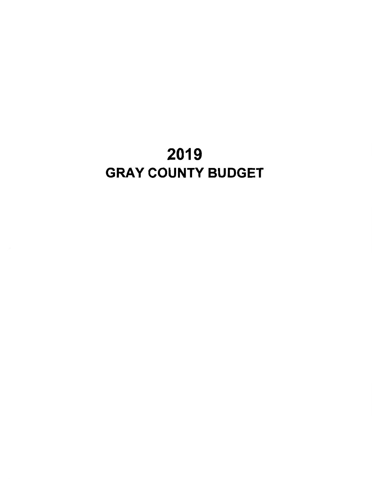# 2019 GRAY COUNTY BUDGET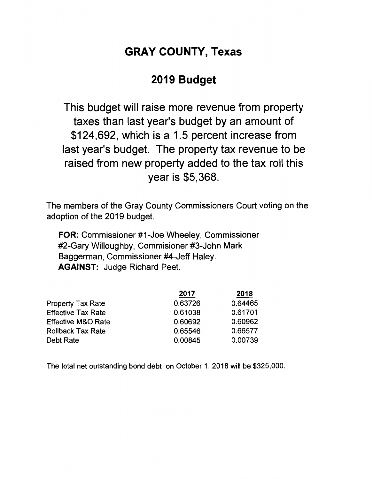# GRAY COUNTY, Texas

# 2019 Budget

This budget will raise more revenue from property taxes than last year's budget by an amount of \$124,692, which is a 1.5 percent increase from last year's budget. The property tax revenue to be raised from new property added to the tax roll this year is \$5,368.

The members of the Gray County Commissioners Court voting on the adoption of the 2019 budget.

FOR: Commissioner #1-Joe Wheeley, Commissioner #2-Gary Willoughby, Commisioner #3-John Mark Baggerman, Commissioner #4-Jeff Haley. AGAINST: Judge Richard Peet.

| 2017    | 2018    |
|---------|---------|
| 0.63726 | 0.64465 |
| 0.61038 | 0.61701 |
| 0.60692 | 0.60962 |
| 0.65546 | 0.66577 |
| 0.00845 | 0.00739 |
|         |         |

The total net outstanding bond debt on October 1, 2018 will be \$325,000.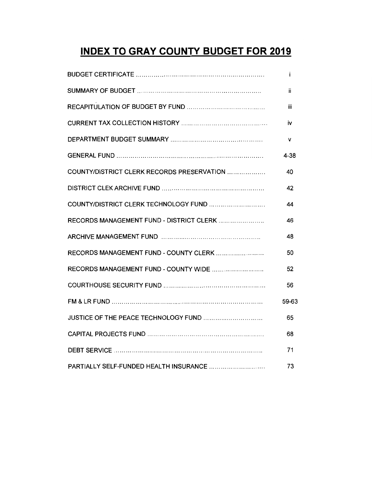# **INDEX TO GRAY COUNTY BUDGET FOR 2019**

|                                            | Ť.    |
|--------------------------------------------|-------|
|                                            | ii.   |
|                                            | iii   |
|                                            | i۷    |
|                                            | v     |
|                                            | 4-38  |
| COUNTY/DISTRICT CLERK RECORDS PRESERVATION | 40    |
|                                            | 42    |
|                                            | 44    |
| RECORDS MANAGEMENT FUND - DISTRICT CLERK   | 46    |
|                                            | 48    |
| RECORDS MANAGEMENT FUND - COUNTY CLERK     | 50    |
|                                            | 52    |
|                                            | 56    |
|                                            | 59-63 |
|                                            | 65    |
|                                            | 68    |
|                                            | 71    |
| PARTIALLY SELF-FUNDED HEALTH INSURANCE     | 73    |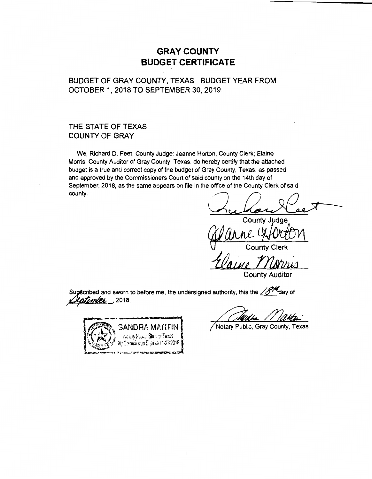### **GRAY COUNTY BUDGET CERTIFICATE**

BUDGET OF GRAY COUNTY, TEXAS. BUDGET YEAR FROM OCTOBER 1, 2018 TO SEPTEMBER 30, 2019.

### THE STATE OF TEXAS COUNTY OF GRAY

We, Richard D. Peet, County Judge; Jeanne Horton, County Clerk; Elaine Morris, County Auditor of Gray County, Texas, do hereby certify that the attached budget is a true and correct copy of the budget of Gray County, Texas, as passed and approved by the Commissioners Court of said county on the 14th day of September, 2018, as the same appears on file in the office of the County Clerk of said county.

German County Judge<br>County Judge<br>County Clerk

<u>rlaine Morris</u> County

Subscribed and sworn to before me, the undersigned authority, this the 28H day of Letter 1, 2018.

 $\overbrace{\hspace{2.5cm}}^{2}$  SANDRA MARTIN f Texas 1.27.201

I

Notary Public, Gray County, Texas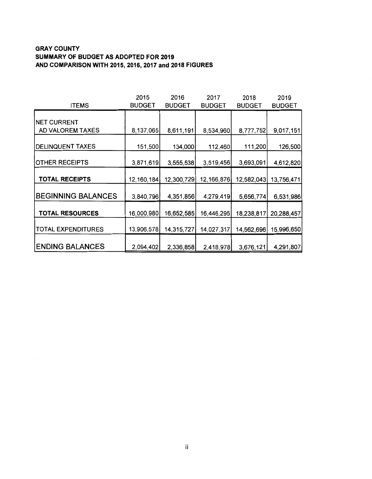### GRAY COUNTY SUMMARY OF BUDGET AS ADOPTED FOR 2019 AND COMPARISON WITH 2015, 2016, 2017 and 2018 FIGURES

|                           | 2015          | 2016          | 2017          | 2018          | 2019          |
|---------------------------|---------------|---------------|---------------|---------------|---------------|
| <b>ITEMS</b>              | <b>BUDGET</b> | <b>BUDGET</b> | <b>BUDGET</b> | <b>BUDGET</b> | <b>BUDGET</b> |
|                           |               |               |               |               |               |
| <b>NET CURRENT</b>        |               |               |               |               |               |
| AD VALOREM TAXES          | 8,137,065     | 8,611,191     | 8,534,960     | 8,777,752     | 9,017,151     |
|                           |               |               |               |               |               |
| <b>DELINQUENT TAXES</b>   | 151,500       | 134,000       | 112,460       | 111,200       | 126,500       |
|                           |               |               |               |               |               |
| <b>OTHER RECEIPTS</b>     | 3,871,619     | 3,555,538     | 3,519,456     | 3,693,091     | 4,612,820     |
|                           |               |               |               |               |               |
| TOTAL RECEIPTS            | 12, 160, 184  | 12,300,729    | 12,166,876    | 12,582,043    | 13,756,471    |
|                           |               |               |               |               |               |
| <b>BEGINNING BALANCES</b> | 3,840,796     | 4,351,856     | 4,279,419     | 5,656,774     | 6,531,986     |
|                           |               |               |               |               |               |
| <b>TOTAL RESOURCES</b>    | 16,000,980    | 16,652,585    | 16,446,295    | 18,238,817    | 20,288,457    |
|                           |               |               |               |               |               |
| <b>TOTAL EXPENDITURES</b> | 13,906,578    | 14,315,727    | 14,027,317    | 14,562,696    | 15,996,650    |
|                           |               |               |               |               |               |
| <b>ENDING BALANCES</b>    | 2,094,402     | 2,336,858     | 2,418,978     | 3,676,121     | 4,291,807     |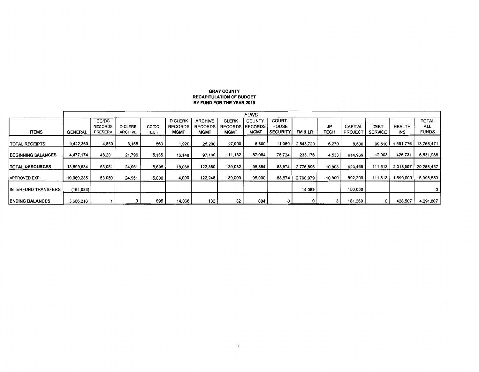#### **GRAY COUNTY RECAPITULATION OF BUDGET BY FUND FOR THE YEAR 2019**

|                             |                |                |                |             |                |                |                | <b>FUND</b>     |                 |           |        |                |                |               |              |
|-----------------------------|----------------|----------------|----------------|-------------|----------------|----------------|----------------|-----------------|-----------------|-----------|--------|----------------|----------------|---------------|--------------|
|                             |                | CC/DC          |                |             | <b>D CLERK</b> | <b>ARCHIVE</b> | <b>CLERK</b>   | <b>COUNTY</b>   | <b>COURT-</b>   |           |        |                |                |               | <b>TOTAL</b> |
|                             |                | <b>RECORDS</b> | <b>D CLERK</b> | CC/DC       | <b>RECORDS</b> | <b>RECORDS</b> | <b>RECORDS</b> | <b>IRECORDS</b> | <b>HOUSE</b>    |           | JP     | <b>CAPITAL</b> | <b>DEBT</b>    | <b>HEALTH</b> | <b>ALL</b>   |
| <b>ITEMS</b>                | <b>GENERAL</b> | PRESERV        | <b>ARCHIVE</b> | <b>TECH</b> | <b>MGMT</b>    | <b>MGMT</b>    | <b>MGMT</b>    | <b>MGMT</b>     | <b>SECURITY</b> | FM & LR   | TECH   | <b>PROJEC</b>  | <b>SERVICE</b> | <b>INS</b>    | <b>FUNDS</b> |
|                             |                |                |                |             |                |                |                |                 |                 |           |        |                |                |               |              |
| <b>TOTAL RECEIPTS</b>       | 9,422,360      | 4,850          | 3,155          | 560         | 1,920          | 25,200         | 27,900         | 8,800           | 11.950          | 2,543,720 | 6,270  | 8,500          | 99.510         | 1,591,776     | 13,756,471   |
|                             |                |                |                |             |                |                |                |                 |                 |           |        |                |                |               |              |
| <b>BEGINNING BALANCES</b>   | 4,477,174      | 48,201         | 21,796         | 5.135       | 16.148         | 97,180         | 111,132        | 87,084          | 76.724          | 233,176   | 4,533  | 914,969        | 12,003         | 426,731       | 6,531,986    |
|                             |                |                |                |             |                |                |                |                 |                 |           |        |                |                |               |              |
| <b>TOTAL RESOURCES</b>      | 13,899,534     | 53,051         | 24.951         | 5,695       | 18,068         | 122.380        | 139.032        | 95,884          | 88.674          | 2,776,896 | 10,803 | 923,469        | 111.513        | 2.018,507     | 20,288,457   |
|                             |                |                |                |             |                |                |                |                 |                 |           |        |                |                |               |              |
| <b>JAPPROVED EXP.</b>       | 10.069.235     | 53,050         | 24,951         | 5.000       | 4,000          | 122.248        | 139,000        | 95,000          | 88,674          | 2,790,979 | 10,800 | 892,200        | 111,513        | 1,590,000     | 15,996,650   |
|                             |                |                |                |             |                |                |                |                 |                 |           |        |                |                |               |              |
| <b>IINTERFUND TRANSFERS</b> | (164, 083)     |                |                |             |                |                |                |                 |                 | 14,083    |        | 150,000        |                |               | $^{\circ}$   |
|                             |                |                |                |             |                |                |                |                 |                 |           |        |                |                |               |              |
| <b>ENDING BALANCES</b>      | 3.666.216      |                |                | 695         | 14,068         | 132            | 32             | 884             | 0               |           |        | 181.269        | $^{\circ}$     | 428,507       | 4,291,807    |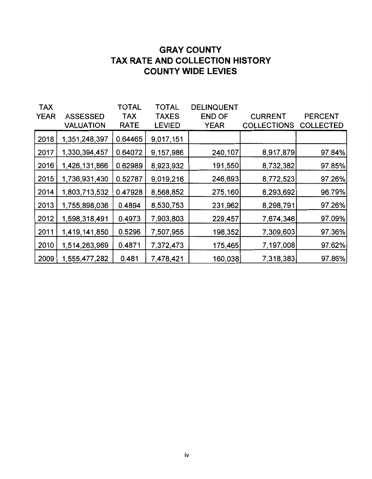## **GRAY COUNTY TAX RATE AND COLLECTION HISTORY COUNTY WIDE LEVIES**

| <b>TAX</b>  |                  | <b>TOTAL</b> | TOTAL         | <b>DELINQUENT</b> |                    |                  |
|-------------|------------------|--------------|---------------|-------------------|--------------------|------------------|
| <b>YEAR</b> | <b>ASSESSED</b>  | <b>TAX</b>   | <b>TAXES</b>  | <b>END OF</b>     | <b>CURRENT</b>     | <b>PERCENT</b>   |
|             | <b>VALUATION</b> | <b>RATE</b>  | <b>LEVIED</b> | <b>YEAR</b>       | <b>COLLECTIONS</b> | <b>COLLECTED</b> |
| 2018        | 1,351,248,397    | 0.64465      | 9,017,151     |                   |                    |                  |
| 2017        | 1,330,394,457    | 0.64072      | 9,157,986     | 240,107           | 8,917,879          | 97.84%           |
| 2016        | 1,426,131,866    | 0.62989      | 8,923,932     | 191,550           | 8,732,382          | 97.85%           |
| 2015        | 1,736,931,430    | 0.52787      | 9,019,216     | 246,693           | 8,772,523          | 97.26%           |
| 2014        | 1,803,713,532    | 0.47928      | 8,568,852     | 275,160           | 8,293,692          | 96.79%           |
| 2013        | 1,755,898,036    | 0.4894       | 8,530,753     | 231,962           | 8,298,791          | 97.26%           |
| 2012        | 1,598,318,491    | 0.4973       | 7,903,803     | 229,457           | 7,674,346          | 97.09%           |
| 2011        | 1,419,141,850    | 0.5296       | 7,507,955     | 198,352           | 7,309,603          | 97.36%           |
| 2010        | 1,514,263,969    | 0.4871       | 7,372,473     | 175,465           | 7,197,008          | 97.62%           |
| 2009        | 1,555,477,282    | 0.481        | 7,478,421     | 160,038           | 7,318,383          | 97.86%           |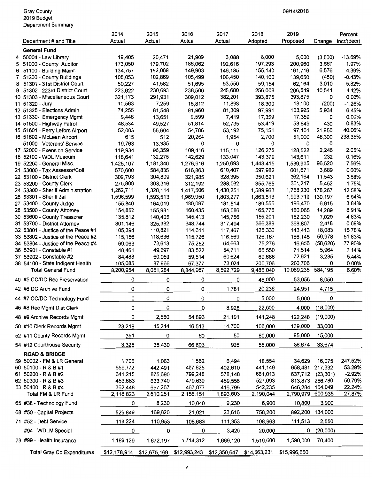#### Gray County 09/14/2018 2019 Budget Department Summary

|                                                           | 2014               | 2015                      | 2016               | 2017               | 2018               | 2019               |                  | Percent        |
|-----------------------------------------------------------|--------------------|---------------------------|--------------------|--------------------|--------------------|--------------------|------------------|----------------|
| Department # and Title                                    | Actual             | Actual                    | Actual             | Actual             | Adopted            | Proposed           | Change           | incr/(decr)    |
| <b>General Fund</b>                                       |                    |                           |                    |                    |                    |                    |                  |                |
| 4 50004 - Law Library                                     | 19,405             | 20,471                    | 21,909             | 3,088              | 8,000              | 5,000              | (3,000)          | $-13.69%$      |
| 5 51000 - County Auditor                                  | 173,050            | 179,702                   | 186,062            | 192,616            | 197,293            | 200,960            | 3,667            | 1.97%          |
| 6 51100 - Building Maint.                                 | 134,757            | 152,069                   | 149,903            | 146,185            | 155,140            | 161,716            | 6,576            | 4.39%          |
| 7 51200 - County Buildings                                | 108,053            | 102,869                   | 105,499            | 106,450            | 140,100            | 139,650            | (450)            | $-0.43%$       |
| 8 51301 - 31st District Court                             | 50,227             | 41,582                    | 51,695             | 53,550             | 59,154             | 62,164             | 3,010            | 5.82%          |
| 9 51302 - 223rd District Court                            | 223,622            | 230,693                   | 238,506            | 245,680            | 256,008            | 266,549            | 10,541           | 4.42%          |
| 10 51303 - Miscellaneous Court                            | 321,173            | 291,931                   | 309,012            | 382,201            | 393,875            | 393,875            | 0                | 0.00%          |
| 11 51320 - Jury                                           | 10,563             | 7,259                     | 15,812             | 11,898             | 18,300             | 18,100             | (200)            | $-1.26%$       |
| 12 51325 - Elections Admin                                | 74,255             | 81,548                    | 91,960             | 81,309             | 97,991             | 103,925            | 5,934            | 6.45%          |
| 13 51330- Emergency Mgmt                                  | 9,448              | 13,651                    | 9,599              | 7,419              | 17,359             | 17,359             | 0                | 0.00%          |
| 14 51500 - Highway Patrol                                 | 48,534             | 49,527                    | 51,814             | 52,735             | 53,419             | 53,849             | 430              | 0.83%          |
| 15 51601 - Perry Lefors Airport                           | 52,003             | 55,604                    | 54,786             | 53,192             | 75,151             | 97,101             | 21,950           | 40.06%         |
| 16 51602 - McLean Airport                                 | 615                | 512                       | 20,264             | 1,954              | 2,700              | 51,000             | 48,300           | 238.35%        |
| 51900 - Veterans' Service                                 | 19,763             | 13,335                    | 0                  | 0                  | 0                  | 0                  | 0                |                |
| 17 52000 - Exension Service                               | 119,934            | 96,359                    | 109,416            | 115,111            | 126,276            | 128,522            | 2,246            | 2.05%          |
| 18 52100 - WDL Museum<br>19 52200 - General Misc.         | 118,641            | 132,275                   | 142,629            | 133,047            | 143,379            | 143,611            | 232              | 0.16%<br>7.56% |
|                                                           | 1,425,107          | 1,181,340                 | 1,276,916          | 1,250,693          | 1,443,415          | 1,539,935          | 96,520           | 0.60%          |
| 21 53000 - Tax Assessor/Coll<br>22 53100 - District Clerk | 570,600            | 584,835                   | 616,863<br>321,985 | 610,407<br>328,395 | 597,982            | 601,671            | 3,689<br>11,543  | 3.58%          |
| 23 53200 - County Clerk                                   | 309,793<br>276,809 | 304,809<br>303,316        | 312,192            | 288,062            | 350,621<br>355,765 | 362,164<br>361,217 | 5,452            | 1.75%          |
| 24 53300 - Sheriff Administration                         | 1,262,711          | 1,328,114                 | 1,417,506          | 1,430,251          | 1,589,963          | 1,768,230          | 178,267          | 12.58%         |
| 26 53301 - Sheriff Jail                                   | 1,596,599          | 1,593,513                 | 1,989,950          | 1,803,277          | 1,863,513          | 1,993,710          | 130,197          | 6.54%          |
| 27 53400 - County Judge                                   | 155,840            | 164,019                   | 180,097            | 181,514            | 189,555            | 196,470            | 6,915            | 3.84%          |
| 28 53500 - County Attorney                                | 154,852            | 155,981                   | 160,435            | 163,086            | 165,776            | 180,065            | 14,289           | 8.91%          |
| 30 53600 - County Treasurer                               | 135,812            | 140,405                   | 145,413            | 145,756            | 155,201            | 162,230            | 7,029            | 4.83%          |
| 31 53700 - District Attorney                              | 301,146            | 325,382                   | 348,744            | 317,494            | 366,389            | 368,807            | 2,418            | 0.69%          |
| 32 53801 - Justice of the Peace #1                        | 105,394            | 110,821                   | 114,611            | 117,467            | 125,330            | 143,413            | 18,083           | 15.78%         |
| 33 53802 - Justice of the Peace #2                        | 115,156            | 118,636                   | 115,726            | 116,869            | 126,167            | 186,145            | 59,978           | 51.83%         |
| 34 53804 - Justice of the Peace #4                        | 69,063             | 73,613                    | 75,252             | 64,663             | 75,276             | 16,656             | (58, 620)        | -77.90%        |
| 36 53901 - Constable #1                                   | 48,461             | 49,097                    | 83,522             | 54,711             | 65,550             | 71,514             | 5,964            | 7.14%          |
| 37 53902 - Constable #2                                   | 84,483             | 60,050                    | 59,514             | 60,624             | 69,686             | 72,921             | 3,235            | 5.44%          |
| 38 54100 - State Indigent Health                          | 105,085            | 87,966                    | 67,377             | 73,024             | 200,706            | 200,706            | 0                | 0.00%          |
| <b>Total General Fund</b>                                 | 8,200,954          | 8,051,284                 | 8,844,967          | 8,592,729          | 9,485,040          | 10,069,235         | 584,195          | 6.60%          |
| 40 #5 CC/DC Rec Preservation                              | 0                  | 0                         | 0                  | 0                  | 45,000             | 53,050             | 8,050            |                |
| 42 #6 DC Archive Fund                                     | 0                  | 0                         | 0                  | 1,781              | 20,236             | 24,951             | 4,715            |                |
| 44 #7 CC/DC Technology Fund                               | 0                  | 0                         | 0                  | 0                  | 5,000              | 5,000              | 0                |                |
| 46 #8 Rec Mgmt Dist Clerk                                 | 0                  | 0                         | 0                  | 8,928              | 22,000             | 4,000              | (18,000)         |                |
| 48 #9 Archive Records Mgmt                                | 0                  | 2,560                     | 54,893             | 21,191             | 141,248            | 122,248            | (19,000)         |                |
| 50 #10 Clerk Records Mgmt                                 | 23,218             | 15,244                    | 16,513             | 14,700             | 106,000            | 139,000            | 33,000           |                |
| 52 #11 County Records Mgmt                                | 391                | 0                         | 60                 | 50                 | 80,000             | 95,000             | 15,000           |                |
| 54 #12 Courthouse Security                                | 3,326              | 35,430                    | 66,603             | 926                | 55,000             | 88,674             | 33,674           |                |
| <b>ROAD &amp; BRIDGE</b>                                  |                    |                           |                    |                    |                    |                    |                  |                |
| 59 50002 - FM & LR General                                | 1,705              | 1,063                     | 1,562              | 6,494              | 18,554             | 34,629             | 16,075           | 247.52%        |
| 60 50100 - R & B #1                                       | 659,772            | 442,491                   | 407,825            | 402,610            | 441,149            | 658,481            | 217,332          | 53.29%         |
| 61 50200 - R & B #2                                       | 641,215            | 875,690                   | 799,248            | 578,148            | 661,013            | 637,712            | (23, 301)        | $-2.92%$       |
| 62 50300 - R & B #3                                       | 453,683            | 633,740                   | 479,639            | 489,556            | 527,093            | 813,873            | 286,780          | 59.79%         |
| 63 50400 - R & B #4                                       | 362,448            | 657,267                   | 467,877            | 416,795            | 542,235            | 646,284            | 104,049          | 22.24%         |
| Total FM & LR Fund                                        | 2,118,823          | 2,610,251                 | 2,156,151          | 1,893,603          | 2,190,044          | 2,790,979          | 600,935          | 27.87%         |
| 65 #38 - Technology Fund<br>68 #50 - Capital Projects     | 0<br>529,849       | 8,230                     | 10,040             | 9,230              | 6,900<br>758,200   | 10,800<br>892,200  | 3,900<br>134,000 |                |
| 71 #52 - Debt Service                                     | 113,224            | 169,020<br>110,953        | 21,021<br>108,683  | 23,616<br>111,353  | 108,963            | 111,513            | 2,550            |                |
| #94 - WDLM Special                                        | 0                  | 0                         | 0                  | 3,420              | 20,000             | 0                  | (20,000)         |                |
|                                                           |                    |                           |                    |                    |                    |                    |                  |                |
| 73 #99 - Health Insurance                                 | 1,189,129          | 1,672,197                 | 1,714,312          | 1,669,120          | 1,519,600          | 1,590,000          | 70,400           |                |
| <b>Total Gray Co Expenditures</b>                         |                    | \$12,178,914 \$12,675,169 | \$12,993,243       | \$12,350,647       | \$14,563,231       | \$15,996,650       |                  |                |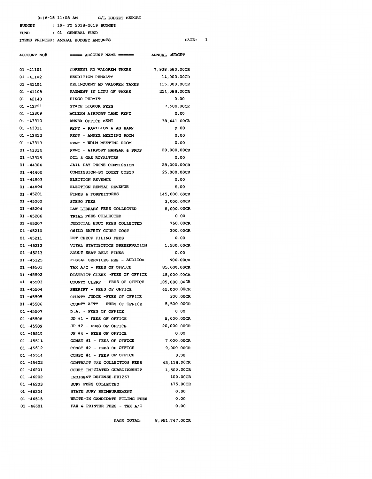BUDGET 19- FY 2018-2019 BUDGET

FUND 01 GENERAL FUND

ITEMS PRINTED: ANNUAL BUDGET AMOUNTS

PAGE: 1

| ACCOUNT NO#  | ===== ACCOUNT NAME ======      | ANNUAL BUDGET  |
|--------------|--------------------------------|----------------|
|              |                                |                |
| 01 -41101    | CURRENT AD VALOREM TAXES       | 7,938,580.00CR |
| 01 -41102    | RENDITION PENALTY              | 14,000.00CR    |
| $01 - 41104$ | DELINQUENT AD VALOREM TAXES    | 115,000.00CR   |
| 01 -41105    | PAYMENT IN LIEU OF TAXES       | 214,083.00CR   |
| 01 -42140    | <b>BINGO PERMIT</b>            | 0.00           |
| 01 -42221    | STATE LIQUOR FEES              | 7,500.00CR     |
| 01 -43309    | MCLEAN AIRPORT LAND RENT       | 0.00           |
| 01 -43310    | ANNEX OFFICE RENT              | 38,441.00CR    |
| 01 -43311    | RENT - PAVILION & AG BARN      | 0.00           |
| 01 -43312    | RENT - ANNEX MEETING ROOM      | 0.00           |
| 01 -43313    | RENT - WDLM MEETING ROOM       | 0.00           |
| 01 -43314    | RENT - AIRPORT HANGAR & PROP   | 20,000.00CR    |
| 01 -43315    | OIL & GAS ROYALTIES            | 0.00           |
| 01 -44304    | JAIL PAY PHONE COMMISSION      | 28,000.00CR    |
| 01 -44400    | COMMISSION-ST COURT COSTS      | 25,000.00CR    |
| 01 -44503    | ELECTION REVENUE               | 0.00           |
| 01 -44504    | ELECTION RENTAL REVENUE        | 0.00           |
| 01 -45201    | FINES & FORFEITURES            | 145,000.00CR   |
| $01 - 45202$ | STENO FEES                     | 3,000.00CR     |
| 01 -45204    | LAW LIBRARY FEES COLLECTED     | 8,000.00CR     |
| 01 -45206    | TRIAL FEES COLLECTED           | 0.00           |
| 01 -45207    | JUDICIAL EDUC FEES COLLECTED   | 750.00CR       |
| 01 -45210    | CHILD SAFETY COURT COST        | 300.00CR       |
| $01 - 45211$ | HOT CHECK FILING FEES          | 0.00           |
| 01 -45212    | VITAL STATISITICS PRESERVATION | 1,200.00CR     |
| 01 -45213    | ADULT SEAT BELT FINES          | 0.00           |
| 01 -45325    | FISCAL SERVICES FEE - AUDITOR  | 900.00CR       |
| $01 - 45501$ | TAX A/C - FEES OF OFFICE       | 85,000.00CR    |
| 01 -45502    | DISTRICT CLERK -FEES OF OFFICE | 45,000.00CR    |
| 01 -45503    | COUNTY CLERK - FEES OF OFFICE  | 105,000.00CR   |
| $01 - 45504$ | SHERIFF - FEES OF OFFICE       | 65,000.00CR    |
| $01 - 45505$ | COUNTY JUDGE -FEES OF OFFICE   | 300.00CR       |
| $01 - 45506$ | COUNTY ATTY - FEES OF OFFICE   | 5,500.00CR     |
| 01 -45507    | D.A. - FEES OF OFFICE          | 0.00           |
| 01 -45508    | JP #1 - FEES OF OFFICE         | 5,000.00CR     |
| 01 -45509    | JP #2 - FEES OF OFFICE         | 20,000.00CR    |
| 01 -45510    | JP #4 - FEES OF OFFICE         | 0.00           |
| $01 - 45511$ | CONST #1 - FEES OF OFFICE      | 7,000.00CR     |
| 01 -45512    | CONST #2 - FEES OF OFFICE      | 9,000.00CR     |
| $01 - 45514$ | CONST #4 - FEES OF OFFICE      | 0.00           |
| $01 - 45602$ | CONTRACT TAX COLLECTION FEES   | 43,118.00CR    |
| $01 - 46201$ | COURT INITIATED GUARDIANSHIP   | 1,500.00CR     |
| 01 -46202    | INDIGENT DEFENSE-HB1267        | 100.00CR       |
| 01 -46203    | <b>JURY FEES COLLECTED</b>     | 475.00CR       |
| 01 -46204    | STATE JURY REIMBURSEMENT       | 0.00           |
| 01 -46515    | WRITE-IN CANDIDATE FILING FEES | 0.00           |
| 01 -46601    | FAX & PRINTER FEES - TAX $A/C$ | 0.00           |
|              |                                |                |

PAGE TOTAL: 8,951,747.00CR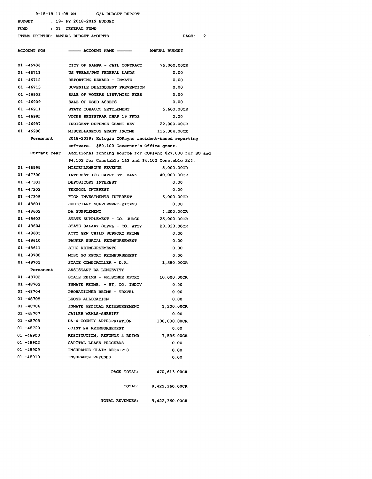BUDGET 19- FY 2018-2019 BUDGET

FUND 01 GENERAL FUND

ITEMS PRINTED: ANNUAL BUDGET AMOUNTS

PAGE: 2

| ACCOUNT NO#  | ====== ACCOUNT NAME =======                               | <b>ANNUAL BUDGET</b>  |
|--------------|-----------------------------------------------------------|-----------------------|
|              |                                                           |                       |
| 01 -46706    | CITY OF PAMPA - JAIL CONTRACT                             | 75,000.00CR           |
| 01 -46711    | US TREAS/PMT FEDERAL LANDS                                | 0.00                  |
| 01 -46712    | REPORTING REWARD - INMATE                                 | 0.00                  |
| 01 -46713    | JUVENILE DELINQUENT PREVENTION                            | 0.00                  |
| 01 -46903    | SALE OF VOTERS LIST/MISC FEES                             | 0.00                  |
| 01 -46909    | SALE OF USED ASSETS                                       | 0.00                  |
| 01 -46911    | STATE TOBACCO SETTLEMENT                                  | 5,600.00CR            |
| $01 - 46995$ | VOTER REGISTRAR CHAP 19 FNDS                              | 0.00                  |
| 01 -46997    | INDIGENT DEFENSE GRANT REV                                | 22,000.00CR           |
| 01 -46998    | MISCELLANEOUS GRANT INCOME                                | 115,304.00CR          |
| Permanent    | 2018-2019: Kologic COPsync incident-based reporting       |                       |
|              | software. \$80,100 Governor's Office grant.               |                       |
| Current Year | Additional funding source for COPsync \$27,000 for SO and |                       |
|              | \$4,102 for Constable 163 and \$4,102 Constable 264.      |                       |
| 01 -46999    | MISCELLANEOUS REVENUE                                     | 5,000.00CR            |
| 01 -47300    | INTEREST-ICS-HAPPY ST. BANK                               | 40,000.00CR           |
| 01 -47301    | DEPOSITORY INTEREST                                       | 0.00                  |
| 01 -47302    | TEXPOOL INTEREST                                          | 0.00                  |
| $01 - 47305$ | FICA INVESTMENTS-INTEREST                                 | 5,000.00CR            |
| 01 -48601    | JUDICIARY SUPPLEMENT-EXCESS                               | 0.00                  |
| 01 -48602    | DA SUPPLEMENT                                             | 4,200.00CR            |
| $01 - 48603$ | STATE SUPPLEMENT - CO. JUDGE                              | 25,000.00CR           |
| 01 -48604    | STATE SALARY SUPPL - CO. ATTY                             | 23,333.00CR           |
| 01 -48605    | ATTY GEN CHILD SUPPORT REIMB                              | 0.00                  |
| 01 -48610    | PAUPER BURIAL REIMBURSEMENT                               | 0.00                  |
| 01 -48611    | SIHC REIMBURSEMENTS                                       | 0.00                  |
| 01 -48700    | MISC SO XPORT REIMBURSEMENT                               | 0.00                  |
| 01 -48701    | STATE COMPTROLLER - D.A.                                  | <b>1,380.00CR</b>     |
|              | Permanent ASSISTANT DA LONGEVITY                          |                       |
| 01 -48702    | STATE REIMB - PRISONER XPORT                              | 10,000.00CR           |
| 01 -48703    | INMATE REIMB. - ST, CO, INDIV                             | 0.00                  |
| 01 -48704    | PROBATIONER REIMB - TRAVEL                                | 0.00                  |
| 01 -48705    | LEOSE ALLOCATION                                          | 0.00                  |
| 01 -48706    | INMATE MEDICAL REIMBURSEMENT                              | 1,200.00CR            |
| 01 -48707    | <b>JAILER MEALS-SHERIFF</b>                               | 0.00                  |
| 01 -48709    | DA-4-COUNTY APPROPRIATION                                 | 130,000.00CR          |
| 01 -48720    | JOINT EA REIMBURSEMENT                                    | 0.00                  |
| 01 -48900    | RESTITUTION, REFUNDS & REIMB 7,596.00CR                   |                       |
| 01 -48902    | CAPITAL LEASE PROCEEDS                                    | 0.00                  |
| 01 -48909    | INSURANCE CLAIM RECEIPTS                                  | 0.00                  |
| 01 -48910    | INSURANCE REFUNDS                                         | 0.00                  |
|              | PAGE TOTAL:                                               | 470,613.00CR          |
|              |                                                           | TOTAL: 9,422,360.00CR |
|              | <b>TOTAL REVENUES:</b>                                    | 9,422,360.00CR        |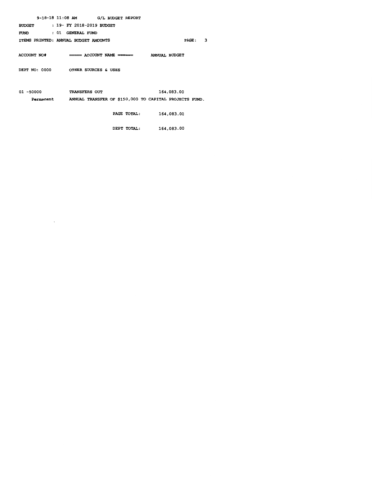|                    | 9-18-18 11:08 AM<br>G/L BUDGET REPORT                                        |               |
|--------------------|------------------------------------------------------------------------------|---------------|
| <b>BUDGET</b>      | $: 19 - FY 2018 - 2019$ BUDGET                                               |               |
| <b>FUND</b>        | : 01 GENERAL FUND                                                            |               |
|                    | ITEMS PRINTED: ANNUAL BUDGET AMOUNTS                                         | PAGE:         |
|                    |                                                                              |               |
| <b>ACCOUNT NO#</b> | $\Rightarrow \Rightarrow$ ACCOUNT NAME $\Rightarrow \Rightarrow \Rightarrow$ | ANNUAL BUDGET |
|                    |                                                                              |               |
| DEPT NO: 0000      | OTHER SOURCES & USES                                                         |               |
|                    |                                                                              |               |

01 -50000 TRANSFERS OUT 164,083.00 Permanent ANNUAL TRANSFER OF \$150,000 TO CAPITAL PROJECTS FUND.

 $\ddot{\phantom{0}}$ 

PAGE TOTAL: 164,083.00

3

DEPT TOTAL: 164,083.00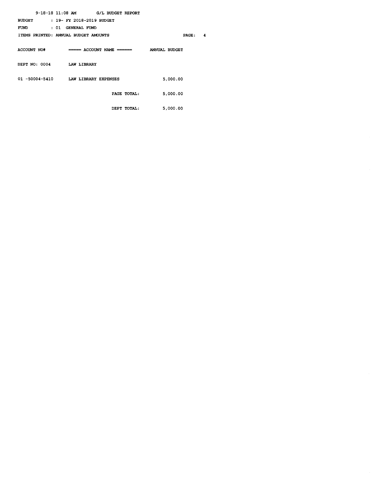|               | $9-18-18$ 11:08 AM G/L BUDGET REPORT |                         |                   |
|---------------|--------------------------------------|-------------------------|-------------------|
| <b>BUDGET</b> | : 19- FY 2018-2019 BUDGET            |                         |                   |
| FUND          | : 01 GENERAL FUND                    |                         |                   |
|               | ITEMS PRINTED: ANNUAL BUDGET AMOUNTS |                         | <b>PAGE:</b><br>4 |
| ACCOUNT NO#   | $\equiv$ ===== ACCOUNT NAME ======   | ANNUAL BUDGET           |                   |
| DEPT NO: 0004 | <b>LAW LIBRARY</b>                   |                         |                   |
|               | 01 -50004-5410 LAW LIBRARY EXPENSES  | 5,000.00                |                   |
|               |                                      | PAGE TOTAL:<br>5,000.00 |                   |
|               |                                      | 5,000.00<br>DEPT TOTAL: |                   |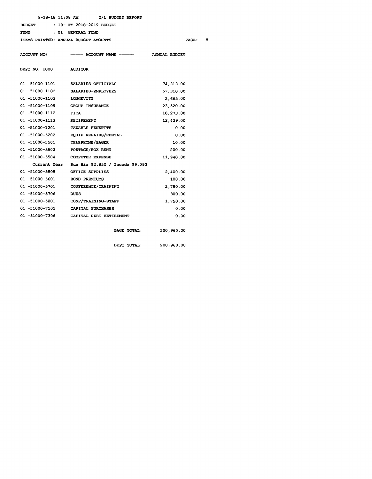BUDGET 19- FY 2018-2019 BUDGET

FUND 01 GENERAL FUND

 $\overline{\text{GE}}$ : 5

| ITEMS PRINTED: ANNUAL BUDGET AMOUNTS |                                    | PAG                  |
|--------------------------------------|------------------------------------|----------------------|
| <b>ACCOUNT NO#</b>                   | $\equiv$ ===== ACCOUNT NAME ====== | <b>ANNUAL BUDGET</b> |
| DEPT NO: 1000                        | <b>AUDITOR</b>                     |                      |
| 01 -51000-1101                       | SALARIES-OFFICIALS                 | 74,313.00            |
| 01 -51000-1102                       | SALARIES-EMPLOYEES                 | 57,310.00            |
| 01 -51000-1103                       | <b>LONGEVITY</b>                   | 2,665.00             |
| 01 -51000-1109                       | <b>GROUP INSURANCE</b>             | 23,520.00            |
| 01 -51000-1112                       | <b>FICA</b>                        | 10,273.00            |
| 01 -51000-1113                       | <b>RETIREMENT</b>                  | 13,429.00            |
| 01 -51000-1201                       | <b>TAXABLE BENEFITS</b>            | 0.00                 |
| 01 -51000-5202                       | EQUIP REPAIRS/RENTAL               | 0.00                 |
| 01 -51000-5501                       | <b>TELEPHONE/PAGER</b>             | 10.00                |
| 01 -51000-5502                       | POSTAGE/BOX RENT                   | 200.00               |
| 01 -51000-5504                       | <b>COMPUTER EXPENSE</b>            | 11,940.00            |
| Current Year                         | Run Biz \$2,850 / Incode \$9,093   |                      |
| 01 -51000-5505                       | OFFICE SUPPLIES                    | 2,400.00             |
| 01 -51000-5601                       | <b>BOND PREMIUMS</b>               | 100.00               |
| 01 -51000-5701                       | CONFERENCE/TRAINING                | 2,750.00             |
| 01 -51000-5706                       | <b>DUES</b>                        | 300.00               |
| 01 -51000-5801                       | CONF/TRAINING-STAFF                | 1,750.00             |
| 01 -51000-7101                       | CAPITAL PURCHASES                  | 0.00                 |
| 01 -51000-7306                       | CAPITAL DEBT RETIREMENT            | 0.00                 |
|                                      | PAGE TOTAL:                        | 200,960.00           |
|                                      | DEPT TOTAL:                        | 200,960.00           |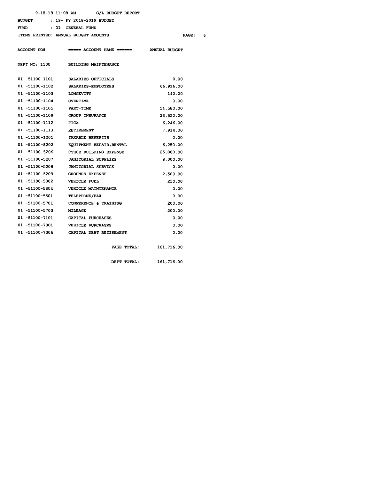|                           | $9-18-18$ 11:08 AM G/L BUDGET REPORT    |                        |
|---------------------------|-----------------------------------------|------------------------|
|                           | BUDGET : 19- FY 2018-2019 BUDGET        |                        |
| FUND                      | : 01 GENERAL FUND                       |                        |
|                           | ITEMS PRINTED: ANNUAL BUDGET AMOUNTS    | $\mathtt{PAGE}$ :<br>6 |
|                           |                                         |                        |
| <b>ACCOUNT NO#</b>        | ===== ACCOUNT NAME ======               | <b>ANNUAL BUDGET</b>   |
|                           | DEPT NO: 1100 BUILDING MAINTENANCE      |                        |
|                           | 01 -51100-1101 SALARIES-OFFICIALS       | 0.00                   |
|                           | 01 -51100-1102 SALARIES-EMPLOYEES       | 66,916.00              |
| 01 -51100-1103 LONGEVITY  |                                         | 140.00                 |
| 01 -51100-1104 OVERTIME   |                                         | 0.00                   |
| 01 -51100-1105 PART-TIME  |                                         | 14,580.00              |
|                           | 01 -51100-1109 GROUP INSURANCE          | 23,520.00              |
| 01 -51100-1112 FICA       |                                         | 6,246.00               |
| 01 -51100-1113 RETIREMENT |                                         | 7,914.00               |
|                           | 01 -51100-1201 TAXABLE BENEFITS         | 0.00                   |
|                           | 01 -51100-5202 EQUIPMENT REPAIR, RENTAL | 6,250.00               |
|                           | 01 -51100-5206 CTHSE BUILDING EXPENSE   | 25,000.00              |
|                           | 01 -51100-5207 JANITORIAL SUPPLIES      | 8,000.00               |
|                           | 01 -51100-5208 JANITORIAL SERVICE       | 0.00                   |
| 01 -51100-5209            | GROUNDS EXPENSE                         | 2,500.00               |
|                           | 01 -51100-5302 VEHICLE FUEL             | 250.00                 |
| 01 -51100-5304            | VEHICLE MAINTENANCE                     | 0.00                   |
|                           | 01 -51100-5501 TELEPHONE/FAX            | 0.00                   |
|                           | 01 -51100-5701 CONFERENCE & TRAINING    | 200.00                 |
| 01 -51100-5703            | <b>MILEAGE</b>                          | 200.00                 |

01 -51100-7101 CAPITAL PURCHASES 0.00 01 -51100-7301 VEHICLE PURCHASES 0.00 01 -51100-7306 CAPITAL DEBT RETIREMENT 0.00

PAGE TOTAL: 161, 716.00

DEPT TOTAL: 161,716.00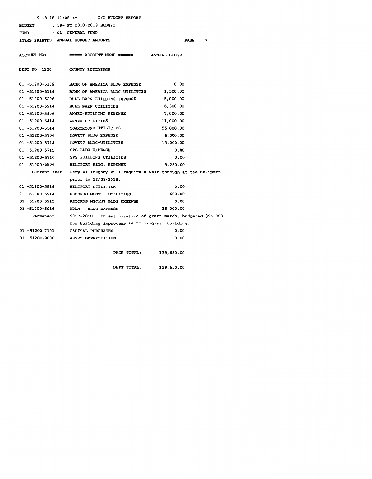| 9-18-18 11:08 AM                     | G/L BUDGET REPORT                                            |                        |
|--------------------------------------|--------------------------------------------------------------|------------------------|
| <b>BUDGET</b>                        | : 19- FY 2018-2019 BUDGET                                    |                        |
| FUND                                 | : 01 GENERAL FUND                                            |                        |
| ITEMS PRINTED: ANNUAL BUDGET AMOUNTS |                                                              | 7<br><b>PAGE:</b>      |
|                                      |                                                              |                        |
| ACCOUNT NO#                          | ===== ACCOUNT NAME ======                                    | ANNUAL BUDGET          |
|                                      |                                                              |                        |
| DEPT NO: 1200                        | COUNTY BUILDINGS                                             |                        |
|                                      |                                                              |                        |
| 01 -51200-5106                       | <b>BANK OF AMERICA BLDG EXPENSE</b>                          | 0.00                   |
|                                      | 01 -51200-5114 BANK OF AMERICA BLDG UTILITIES 1,500.00       |                        |
| 01 -51200-5206                       | BULL BARN BUILDING EXPENSE                                   | 5,000.00               |
| 01 -51200-5214                       | <b>BULL BARN UTILITIES</b>                                   | 6,300.00               |
| 01 -51200-5406                       | <b>ANNEX-BUILDING EXPENSE</b>                                | 7,000.00               |
| 01 -51200-5414                       | <b>ANNEX-UTILITIES</b>                                       | 11,000.00              |
| 01 -51200-5514                       | COURTHOUSE UTILITIES                                         | 55,000.00              |
| 01 -51200-5706                       | LOVETT BLDG EXPENSE                                          | 6,000.00               |
|                                      | 01 -51200-5714 LOVETT BLDG-UTILITIES                         | 13,000.00              |
| 01 -51200-5715 SPS BLDG EXPENSE      |                                                              | 0.00                   |
|                                      | 01 -51200-5716 SPS BUILDING UTILITIES                        | 0.00                   |
| 01 -51200-5806                       | HELIPORT BLDG. EXPENSE                                       | 9,250.00               |
| Current Year                         | Gary Willoughby will require a walk through at the heliport  |                        |
|                                      | prior to 12/31/2018.                                         |                        |
| 01 -51200-5814                       | HELIPORT UTILITIES                                           | 0.00                   |
| 01 -51200-5914                       | RECORDS MGMT - UTILITIES                                     | 600.00                 |
| 01 -51200-5915                       | RECORDS MGTMNT BLDG EXPENSE                                  | 0.00                   |
| 01 -51200-5916                       | WDLM - BLDG EXPENSE                                          | 25,000.00              |
| Permanent                            | 2017-2018: In anticipation of grant match, budgeted \$25,000 |                        |
|                                      | for building improvements to original building.              |                        |
| 01 -51200-7101                       | CAPITAL PURCHASES                                            | 0.00                   |
| 01 -51200-8000                       | <b>ASSET DEPRECIATION</b>                                    | 0.00                   |
|                                      |                                                              |                        |
|                                      |                                                              | PAGE TOTAL: 139,650.00 |
|                                      |                                                              |                        |
|                                      | DEPT TOTAL:                                                  | 139,650.00             |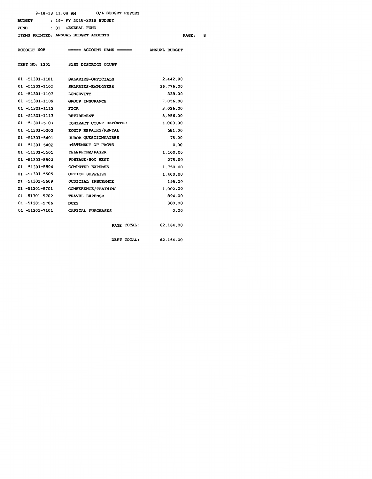|                     | $9-18-18$ 11:08 AM G/L BUDGET REPORT   |                          |
|---------------------|----------------------------------------|--------------------------|
| <b>BUDGET</b>       | : 19- FY 2018-2019 BUDGET              |                          |
| <b>FUND</b>         | : 01 GENERAL FUND                      |                          |
|                     | ITEMS PRINTED: ANNUAL BUDGET AMOUNTS   | PAGE:                    |
|                     |                                        |                          |
| ACCOUNT NO#         | ===== ACCOUNT NAME ======              | <b>ANNUAL BUDGET</b>     |
|                     |                                        |                          |
| DEPT NO: 1301       | <b>31ST DISTRICT COURT</b>             |                          |
|                     |                                        |                          |
| 01 -51301-1101      | <b>SALARIES-OFFICIALS</b>              | 2,442.00                 |
| 01 -51301-1102      | <b>SALARIES-EMPLOYEES</b>              | 36,776.00                |
| 01 -51301-1103      | <b>LONGEVITY</b>                       | 338.00                   |
| 01 -51301-1109      | <b>GROUP INSURANCE</b>                 | 7,056.00                 |
| $01 - 51301 - 1112$ | <b>FICA</b>                            | 3,026.00                 |
| 01 -51301-1113      | RETIREMENT                             | 3,956.00                 |
|                     | 01 -51301-5107 CONTRACT COURT REPORTER | 1,000.00                 |
| 01 -51301-5202      | <b>EQUIP REPAIRS/RENTAL</b>            | 581.00                   |
| 01 -51301-5401      | JUROR QUESTIONNAIRES                   | 75.00                    |
| 01 -51301-5402      | STATEMENT OF FACTS                     | 0.00                     |
| 01 -51301-5501      | <b>TELEPHONE/PAGER</b>                 | 1,100.00                 |
| 01 -51301-5502      | <b>POSTAGE/BOX RENT</b>                | 275.00                   |
| 01 -51301-5504      | <b>COMPUTER EXPENSE</b>                | 1,750.00                 |
| 01 -51301-5505      | OFFICE SUPPLIES                        | 1,400.00                 |
| 01 -51301-5609      | JUDICIAL INSURANCE                     | 195.00                   |
| 01 -51301-5701      | <b>CONFERENCE/TRAINING</b>             | 1,000.00                 |
| 01 -51301-5702      | <b>TRAVEL EXPENSE</b>                  | 894.00                   |
| 01 -51301-5706      | <b>DUES</b>                            | 300.00                   |
|                     | 01 -51301-7101 CAPITAL PURCHASES       | 0.00                     |
|                     |                                        |                          |
|                     |                                        | 62,164.00<br>PAGE TOTAL: |
|                     |                                        |                          |

DEPT TOTAL: 62,164.00  $\boldsymbol{e}$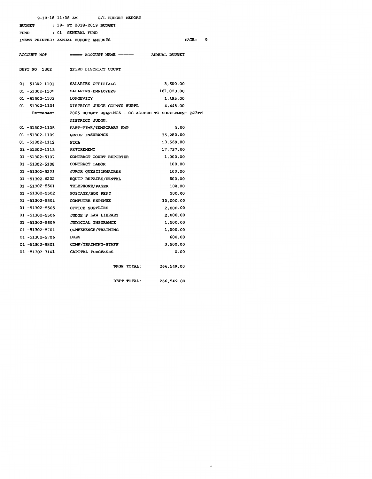|                | 9-18-18 11:08 AM<br><b>G/L BUDGET REPORT</b>         |                      |
|----------------|------------------------------------------------------|----------------------|
| <b>BUDGET</b>  | : 19- FY 2018-2019 BUDGET                            |                      |
| FUND           | : 01<br>GENERAL FUND                                 |                      |
|                | ITEMS PRINTED: ANNUAL BUDGET AMOUNTS                 | PAGE:                |
| ACCOUNT NO#    | ===== ACCOUNT NAME ======                            | <b>ANNUAL BUDGET</b> |
| DEPT NO: 1302  | 223RD DISTRICT COURT                                 |                      |
| 01 -51302-1101 | <b>SALARIES-OFFICIALS</b>                            | 3,600.00             |
| 01 -51302-1102 | <b>SALARIES-EMPLOYEES</b>                            | 167,823.00           |
| 01 -51302-1103 | <b>LONGEVITY</b>                                     | 1,495.00             |
| 01 -51302-1104 | DISTRICT JUDGE COUNTY SUPPL                          | 4,445.00             |
| Permanent      | 2005 BUDGET HEARINGS - CC AGREED TO SUPPLEMENT 223rd |                      |
|                | DISTRICT JUDGE.                                      |                      |
| 01 -51302-1105 | PART-TIME/TEMPORARY EMP                              | 0.00                 |
| 01 -51302-1109 | <b>GROUP INSURANCE</b>                               | 35,280.00            |
| 01 -51302-1112 | FICA                                                 | 13,569.00            |
| 01 -51302-1113 | <b>RETIREMENT</b>                                    | 17,737.00            |
| 01 -51302-5107 | CONTRACT COURT REPORTER                              | 1,000.00             |
| 01 -51302-5108 | CONTRACT LABOR                                       | 100.00               |
| 01 -51302-5201 | <b>JUROR QUESTIONNAIRES</b>                          | 100.00               |
| 01 -51302-5202 | <b>EQUIP REPAIRS/RENTAL</b>                          | 500.00               |
| 01 -51302-5501 | <b>TELEPHONE/PAGER</b>                               | 100.00               |
| 01 -51302-5502 | POSTAGE/BOX RENT                                     | 200.00               |
| 01 -51302-5504 | <b>COMPUTER EXPENSE</b>                              | 10,000.00            |
| 01 -51302-5505 | OFFICE SUPPLIES                                      | 2,000.00             |
| 01 -51302-5506 | JUDGE'S LAW LIBRARY                                  | 2,000.00             |
| 01 -51302-5609 | JUDICIAL INSURANCE                                   | 1,500.00             |
| 01 -51302-5701 | CONFERENCE/TRAINING                                  | 1,000.00             |
| 01 -51302-5706 | <b>DUES</b>                                          | 600.00               |
| 01 -51302-5801 | <b>CONF/TRAINING-STAFF</b>                           | 3,500.00             |
| 01 -51302-7101 | <b>CAPITAL PURCHASES</b>                             | 0.00                 |
|                | PAGE TOTAL:                                          | 266,549.00           |
|                | DEPT TOTAL:                                          | 266,549.00           |

9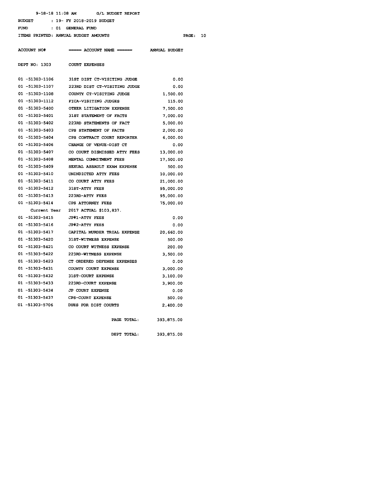BUDGET 19- *F'i* 2018-2019 BUDGET

FUND : 01 GENERAL FUND

ITEMS PRINTED: ANNUAL BUDGET AMOUNTS

PAGE: 10

ACCOUNT NO# ====== ACCOUNT NAME ====== ANNUAL BUDGET

DEPT NO: 1303 COURT EXPENSES

| 01 -51303-1106 | 31ST DIST CT-VISITING JUDGE  | 0.00       |
|----------------|------------------------------|------------|
| 01 -51303-1107 | 223RD DIST CT-VISITING JUDGE | 0.00       |
| 01 -51303-1108 | COUNTY CT-VISITING JUDGE     | 1,500.00   |
| 01 -51303-1112 | FICA-VISITING JUDGES         | 115.00     |
| 01 -51303-5400 | OTHER LITIGATION EXPENSE     | 7,500.00   |
| 01 -51303-5401 | 31ST STATEMENT OF FACTS      | 7,000.00   |
| 01 -51303-5402 | 223RD STATEMENTS OF FACT     | 5,000.00   |
| 01 -51303-5403 | CPS STATEMENT OF FACTS       | 2,000.00   |
| 01 -51303-5404 | CPS CONTRACT COURT REPORTER  | 6,000.00   |
| 01 -51303-5406 | CHANGE OF VENUE-DIST CT      | 0.00       |
| 01 -51303-5407 | CO COURT DISMISSED ATTY FEES | 13,000.00  |
| 01 -51303-5408 | MENTAL COMMITMENT FEES       | 17,500.00  |
| 01 -51303-5409 | SEXUAL ASSAULT EXAM EXPENSE  | 500.00     |
| 01 -51303-5410 | UNINDICTED ATTY FEES         | 10,000.00  |
| 01 -51303-5411 | CO COURT ATTY FEES           | 21,000.00  |
| 01 -51303-5412 | <b>31ST-ATTY FEES</b>        | 95,000.00  |
| 01 -51303-5413 | 223RD-ATTY FEES              | 95,000.00  |
| 01 -51303-5414 | CPS ATTORNEY FEES            | 75,000.00  |
| Current Year   | 2017 ACTUAL \$103,837.       |            |
| 01 -51303-5415 | JP#1-ATTY FEES               | 0.00       |
| 01 -51303-5416 | JP#2-ATTY FEES               | 0.00       |
| 01 -51303-5417 | CAPITAL MURDER TRIAL EXPENSE | 20,660.00  |
| 01 -51303-5420 | 31ST-WITNESS EXPENSE         | 500.00     |
| 01 -51303-5421 | CO COURT WITNESS EXPENSE     | 200.00     |
| 01 -51303-5422 | 223RD-WITNESS EXPENSE        | 3,500.00   |
| 01 -51303-5423 | CT ORDERED DEFENSE EXPENSES  | 0.00       |
| 01 -51303-5431 | COUNTY COURT EXPENSE         | 3,000.00   |
| 01 -51303-5432 | 31ST-COURT EXPENSE           | 3,100.00   |
| 01 -51303-5433 | 223RD-COURT EXPENSE          | 3,900.00   |
| 01 -51303-5434 | <b>JP COURT EXPENSE</b>      | 0.00       |
| 01 -51303-5437 | <b>CPS-COURT EXPENSE</b>     | 500.00     |
| 01 -51303-5706 | DUES FOR DIST COURTS         | 2,400.00   |
|                | PAGE TOTAL:                  | 393,875.00 |

DEPT TOTAL: 393,875.00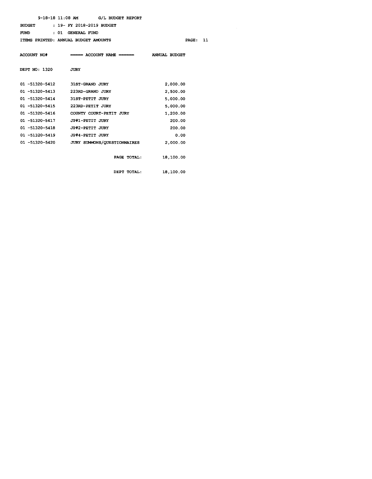|                                      | $9-18-18$ 11:08 AM $G/L$ BUDGET REPORT              |           |
|--------------------------------------|-----------------------------------------------------|-----------|
| <b>BUDGET</b>                        | : 19- FY 2018-2019 BUDGET                           |           |
| <b>FUND</b>                          | : 01 GENERAL FUND                                   |           |
| ITEMS PRINTED: ANNUAL BUDGET AMOUNTS |                                                     | PAGE: 11  |
|                                      |                                                     |           |
|                                      | ACCOUNT NO# ===== ACCOUNT NAME ====== ANNUAL BUDGET |           |
|                                      |                                                     |           |
| DEPT NO: 1320                        | <b>JURY</b>                                         |           |
|                                      |                                                     |           |
| 01 -51320-5412 31ST-GRAND JURY       |                                                     | 2,000.00  |
| 01 -51320-5413                       | 223RD-GRAND JURY                                    | 2,500.00  |
| 01 -51320-5414                       | 31ST-PETIT JURY                                     | 5,000.00  |
| 01 -51320-5415                       | 223RD-PETIT JURY                                    | 5,000.00  |
| 01 -51320-5416                       | COUNTY COURT-PETIT JURY                             | 1,200.00  |
| 01 -51320-5417                       | JP#1-PETIT JURY                                     | 200.00    |
| 01 -51320-5418                       | JP#2-PETIT JURY                                     | 200.00    |
| 01 -51320-5419 JP#4-PETIT JURY       |                                                     | 0.00      |
| 01 -51320-5420                       | JURY SUMMONS/QUESTIONNAIRES                         | 2,000.00  |
|                                      |                                                     |           |
|                                      | PAGE TOTAL:                                         | 18,100.00 |
|                                      |                                                     |           |
|                                      | DEPT TOTAL:                                         | 18,100.00 |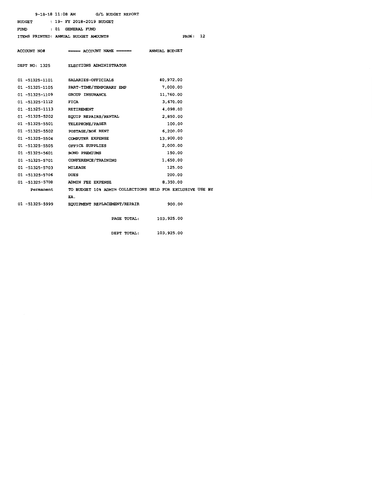|                                      | 9-18-18 11:08 AM G/L BUDGET REPORT                                  |                    |
|--------------------------------------|---------------------------------------------------------------------|--------------------|
| BUDGET : 19- FY 2018-2019 BUDGET     |                                                                     |                    |
| <b>FUND</b>                          | : 01 GENERAL FUND                                                   |                    |
| ITEMS PRINTED: ANNUAL BUDGET AMOUNTS |                                                                     | <b>PAGE:</b><br>12 |
|                                      |                                                                     |                    |
|                                      | ACCOUNT NO# ***** ACCOUNT NAME ****** ANNUAL BUDGET                 |                    |
|                                      |                                                                     |                    |
| DEPT NO: 1325                        | <b>ELECTIONS ADMINISTRATOR</b>                                      |                    |
|                                      |                                                                     |                    |
|                                      | 01 -51325-1101 SALARIES-OFFICIALS                                   | 40,972.00          |
|                                      | 01 -51325-1105 PART-TIME/TEMPORARY EMP                              | 7,000.00           |
| 01 -51325-1109 GROUP INSURANCE       |                                                                     | 11,760.00          |
| 01 -51325-1112 FICA                  |                                                                     | 3,670.00           |
| 01 -51325-1113                       | <b>RETIREMENT</b>                                                   | 4,098.00           |
|                                      | 01 -51325-5202 EQUIP REPAIRS/RENTAL                                 | 2,850.00           |
| 01 -51325-5501 TELEPHONE/PAGER       |                                                                     | 100.00             |
| 01 -51325-5502                       | <b>POSTAGE/BOX RENT</b>                                             | 6,200.00           |
| 01 -51325-5504                       | <b>COMPUTER EXPENSE</b>                                             | 13,900.00          |
| 01 -51325-5505 OFFICE SUPPLIES       |                                                                     | 2,000.00           |
| 01 -51325-5601 BOND PREMIUMS         |                                                                     | 150.00             |
| 01 -51325-5701                       | <b>CONFERENCE/TRAINING</b>                                          | 1,650.00           |
| 01 -51325-5703                       | <b>MILEAGE</b>                                                      | 125.00             |
| 01 -51325-5706                       | <b>DUES</b>                                                         | 200.00             |
| 01 -51325-5708                       | ADMIN FEE EXPENSE                                                   | 8,350.00           |
|                                      | Permanent TO BUDGET 10% ADMIN COLLECTIONS HELD FOR EXCLUSIVE USE BY |                    |
|                                      | EA.                                                                 |                    |
| 01 -51325-5999                       | EQUIPMENT REPLACEMENT/REPAIR                                        | 900.00             |
|                                      |                                                                     |                    |
|                                      | PAGE TOTAL:                                                         | 103,925.00         |
|                                      |                                                                     |                    |
|                                      | DEPT TOTAL:                                                         | 103,925.00         |
|                                      |                                                                     |                    |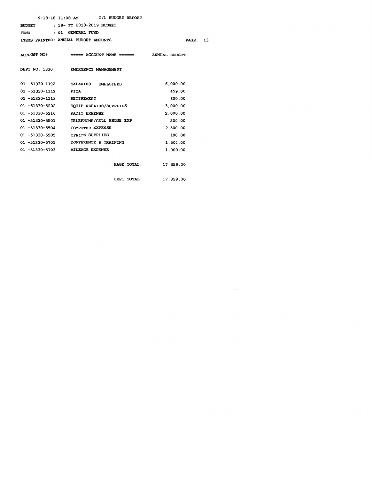|                | $9-18-18$ 11:08 AM G/L BUDGET REPORT<br>BUDGET : 19- FY 2018-2019 BUDGET |               |
|----------------|--------------------------------------------------------------------------|---------------|
| <b>FUND</b>    | : 01 GENERAL FUND                                                        |               |
|                | ITEMS PRINTED: ANNUAL BUDGET AMOUNTS                                     | PAGE: 13      |
|                | $\text{ACCOUNT}$ NO# $\text{RUCOUNT}$ NAME $\text{R}=$                   | ANNUAL BUDGET |
|                | DEPT NO: 1330 EMERGENCY MANAGEMENT                                       |               |
|                |                                                                          |               |
|                | 01 -51330-1102 SALARIES - EMPLOYEES                                      | 6,000.00      |
| 01 -51330-1112 | <b>FICA</b>                                                              | 459.00        |
| 01 -51330-1113 | <b>RETIREMENT</b>                                                        | 600.00        |
| 01 -51330-5202 | <b>EQUIP REPAIRS/SUPPLIES</b>                                            | 3,000.00      |
| 01 -51330-5216 | <b>RADIO EXPENSE</b>                                                     | 2,000.00      |
| 01 -51330-5501 | TELEPHONE/CELL PHONE EXP                                                 | 200.00        |
| 01 -51330-5504 | <b>COMPUTER EXPENSE</b>                                                  | 2,500.00      |
| 01 -51330-5505 | OFFICE SUPPLIES                                                          | 100.00        |
| 01 -51330-5701 | CONFERENCE & TRAINING                                                    | 1,500.00      |
| 01 -51330-5703 | MILEAGE EXPENSE                                                          | 1,000.00      |
|                | PAGE TOTAL:                                                              | 17,359.00     |

DEPT TOTAL: 17,359.00

 $\sim 10^{11}$  km  $^{-1}$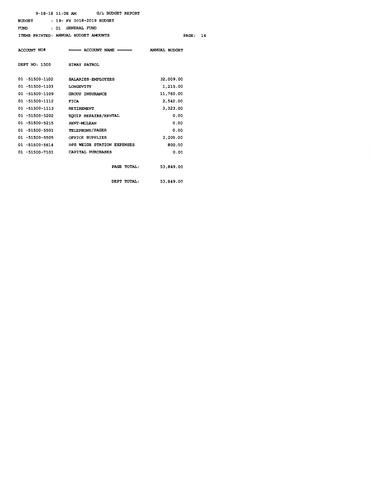|                           | $9-18-18$ 11:08 AM G/L BUDGET REPORT                      |             |
|---------------------------|-----------------------------------------------------------|-------------|
|                           | BUDGET : 19- FY 2018-2019 BUDGET                          |             |
|                           | FUND : 01 GENERAL FUND                                    |             |
|                           | ITEMS PRINTED: ANNUAL BUDGET AMOUNTS                      | PAGE:<br>14 |
|                           |                                                           |             |
|                           | ACCOUNT NO# $\qquad \qquad \qquad = \qquad$ ANNUAL BUDGET |             |
|                           |                                                           |             |
|                           | DEPT NO: 1500 HIWAY PATROL                                |             |
|                           |                                                           |             |
|                           | 01 -51500-1102 SALARIES-EMPLOYEES                         | 32,009.00   |
| 01 -51500-1103 LONGEVITY  |                                                           | 1,215.00    |
|                           | 01 -51500-1109 GROUP INSURANCE                            | 11,760.00   |
| 01 -51500-1112            | <b>FICA</b>                                               | 2,542.00    |
| 01 -51500-1113 RETIREMENT |                                                           | 3,323.00    |
|                           | 01 -51500-5202 EQUIP REPAIRS/RENTAL                       | 0.00        |
|                           | 01 -51500-5215 RENT-MCLEAN                                | 0.00        |
|                           | 01 -51500-5501 TELEPHONE/PAGER                            | 0.00        |
|                           | 01 -51500-5505 OFFICE SUPPLIES                            | 2,200.00    |
|                           | 01 -51500-5614 DPS WEIGH STATION EXPENSES                 | 800.00      |
|                           | 01 -51500-7101 CAPITAL PURCHASES                          | 0.00        |
|                           |                                                           |             |
|                           | PAGE TOTAL:                                               | 53,849.00   |
|                           |                                                           |             |
|                           | DEPT TOTAL:                                               | 53,849.00   |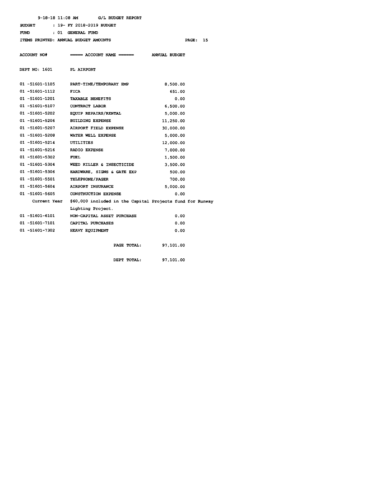|                                      | $9-18-18$ 11:08 AM G/L BUDGET REPORT                                   |           |               |    |
|--------------------------------------|------------------------------------------------------------------------|-----------|---------------|----|
| <b>BUDGET</b>                        | : 19- FY 2018-2019 BUDGET                                              |           |               |    |
| FUND                                 | : 01 GENERAL FUND                                                      |           |               |    |
| ITEMS PRINTED: ANNUAL BUDGET AMOUNTS |                                                                        |           | <b>PAGE :</b> | 15 |
|                                      |                                                                        |           |               |    |
| ACCOUNT NO#                          | $=\!=\!=\!=$ ACCOUNT NAME $=\!=\!=\!=\!=$ ANNUAL BUDGET                |           |               |    |
|                                      |                                                                        |           |               |    |
| DEPT NO: 1601 PL AIRPORT             |                                                                        |           |               |    |
|                                      |                                                                        |           |               |    |
| 01 -51601-1105                       | PART-TIME/TEMPORARY EMP                                                | 8,500.00  |               |    |
| 01 -51601-1112                       | <b>FICA</b>                                                            | 651.00    |               |    |
| 01 -51601-1201                       | TAXABLE BENEFITS                                                       | 0.00      |               |    |
| 01 -51601-5107                       | <b>CONTRACT LABOR</b>                                                  | 6,500.00  |               |    |
| 01 -51601-5202                       | <b>EQUIP REPAIRS/RENTAL</b>                                            | 5,000.00  |               |    |
| 01 -51601-5206 BUILDING EXPENSE      |                                                                        | 11,250.00 |               |    |
|                                      | 01 -51601-5207 AIRPORT FIELD EXPENSE                                   | 30,000.00 |               |    |
|                                      | 01 -51601-5208 WATER WELL EXPENSE                                      | 5,000.00  |               |    |
| 01 -51601-5214                       | UTILITIES                                                              | 12,000.00 |               |    |
| 01 -51601-5216                       | <b>RADIO EXPENSE</b>                                                   | 7,000.00  |               |    |
| 01 -51601-5302 FUEL                  |                                                                        | 1,500.00  |               |    |
|                                      | 01 -51601-5304 WEED KILLER & INSECTICIDE                               | 3,500.00  |               |    |
| 01 -51601-5306                       | HARDWARE, SIGNS & GATE EXP                                             | 500.00    |               |    |
| 01 -51601-5501                       | <b>TELEPHONE/PAGER</b>                                                 | 700.00    |               |    |
| 01 -51601-5604                       | AIRPORT INSURANCE                                                      | 5,000.00  |               |    |
|                                      | 01 -51601-5605 CONSTRUCTION EXPENSE                                    | 0.00      |               |    |
|                                      | Current Year \$60,000 included in the Capital Projects fund for Runway |           |               |    |
|                                      | Lighting Project.                                                      |           |               |    |
| 01 -51601-6101                       | NON-CAPITAL ASSET PURCHASE                                             | 0.00      |               |    |
| 01 -51601-7101                       | <b>CAPITAL PURCHASES</b>                                               | 0.00      |               |    |
| 01 -51601-7302 HEAVY EQUIPMENT       |                                                                        | 0.00      |               |    |
|                                      |                                                                        |           |               |    |
|                                      | PAGE TOTAL:                                                            | 97,101.00 |               |    |
|                                      | DEPT TOTAL:                                                            | 97,101.00 |               |    |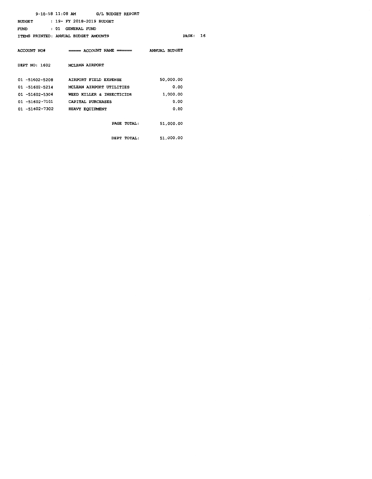|                | $9-18-18$ 11:08 AM G/L BUDGET REPORT                |                                              |    |
|----------------|-----------------------------------------------------|----------------------------------------------|----|
|                | BUDGET : 19- FY 2018-2019 BUDGET                    |                                              |    |
| <b>FUND</b>    | : 01 GENERAL FUND                                   |                                              |    |
|                | ITEMS PRINTED: ANNUAL BUDGET AMOUNTS                | $\mathbf{P}\mathbf{A}\mathbf{G}\mathbf{E}$ : | 16 |
|                |                                                     |                                              |    |
|                | ACCOUNT NO# ===== ACCOUNT NAME ====== ANNUAL BUDGET |                                              |    |
|                |                                                     |                                              |    |
|                | DEPT NO: 1602 MCLEAN AIRPORT                        |                                              |    |
|                |                                                     |                                              |    |
|                | 01 -51602-5208 AIRPORT FIELD EXPENSE                | 50,000.00                                    |    |
| 01 -51602-5214 | MCLEAN AIRPORT UTILITIES                            | 0.00                                         |    |
| 01 -51602-5304 | WEED KILLER & INSECTICIDE                           | 1,000.00                                     |    |
| 01 -51602-7101 | CAPITAL PURCHASES                                   | 0.00                                         |    |
| 01 -51602-7302 | HEAVY EQUIPMENT                                     | 0.00                                         |    |
|                |                                                     |                                              |    |
|                | PAGE TOTAL:                                         | 51,000.00                                    |    |
|                |                                                     |                                              |    |
|                |                                                     | DEPT TOTAL: 51,000.00                        |    |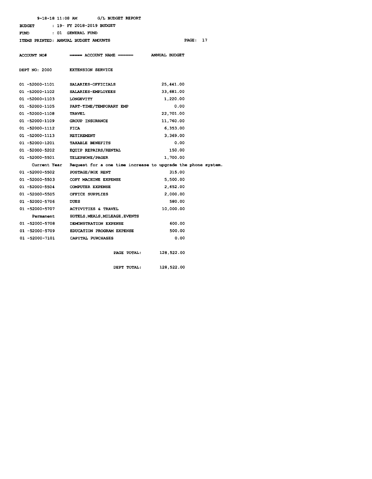| 9-18-18 11:08 AM                     | G/L BUDGET REPORT                                                         |                        |
|--------------------------------------|---------------------------------------------------------------------------|------------------------|
| <b>BUDGET</b>                        | : 19- FY 2018-2019 BUDGET                                                 |                        |
| FUND                                 | : 01 GENERAL FUND                                                         |                        |
| ITEMS PRINTED: ANNUAL BUDGET AMOUNTS |                                                                           | 17<br>$\mathbf{PAGE:}$ |
|                                      |                                                                           |                        |
| ACCOUNT NO#                          | ===== ACCOUNT NAME ====== ANNUAL BUDGET                                   |                        |
|                                      |                                                                           |                        |
| DEPT NO: 2000                        | <b>EXTENSION SERVICE</b>                                                  |                        |
|                                      |                                                                           |                        |
| 01 -52000-1101                       | <b>SALARIES-OFFICIALS</b>                                                 | 25,441.00              |
| 01 -52000-1102 SALARIES-EMPLOYEES    |                                                                           | 33,681.00              |
| 01 -52000-1103 LONGEVITY             |                                                                           | 1,220.00               |
|                                      | 01 -52000-1105 PART-TIME/TEMPORARY EMP                                    | 0.00                   |
| 01 -52000-1108                       | <b>TRAVEL</b>                                                             | 22,701.00              |
| 01 -52000-1109                       | <b>GROUP INSURANCE</b>                                                    | 11,760.00              |
| 01 -52000-1112                       | <b>FICA</b>                                                               | 6,353.00               |
| 01 -52000-1113                       | <b>RETIREMENT</b>                                                         | 3,369.00               |
| 01 -52000-1201 TAXABLE BENEFITS      |                                                                           | 0.00                   |
|                                      | 01 -52000-5202 EQUIP REPAIRS/RENTAL                                       | 150.00                 |
| 01 -52000-5501 TELEPHONE/PAGER       |                                                                           | 1,700.00               |
|                                      | Current Year Request for a one time increase to upgrade the phone system. |                        |
| 01 -52000-5502                       | <b>POSTAGE/BOX RENT</b>                                                   | 315.00                 |
| 01 -52000-5503                       | COPY MACHINE EXPENSE                                                      | 5,500.00               |
| 01 -52000-5504 COMPUTER EXPENSE      |                                                                           | 2,652.00               |
| 01 -52000-5505                       | OFFICE SUPPLIES                                                           | 2,000.00               |
| 01 -52000-5706                       | <b>DUES</b>                                                               | 580.00                 |
| 01 -52000-5707                       | ACTIVITIES & TRAVEL                                                       | 10,000.00              |
| Permanent                            | <b>HOTELS, MEALS, MILEAGE, EVENTS</b>                                     |                        |
| 01 -52000-5708                       | DEMONSTRATION EXPENSE                                                     | 600.00                 |
| 01 -52000-5709                       | EDUCATION PROGRAM EXPENSE                                                 | 500.00                 |
| 01 -52000-7101 CAPITAL PURCHASES     |                                                                           | 0.00                   |
|                                      |                                                                           |                        |
|                                      | PAGE TOTAL:                                                               | 128,522.00             |
|                                      | DEPT TOTAL:                                                               | 128,522.00             |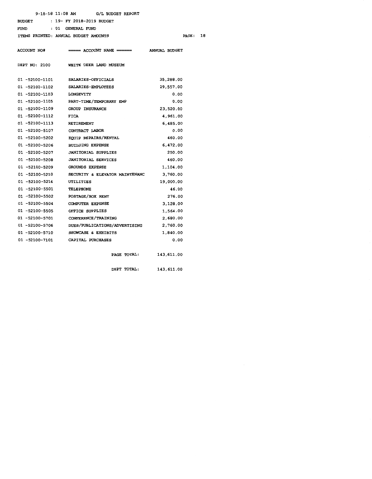|      |                    | $9-18-18$ 11:08 AM G/L BUDGET REPORT                              |                        |    |
|------|--------------------|-------------------------------------------------------------------|------------------------|----|
|      | <b>BUDGET</b>      | : 19- FY 2018-2019 BUDGET                                         |                        |    |
| FUND |                    | : 01 GENERAL FUND                                                 |                        |    |
|      |                    | ITEMS PRINTED: ANNUAL BUDGET AMOUNTS                              | <b>PAGE :</b>          | 18 |
|      |                    |                                                                   |                        |    |
|      | <b>ACCOUNT NO#</b> | $\equiv \equiv \equiv$ ACCOUNT NAME $\equiv \equiv \equiv \equiv$ | <b>ANNUAL BUDGET</b>   |    |
|      |                    | WHITE DEER LAND MUSEUM                                            |                        |    |
|      | DEPT NO: 2100      |                                                                   |                        |    |
|      | 01 -52100-1101     | <b>SALARIES-OFFICIALS</b>                                         | 35,288.00              |    |
|      |                    | 01 -52100-1102 SALARIES-EMPLOYEES                                 | 29,557.00              |    |
|      |                    | 01 -52100-1103 LONGEVITY                                          | 0.00                   |    |
|      | 01 -52100-1105     | PART-TIME/TEMPORARY EMP                                           | 0.00                   |    |
|      | 01 -52100-1109     | GROUP INSURANCE                                                   | 23,520.00              |    |
|      | 01 -52100-1112     | <b>FICA</b>                                                       | 4,961.00               |    |
|      | 01 -52100-1113     | RETIREMENT                                                        | 6,485.00               |    |
|      | 01 -52100-5107     | CONTRACT LABOR                                                    | 0.00                   |    |
|      | 01 -52100-5202     | EQUIP REPAIRS/RENTAL                                              | 460.00                 |    |
|      | 01 -52100-5206     | <b>BUILDING EXPENSE</b>                                           | 6,472.00               |    |
|      | 01 -52100-5207     | <b>JANITORIAL SUPPLIES</b>                                        | 250.00                 |    |
|      | 01 -52100-5208     | <b>JANITORIAL SERVICES</b>                                        | 460.00                 |    |
|      | 01 -52100-5209     | <b>GROUNDS EXPENSE</b>                                            | 1,104.00               |    |
|      | 01 -52100-5210     | SECURITY & ELEVATOR MAINTENANC                                    | 3,760.00               |    |
|      | 01 -52100-5214     | <b>UTILITIES</b>                                                  | 19,000.00              |    |
|      | 01 -52100-5501     | <b>TELEPHONE</b>                                                  | 46.00                  |    |
|      | 01 -52100-5502     | POSTAGE/BOX RENT                                                  | 276.00                 |    |
|      | 01 -52100-5504     | COMPUTER EXPENSE                                                  | 3,128.00               |    |
|      | 01 -52100-5505     | OFFICE SUPPLIES                                                   | 1,564.00               |    |
|      | 01 -52100-5701     | CONFERENCE/TRAINING                                               | 2,680.00               |    |
|      | 01 -52100-5706     | <b>DUES/PUBLICATIONS/ADVERTISING</b>                              | 2,760.00               |    |
|      | 01 -52100-5710     | SHOWCASE & EXHIBITS                                               | 1,840.00               |    |
|      |                    | 01 -52100-7101 CAPITAL PURCHASES                                  | 0.00                   |    |
|      |                    |                                                                   |                        |    |
|      |                    |                                                                   | PAGE TOTAL: 143,611.00 |    |
|      |                    |                                                                   |                        |    |
|      |                    | DEPT TOTAL:                                                       | 143,611.00             |    |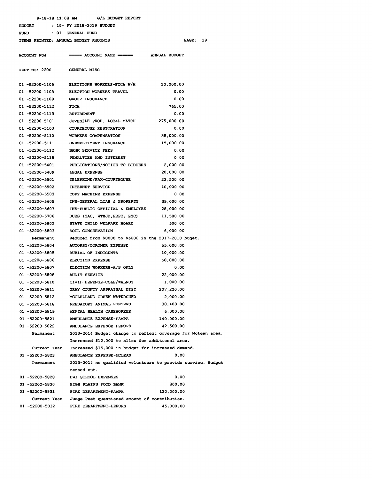BUDGET 19- F'f 2018-2019 BUDGET

FUND 01 GENERAL FUND

ITEMS PRINTED: ANNUAL BUDGET AMOUNTS PAGE: 19

| ACCOUNT NO#    | $\frac{1}{1}$ ===== ACCOUNT NAME ======                                        | ANNUAL BUDGET |
|----------------|--------------------------------------------------------------------------------|---------------|
| DEPT NO: 2200  | GENERAL MISC.                                                                  |               |
|                |                                                                                |               |
| 01 -52200-1105 | ELECTIONS WORKERS-FICA W/H 10,000.00                                           |               |
| 01 -52200-1108 | ELECTION WORKERS TRAVEL                                                        | 0.00          |
| 01 -52200-1109 | GROUP INSURANCE                                                                | 0.00          |
| 01 -52200-1112 | FICA                                                                           | 765.00        |
| 01 -52200-1113 | <b>RETIREMENT</b>                                                              | 0.00          |
| 01 -52200-5101 | JUVENILE PROB.-LOCAL MATCH                                                     | 275,000.00    |
| 01 -52200-5103 | COURTHOUSE RESTORATION                                                         | 0.00          |
| 01 -52200-5110 | WORKERS COMPENSATION                                                           | 85,000.00     |
| 01 -52200-5111 | UNEMPLOYMENT INSURANCE                                                         | 15,000.00     |
| 01 -52200-5112 | BANK SERVICE FEES                                                              | 0.00          |
| 01 -52200-5115 | PENALTIES AND INTEREST                                                         | 0.00          |
| 01 -52200-5401 | PUBLICATIONS/NOTICE TO BIDDERS 2,000.00                                        |               |
| 01 -52200-5409 | LEGAL EXPENSE                                                                  | 20,000.00     |
| 01 -52200-5501 | <b>TELEPHONE/FAX-COURTHOUSE</b>                                                | 22,500.00     |
| 01 -52200-5502 | INTERNET SERVICE                                                               | 10,000.00     |
| 01 -52200-5503 | COPY MACHINE EXPENSE                                                           | 0.00          |
| 01 -52200-5605 | INS-GENERAL LIAB & PROPERTY                                                    | 39,000.00     |
| 01 -52200-5607 | INS-PUBLIC OFFICIAL & EMPLOYEE                                                 | 28,000.00     |
| 01 -52200-5706 | DUES (TAC, WTXJD, PRPC, ETC)                                                   | 11,500.00     |
| 01 -52200-5802 | STATE CHILD WELFARE BOARD                                                      | 500.00        |
| 01 -52200-5803 | SOIL CONSERVATION                                                              | 6,000.00      |
| Permanent      | Reduced from \$8000 to \$6000 in the 2017-2018 buget.                          |               |
| 01 -52200-5804 | <b>AUTOPSY/CORONER EXPENSE</b>                                                 | 55,000.00     |
| 01 -52200-5805 | BURIAL OF INDIGENTS                                                            | 10,000.00     |
| 01 -52200-5806 | ELECTION EXPENSE                                                               | 50,000.00     |
| 01 -52200-5807 | ELECTION WORKERS-A/P ONLY                                                      | 0.00          |
| 01 -52200-5808 | <b>AUDIT SERVICE</b>                                                           | 22,000.00     |
| 01 -52200-5810 | CIVIL DEFENSE-COLE/WALNUT                                                      | 1,000.00      |
| 01 -52200-5811 | GRAY COUNTY APPRAISAL DIST                                                     | 207,220.00    |
| 01 -52200-5812 | MCCLELLAND CREEK WATERSHED                                                     | 2,000.00      |
| 01 -52200-5818 | PREDATORY ANIMAL HUNTERS                                                       | 38,400.00     |
| 01 -52200-5819 | MENTAL HEALTH CASEWORKER                                                       | 6,000.00      |
| 01 -52200-5821 | AMBULANCE EXPENSE-PAMPA                                                        | 140,000.00    |
| 01 -52200-5822 | AMBULANCE EXPENSE-LEFORS                                                       | 42,500.00     |
| Permanent      | 2013-2014 Budget change to reflect coverage for McLean area.                   |               |
| Current Year   | Increased \$12,000 to allow for additional area.                               |               |
| 01 -52200-5823 | Increased \$15,000 in budget for increased demand.<br>AMBULANCE EXPENSE-MCLEAN | 0.00          |
|                |                                                                                |               |
| Permanent      | 2013-2014 no qualified volunteers to provide service. Budget                   |               |
| 01 -52200-5828 | zeroed out.<br>DWI SCHOOL EXPENSES                                             | 0.00          |
| 01 -52200-5830 | HIGH PLAINS FOOD BANK                                                          | 800.00        |
| 01 -52200-5831 | FIRE DEPARTMENT-PAMPA                                                          | 120,000.00    |
| Current Year   | Judge Peet questioned amount of contribution.                                  |               |
| 01 -52200-5832 | FIRE DEPARTMENT-LEFORS                                                         | 45,000.00     |
|                |                                                                                |               |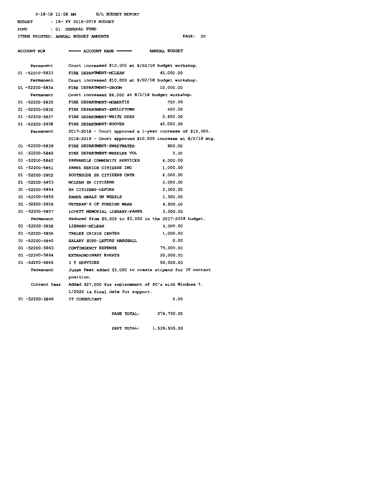|                                            | 9-18-18 11:08 AM    |                                       | G/L BUDGET REPORT                                            |                                                                     |    |
|--------------------------------------------|---------------------|---------------------------------------|--------------------------------------------------------------|---------------------------------------------------------------------|----|
| : 19- FY 2018-2019 BUDGET<br><b>BUDGET</b> |                     |                                       |                                                              |                                                                     |    |
| FUND                                       |                     | : 01 GENERAL FUND                     |                                                              |                                                                     |    |
|                                            |                     | ITEMS PRINTED: ANNUAL BUDGET AMOUNTS  |                                                              | $\mathbf{PAGE:}$                                                    | 20 |
|                                            |                     |                                       |                                                              |                                                                     |    |
| ACCOUNT NO#                                |                     |                                       | ===== ACCOUNT NAME ======    ANNUAL BUDGET                   |                                                                     |    |
|                                            |                     |                                       |                                                              |                                                                     |    |
| Permanent                                  |                     |                                       |                                                              | Court increased \$10,000 at 8/02/18 budget workshop.                |    |
| 01 -52200-5833                             |                     | FIRE DEPARTMENT-MCLEAN                |                                                              | 45,000.00                                                           |    |
|                                            |                     |                                       |                                                              | Permanent Court increased \$10,000 at 8/02/18 budget workshop.      |    |
|                                            |                     | 01 -52200-5834 FIRE DEPARTMENT-GROOM  |                                                              | 10,000.00                                                           |    |
|                                            |                     |                                       | Permanent Court increased \$6,000 at 8/2/18 budget workshop. |                                                                     |    |
|                                            |                     |                                       | 01 -52200-5835 FIRE DEPARTMENT-MOBEETIE                      | 750.00                                                              |    |
| 01 -52200-5836                             |                     |                                       | FIRE DEPARTMENT-SKELLYTOWN                                   | 600.00                                                              |    |
| 01 -52200-5837                             |                     |                                       | FIRE DEPARTMENT-WHITE DEER                                   | 3,600.00                                                            |    |
|                                            |                     | 01 -52200-5838 FIRE DEPARTMENT-HOOVER |                                                              | 45,000.00                                                           |    |
|                                            |                     |                                       |                                                              | Permanent 2017-2018 - Court approved a 1-year increase of \$15,000. |    |
|                                            |                     |                                       |                                                              | $2018 - 2019$ - Court approved \$10,000 increase at 8/2/18 mtg.     |    |
| 01 -52200-5839                             |                     |                                       | FIRE DEPARTMENT-SWEETWATER                                   | 800.00                                                              |    |
| 01 -52200-5840                             |                     |                                       | FIRE DEPARTMENT-WHEELER VOL                                  | 0.00                                                                |    |
| 01 -52200-5842                             |                     |                                       | PANHANDLE COMMUNITY SERVICES 4,000.00                        |                                                                     |    |
| 01 -52200-5851                             |                     |                                       | PAMPA SENIOR CITIZENS INC                                    | 1,000.00                                                            |    |
| 01 -52200-5852                             |                     |                                       | SOUTHSIDE SR CITIZENS CNTR                                   | 2,000.00                                                            |    |
| 01 -52200-5853                             |                     | MCLEAN SR CITIZENS                    |                                                              | 2,000.00                                                            |    |
| 01 -52200-5854                             |                     | SR CITIZENS-LEFORS                    |                                                              | 2,000.00                                                            |    |
| 01 -52200-5855                             |                     | PAMPA MEALS ON WHEELS                 |                                                              | 1,500.00                                                            |    |
| 01 -52200-5856                             |                     |                                       | VETERAN'S OF FOREIGN WARS                                    | 4,500.00                                                            |    |
| 01 -52200-5857                             |                     |                                       | LOVETT MEMORIAL LIBRARY-PAMPA                                | 3,000.00                                                            |    |
|                                            | Permanent           |                                       |                                                              | Reduced from \$5,000 to \$3,000 in the 2017-2018 budget.            |    |
| 01 -52200-5858                             |                     | <b>LIBRARY-MCLEAN</b>                 |                                                              | 3,000.00                                                            |    |
| 01 -52200-5859                             |                     | <b>TRALEE CRISIS CENTER</b>           |                                                              | 1,000.00                                                            |    |
| 01 -52200-5860                             |                     |                                       | SALARY SUPP-LEFORS MARSHALL                                  | 0.00                                                                |    |
| 01 -52200-5863                             |                     | CONTINGENCY EXPENSE                   |                                                              | 75,000.00                                                           |    |
| 01 -52200-5864                             |                     | <b>EXTRAORDINARY EVENTS</b>           |                                                              | 20,000.00                                                           |    |
|                                            |                     | 01 -52200-5865 I T SERVICES           |                                                              | 50,000.00                                                           |    |
|                                            | Permanent           |                                       |                                                              | Judge Peet added \$3,000 to create stipend for IT contact           |    |
|                                            |                     | position.                             |                                                              |                                                                     |    |
|                                            | <b>Current Year</b> |                                       |                                                              | Added \$27,000 for replacement of PC's with Windows 7.              |    |
|                                            |                     |                                       | 1/2020 is final date for support.                            |                                                                     |    |
| 01 -52200-5866                             |                     | IT CONSULTANT                         |                                                              | 0.00                                                                |    |
|                                            |                     |                                       |                                                              |                                                                     |    |
|                                            |                     |                                       | PAGE TOTAL:                                                  | 274,750.00                                                          |    |
|                                            |                     |                                       |                                                              |                                                                     |    |
|                                            |                     |                                       | DEPT TOTAL:                                                  | 1,539,935.00                                                        |    |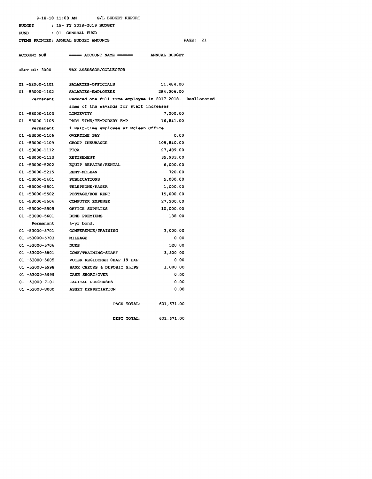|                                            | 9-18-18 11:08 AM<br>G/L BUDGET REPORT                              |                      |                    |
|--------------------------------------------|--------------------------------------------------------------------|----------------------|--------------------|
| : 19- FY 2018-2019 BUDGET<br><b>BUDGET</b> |                                                                    |                      |                    |
| FUND                                       | : 01 GENERAL FUND                                                  |                      |                    |
|                                            | ITEMS PRINTED: ANNUAL BUDGET AMOUNTS                               |                      | 21<br><b>PAGE:</b> |
|                                            |                                                                    |                      |                    |
| <b>ACCOUNT NO#</b>                         | $\frac{1}{1}$ ===== ACCOUNT NAME ======                            | <b>ANNUAL BUDGET</b> |                    |
|                                            |                                                                    |                      |                    |
| DEPT NO: 3000                              | <b>TAX ASSESSOR/COLLECTOR</b>                                      |                      |                    |
|                                            |                                                                    |                      |                    |
| 01 -53000-1101                             | <b>SALARIES-OFFICIALS</b>                                          | 51,484.00            |                    |
| 01 -53000-1102                             | <b>SALARIES-EMPLOYEES</b>                                          | 284,006.00           |                    |
|                                            | Permanent Reduced one full-time employee in 2017-2018. Reallocated |                      |                    |
|                                            | some of the savings for staff increases.                           |                      |                    |
| 01 -53000-1103                             | <b>LONGEVITY</b>                                                   | 7,000.00             |                    |
| 01 -53000-1105                             | PART-TIME/TEMPORARY EMP                                            | 16,841.00            |                    |
| Permanent                                  | 1 Half-time employee at Mclean Office.                             |                      |                    |
| 01 -53000-1106                             | <b>OVERTIME PAY</b>                                                | 0.00                 |                    |
| 01 -53000-1109                             | <b>GROUP INSURANCE</b>                                             | 105,840.00           |                    |
| 01 -53000-1112                             | FICA                                                               | 27,489.00            |                    |
| 01 -53000-1113                             | RETIREMENT                                                         | 35,933.00            |                    |
| 01 -53000-5202                             | <b>EQUIP REPAIRS/RENTAL</b>                                        | 6,000.00             |                    |
| 01 -53000-5215                             | <b>RENT-MCLEAN</b>                                                 | 720.00               |                    |
| 01 -53000-5401                             | <b>PUBLICATIONS</b>                                                | 5,000.00             |                    |
| 01 -53000-5501                             | <b>TELEPHONE/PAGER</b>                                             | 1,000.00             |                    |
| 01 -53000-5502                             | <b>POSTAGE/BOX RENT</b>                                            | 15,000.00            |                    |
| 01 -53000-5504                             | COMPUTER EXPENSE                                                   | 27,200.00            |                    |
| 01 -53000-5505                             | OFFICE SUPPLIES                                                    | 10,000.00            |                    |
| 01 -53000-5601                             | <b>BOND PREMIUMS</b>                                               | 138.00               |                    |
| Permanent                                  | 4-yr bond.                                                         |                      |                    |
| 01 -53000-5701                             | CONFERENCE/TRAINING                                                | 3,000.00             |                    |
| 01 -53000-5703                             | MILEAGE                                                            | 0.00                 |                    |
| 01 -53000-5706                             | <b>DUES</b>                                                        | 520.00               |                    |
| 01 -53000-5801                             | CONF/TRAINING-STAFF                                                | 3,500.00             |                    |
| 01 -53000-5805                             | VOTER REGISTRAR CHAP 19 EXP                                        | 0.00                 |                    |
| 01 -53000-5998                             | BANK CHECKS & DEPOSIT SLIPS                                        | 1,000.00             |                    |
| 01 -53000-5999                             | CASH SHORT/OVER                                                    | 0.00                 |                    |
| 01 -53000-7101                             | <b>CAPITAL PURCHASES</b>                                           | 0.00                 |                    |
| 01 -53000-8000                             | <b>ASSET DEPRECIATION</b>                                          | 0.00                 |                    |
|                                            |                                                                    |                      |                    |
|                                            | PAGE TOTAL:                                                        | 601,671.00           |                    |
|                                            |                                                                    |                      |                    |
|                                            | DEPT TOTAL:                                                        | 601,671.00           |                    |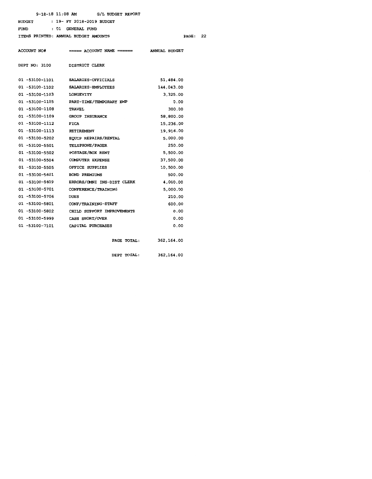|                | $9-18-18$ 11:08 AM G/L BUDGET REPORT            |                      |    |
|----------------|-------------------------------------------------|----------------------|----|
| <b>BUDGET</b>  | : 19- FY 2018-2019 BUDGET                       |                      |    |
| FUND           | : 01 GENERAL FUND                               |                      |    |
|                | ITEMS PRINTED: ANNUAL BUDGET AMOUNTS            | PAGE:                | 22 |
| ACCOUNT NO#    | <del>-----</del> ACCOUNT NAME <del>------</del> | <b>ANNUAL BUDGET</b> |    |
| DEPT NO: 3100  | <b>DISTRICT CLERK</b>                           |                      |    |
| 01 -53100-1101 | SALARIES-OFFICIALS                              | 51,484.00            |    |
|                | 01 -53100-1102 SALARIES-EMPLOYEES               | 144,043.00           |    |
| 01 -53100-1103 | <b>LONGEVITY</b>                                | 3,325.00             |    |
| 01 -53100-1105 | PART-TIME/TEMPORARY EMP                         | 0.00                 |    |
| 01 -53100-1108 | <b>TRAVEL</b>                                   | 300.00               |    |
| 01 -53100-1109 | <b>GROUP INSURANCE</b>                          | 58,800.00            |    |
| 01 -53100-1112 | <b>FICA</b>                                     | 15,236.00            |    |
| 01 -53100-1113 | RETIREMENT                                      | 19,916.00            |    |
| 01 -53100-5202 | <b>EQUIP REPAIRS/RENTAL</b>                     | 5,000.00             |    |
| 01 -53100-5501 | <b>TELEPHONE/PAGER</b>                          | 250.00               |    |
| 01 -53100-5502 | <b>POSTAGE/BOX RENT</b>                         | 5,500.00             |    |
| 01 -53100-5504 | <b>COMPUTER EXPENSE</b>                         | 37,500.00            |    |
| 01 -53100-5505 | OFFICE SUPPLIES                                 | 10,500.00            |    |
| 01 -53100-5601 | <b>BOND PREMIUMS</b>                            | 500.00               |    |
| 01 -53100-5609 | ERRORS/OMNI INS-DIST CLERK                      | 4,000.00             |    |
| 01 -53100-5701 | CONFERENCE/TRAINING                             | 5,000.00             |    |
| 01 -53100-5706 | <b>DUES</b>                                     | 210.00               |    |
| 01 -53100-5801 | <b>CONF/TRAINING-STAFF</b>                      | 600.00               |    |
| 01 -53100-5802 | CHILD SUPPORT IMPROVEMENTS                      | 0.00                 |    |
| 01 -53100-5999 | <b>CASH SHORT/OVER</b>                          | 0.00                 |    |
|                | 01 -53100-7101 CAPITAL PURCHASES                | 0.00                 |    |
|                | PAGE TOTAL:                                     | 362, 164.00          |    |
|                | DEPT TOTAL:                                     | 362,164.00           |    |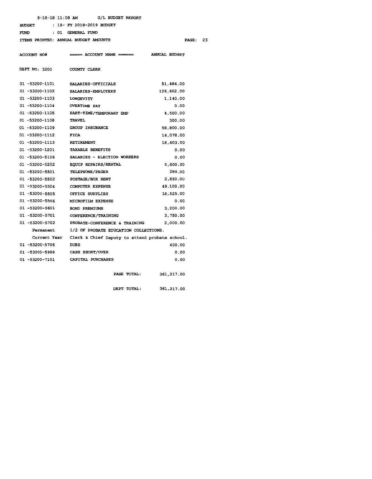BUDGET 19- FY 2018-2019 BUDGET

PAGE: 23

| <b>GENERAL FUND</b><br>: 01<br>FUND        |                                                |                      |  |  |
|--------------------------------------------|------------------------------------------------|----------------------|--|--|
| P)<br>ITEMS PRINTED: ANNUAL BUDGET AMOUNTS |                                                |                      |  |  |
|                                            |                                                |                      |  |  |
| <b>ACCOUNT NO#</b>                         | $=$ $=$ $ACCOINT NAME =$                       | <b>ANNUAL BUDGET</b> |  |  |
|                                            |                                                |                      |  |  |
| DEPT NO: 3200                              | COUNTY CLERK                                   |                      |  |  |
|                                            |                                                |                      |  |  |
| 01 -53200-1101                             | SALARIES-OFFICIALS                             | 51,484.00            |  |  |
| 01 -53200-1102                             | SALARIES-EMPLOYEES                             | 126,602.00           |  |  |
| 01 -53200-1103                             | <b>LONGEVITY</b>                               | 1,140.00             |  |  |
| 01 -53200-1104                             | <b>OVERTIME PAY</b>                            | 0.00                 |  |  |
| 01 -53200-1105                             | PART-TIME/TEMPORARY EMP                        | 4,500.00             |  |  |
| 01 -53200-1108                             | <b>TRAVEL</b>                                  | 300.00               |  |  |
| 01 -53200-1109                             | GROUP INSURANCE                                | 58,800.00            |  |  |
| 01 -53200-1112                             | <b>FICA</b>                                    | 14,078.00            |  |  |
| 01 -53200-1113                             | <b>RETIREMENT</b>                              | 18,403.00            |  |  |
| 01 -53200-1201                             | <b>TAXABLE BENEFITS</b>                        | 0.00                 |  |  |
| 01 -53200-5106                             | SALARIES - ELECTION WORKERS                    | 0.00                 |  |  |
| 01 -53200-5202                             | EQUIP REPAIRS/RENTAL                           | 5,800.00             |  |  |
| 01 -53200-5501                             | <b>TELEPHONE/PAGER</b>                         | 285.00               |  |  |
| 01 -53200-5502                             | POSTAGE/BOX RENT                               | 2,850.00             |  |  |
| 01 -53200-5504                             | COMPUTER EXPENSE                               | 49,100.00            |  |  |
| 01 -53200-5505                             | OFFICE SUPPLIES                                | 18,525.00            |  |  |
| 01 -53200-5506                             | MICROFILM EXPENSE                              | 0.00                 |  |  |
| 01 -53200-5601                             | BOND PREMIUMS                                  | 3,200.00             |  |  |
| 01 -53200-5701                             | CONFERENCE/TRAINING                            | 3,750.00             |  |  |
| 01 -53200-5702                             | PROBATE-CONFERENCE & TRAINING                  | 2,000.00             |  |  |
| Permanent                                  | 1/2 OF PROBATE EDUCATION COLLECTIONS.          |                      |  |  |
| Current Year                               | Clerk & Chief Deputy to attend probate school. |                      |  |  |
| 01 -53200-5706                             | <b>DUES</b>                                    | 400.00               |  |  |
| 01 -53200-5999                             | CASH SHORT/OVER                                | 0.00                 |  |  |
| 01 -53200-7101                             | CAPITAL PURCHASES                              | 0.00                 |  |  |
|                                            |                                                |                      |  |  |
|                                            | PAGE TOTAL:                                    | 361, 217, 00         |  |  |

DEPT TOTAL: 361,217.00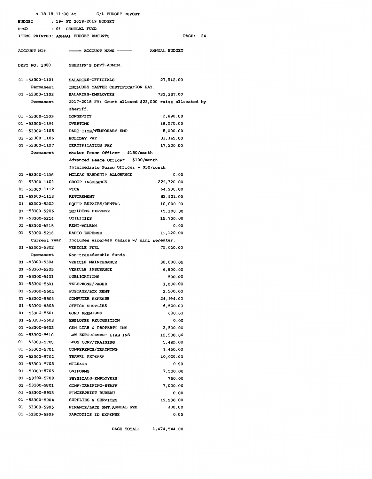| 9-18-18 11:08 AM                     | G/L BUDGET REPORT                                       |                      |
|--------------------------------------|---------------------------------------------------------|----------------------|
| <b>BUDGET</b>                        | : 19- FY 2018-2019 BUDGET                               |                      |
| FUND                                 | : 01 GENERAL FUND                                       |                      |
| ITEMS PRINTED: ANNUAL BUDGET AMOUNTS |                                                         | PAGE: 24             |
|                                      |                                                         |                      |
| ACCOUNT NO#                          | $=$ $=$ $ACCOUNT$ NAME $=$<br>$- - -$                   | <b>ANNUAL BUDGET</b> |
|                                      |                                                         |                      |
| DEPT NO: 3300                        | SHERIFF'S DEPT-ADMIN.                                   |                      |
|                                      |                                                         |                      |
| 01 -53300-1101                       | <b>SALARIES-OFFICIALS</b>                               | 27,542.00            |
| Permanent                            | INCLUDES MASTER CERTIFICATION PAY.                      |                      |
| 01 -53300-1102                       | <b>SALARIES-EMPLOYEES</b>                               | 732,337.00           |
| Permanent                            | 2017-2018 FY: Court allowed \$25,000 raise allocated by |                      |
|                                      | sheriff.                                                |                      |
| 01 -53300-1103                       | <b>LONGEVITY</b>                                        | 2,890.00             |
| 01 -53300-1104                       | <b>OVERTIME</b>                                         | 18,070.00            |
| 01 -53300-1105                       | <b>PART-TIME/TEMPORARY EMP</b>                          | 8,000.00             |
| 01 -53300-1106                       | HOLIDAY PAY                                             | 33,165.00            |
| 01 -53300-1107                       | <b>CERTIFICATION PAY</b>                                | 17,200.00            |
| Permanent                            | Master Peace Officer - \$150/month                      |                      |
|                                      | Advanced Peace Officer - \$100/month                    |                      |
|                                      | Intermediate Peace Officer - \$50/month                 |                      |
| 01 -53300-1108                       | MCLEAN HARDSHIP ALLOWANCE                               | 0.00                 |
| 01 -53300-1109                       | GROUP INSURANCE                                         | 229,320.00           |
| 01 -53300-1112                       | <b>FICA</b>                                             | 64,200.00            |
| 01 -53300-1113                       | <b>RETIREMENT</b>                                       | 83,921.00            |
| 01 -53300-5202                       | <b>EQUIP REPAIRS/RENTAL</b>                             | 10,000.00            |
| 01 -53300-5206                       | <b>BUILDING EXPENSE</b>                                 | 15,100.00            |
| 01 -53300-5214                       | UTILITIES                                               | 15,700.00            |
| 01 -53300-5215                       | <b>RENT-MCLEAN</b>                                      | 0.00                 |
| 01 -53300-5216                       | RADIO EXPENSE                                           | 11,120.00            |
|                                      | Current Year Includes wireless radios w/ mini repeater. |                      |
| 01 -53300-5302 VEHICLE FUEL          |                                                         | 75,000.00            |
| Permanent                            | Non-transferable funds.                                 |                      |
| 01 -53300-5304                       | VEHICLE MAINTENANCE                                     | 30,000.00            |
| 01 -53300-5305                       | VEHICLE INSURANCE                                       | 6,800.00             |
| 01 -53300-5401                       | <b>PUBLICATIONS</b>                                     | 500.00               |
| 01 -53300-5501                       | <b>TELEPHONE/PAGER</b>                                  | 3,000.00             |
| 01 -53300-5502                       | POSTAGE/BOX RENT                                        | 2,500.00             |
| 01 -53300-5504                       | COMPUTER EXPENSE                                        | 24,994.00            |
| 01 -53300-5505                       | OFFICE SUPPLIES                                         | 6,500.00             |
| 01 -53300-5601                       | BOND PREMIUMS                                           | 600.00               |
| 01 -53300-5603                       | EMPLOYEE RECOGNITION                                    | 0.00                 |
| 01 -53300-5605                       | GEN LIAB & PROPERTY INS                                 | 2,500.00             |
| 01 -53300-5610                       | LAW ENFORCEMENT LIAB INS                                | 12,500.00            |
| 01 -53300-5700                       | LEOS CONF/TRAINING                                      | 1,485.00             |
| 01 -53300-5701                       | CONFERENCE/TRAINING                                     | 1,450.00             |
| 01 -53300-5702                       | TRAVEL EXPENSE                                          | 10,000.00            |
| 01 -53300-5703                       | MILEAGE                                                 | 0.00                 |
| 01 -53300-5705                       | UNIFORMS                                                | 7,500.00             |
| 01 -53300-5709                       | PHYSICALS-EMPLOYEES                                     | 750.00               |
| 01 -53300-5801                       | CONF/TRAINING-STAFF                                     | 7,000.00             |
| 01 -53300-5903                       | FINGERPRINT BUREAU                                      | 0.00                 |
| 01 -53300-5904                       | SUPPLIES & SERVICES                                     | 12,500.00            |
| 01 -53300-5905                       | FINANCE/LATE PMT, ANNUAL FEE                            | 400.00               |
| 01 -53300-5909                       | NARCOTICS ID EXPENSE                                    | 0.00                 |
|                                      |                                                         |                      |

PAGE TOTAL: 1,474,544.00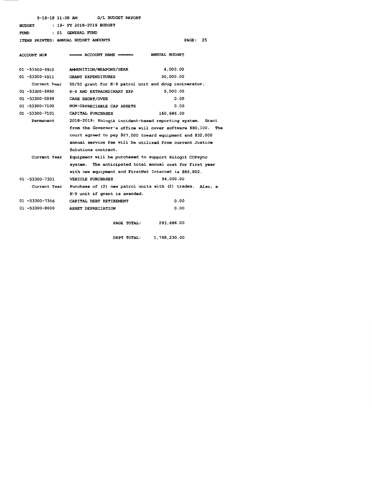BUDGET 19- FY 2018-2019 BUDGET

FUND 01 GENERAL FUND

ITEMS PRINTED: ANNUAL BUDGET AMOUNTS PAGE: 25

| ACCOUNT NO#    | $\equiv$ ===== ACCOUNT NAME =======                   | ANNUAL BUDGET                                                          |
|----------------|-------------------------------------------------------|------------------------------------------------------------------------|
| 01 -53300-5910 | AMMUNITION/WEAPONS/GEAR                               | 4,000.00                                                               |
| 01 -53300-5911 | <b>GRANT EXPENDITURES</b>                             | 30,000.00                                                              |
| Current Year   | 50/50 grant for K-9 patrol unit and drug incinerator. |                                                                        |
| 01 -53300-5950 | K-9 AND EXTRAORDINARY EXP                             | 5,000.00                                                               |
| 01 -53300-5999 | CASH SHORT/OVER                                       | 0.00                                                                   |
| 01 -53300-7100 | NON-DEPRECIABLE CAP ASSETS                            | 0.00                                                                   |
| 01 -53300-7101 | CAPITAL PURCHASES                                     | 160,686.00                                                             |
| Permanent      |                                                       | 2018-2019: Kologik incident-based reporting system. Grant              |
|                |                                                       | from the Governor's office will cover software \$80,100. The           |
|                |                                                       | court agreed to pay \$27,000 toward equipment and \$32,000             |
|                |                                                       | annual service fee will be utilized from current Justice               |
|                | Solutions contract.                                   |                                                                        |
| Current Year   |                                                       | Equipment will be purchased to support Kologik COPsync                 |
|                |                                                       | system. The anticipated total annual cost for first year               |
|                | with new equipment and FirstNet Internet is \$86,802. |                                                                        |
| 01 -53300-7301 | VEHICLE PURCHASES                                     | 94,000.00                                                              |
|                |                                                       | Current Year Purchase of (2) new patrol units with (2) trades. Also, a |
|                | K-9 unit if grant is awarded.                         |                                                                        |
| 01 -53300-7306 | CAPITAL DEBT RETIREMENT                               | 0.00                                                                   |
| 01 -53300-8000 | ASSET DEPRECIATION                                    | 0.00                                                                   |
|                | PAGE TOTAL:                                           | 293,686.00                                                             |

DEPT TOTAL: 1,768,230.00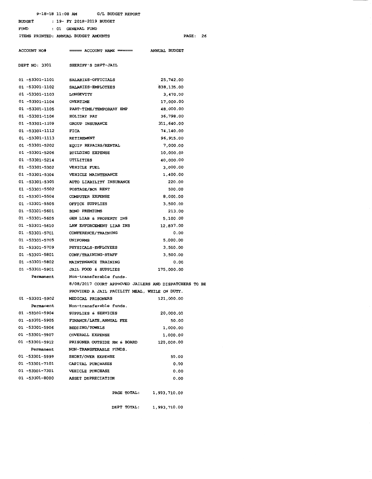|                     | 9-18-18 11:08 AM G/L BUDGET REPORT                     |                      |  |
|---------------------|--------------------------------------------------------|----------------------|--|
| <b>BUDGET</b>       | : 19- FY 2018-2019 BUDGET                              |                      |  |
| <b>FUND</b>         | : 01 GENERAL FUND                                      |                      |  |
|                     | ITEMS PRINTED: ANNUAL BUDGET AMOUNTS                   | <b>PAGE: 26</b>      |  |
| ACCOUNT NO#         | $= ==$ ACCOUNT NAME $= == ==$                          | <b>ANNUAL BUDGET</b> |  |
| DEPT NO: 3301       | SHERIFF'S DEPT-JAIL                                    |                      |  |
| 01 -53301-1101      | <b>SALARIES-OFFICIALS</b>                              | 25,742.00            |  |
| 01 -53301-1102      | <b>SALARIES-EMPLOYEES</b>                              | 838,135.00           |  |
| 01 -53301-1103      | <b>LONGEVITY</b>                                       | 3,470.00             |  |
| 01 -53301-1104      | OVERTIME                                               | 17,000.00            |  |
| 01 -53301-1105      | PART-TIME/TEMPORARY EMP                                | 48,000.00            |  |
| 01 -53301-1106      | <b>HOLIDAY PAY</b>                                     | 36,798.00            |  |
| 01 -53301-1109      | <b>GROUP INSURANCE</b>                                 | 311,640.00           |  |
| 01 -53301-1112      | <b>FICA</b>                                            | 74,140.00            |  |
| 01 -53301-1113      | <b>RETIREMENT</b>                                      | 96, 915.00           |  |
| 01 -53301-5202      | <b>EQUIP REPAIRS/RENTAL</b>                            | 7,000.00             |  |
| 01 -53301-5206      | <b>BUILDING EXPENSE</b>                                | 10,000.00            |  |
| 01 -53301-5214      | UTILITIES                                              | 40,000.00            |  |
| 01 -53301-5302      | <b>VEHICLE FUEL</b>                                    | 3,000.00             |  |
| 01 -53301-5304      | VEHICLE MAINTENANCE                                    | 1,400.00             |  |
| 01 -53301-5305      | AUTO LIABILITY INSURANCE                               | 220.00               |  |
| 01 -53301-5502      | <b>POSTAGE/BOX RENT</b>                                | 500.00               |  |
| 01 -53301-5504      | <b>COMPUTER EXPENSE</b>                                | 8,000.00             |  |
| 01 -53301-5505      | OFFICE SUPPLIES                                        | 3,500.00             |  |
| 01 -53301-5601      | <b>BOND PREMIUMS</b>                                   | 213.00               |  |
| 01 -53301-5605      | GEN LIAB & PROPERTY INS                                | 5,100.00             |  |
| 01 -53301-5610      | LAW ENFORCEMENT LIAB INS                               | 12,837.00            |  |
| 01 -53301-5701      | CONFERENCE/TRAINING                                    | 0.00                 |  |
| 01 -53301-5705      | UNIFORMS                                               | 5,000.00             |  |
| 01 -53301-5709      | <b>PHYSICALS-EMPLOYEES</b>                             | 3,500.00             |  |
| 01 -53301-5801      | <b>CONF/TRAINING-STAFF</b>                             | 3,500.00             |  |
| 01 -53301-5802      | MAINTENANCE TRAINING                                   | 0.00                 |  |
| 01 -53301-5901      | JAIL FOOD & SUPPLIES                                   | 175,000.00           |  |
| Permanent           | Non-transferable funds.                                |                      |  |
|                     | 8/08/2017 COURT APPROVED JAILERS AND DISPATCHERS TO BE |                      |  |
|                     | PROVIDED A JAIL FACILITY MEAL, WHILE ON DUTY.          |                      |  |
| 01 -53301-5902      | MEDICAL PRISONERS                                      | 121,000.00           |  |
| Permanent           | Non-transferable funds.                                |                      |  |
| 01 -53301-5904      | SUPPLIES & SERVICES                                    | 20,000.00            |  |
| 01 -53301-5905      | FINANCE/LATE, ANNUAL FEE                               | 50.00                |  |
| $01 - 53301 - 5906$ | <b>BEDDING/TOWELS</b>                                  | 1,000.00             |  |
| 01 -53301-5907      | COVERALL EXPENSE                                       | 1,000.00             |  |
| 01 -53301-5912      | PRISONER OUTSIDE RM & BOARD                            | 120,000.00           |  |
| Permanent           | NON-TRANSFERABLE FUNDS.                                |                      |  |
| 01 -53301-5999      | SHORT/OVER EXPENSE                                     | 50.00                |  |
| 01 -53301-7101      | CAPITAL PURCHASES                                      | 0.00                 |  |
| 01 -53301-7301      | <b>VEHICLE PURCHASE</b>                                | 0.00                 |  |
| 01 -53301-8000      | ASSET DEPRECIATION                                     | 0.00                 |  |
|                     |                                                        |                      |  |
|                     | PAGE TOTAL:                                            | 1,993,710.00         |  |

DEPT TOTAL: 1,993,710.00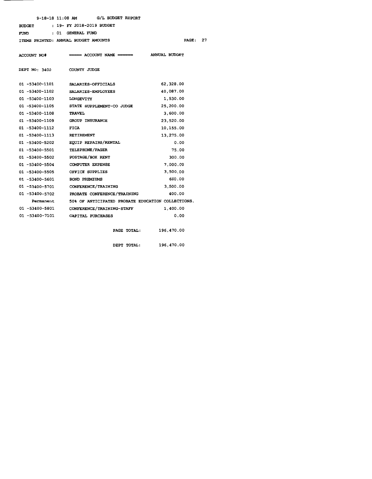BUDGET 19- FY 2018-2019 BUDGET

FUND 01 GENERAL FUND

ITEMS PRINTED: ANNUAL BUDGET AMOUNTS

PAGE: 27

| ACCOUNT NO#    | $\equiv$ ===== ACCOUNT NAME ======                | ANNUAL BUDGET |
|----------------|---------------------------------------------------|---------------|
| DEPT NO: 3400  | COUNTY JUDGE                                      |               |
| 01 -53400-1101 | SALARIES-OFFICIALS                                | 62,328.00     |
| 01 -53400-1102 | <b>SALARIES-EMPLOYEES</b>                         | 40,087.00     |
| 01 -53400-1103 | <b>LONGEVITY</b>                                  | 1,530.00      |
|                | 01 -53400-1105 STATE SUPPLEMENT-CO JUDGE          | 25,200.00     |
| 01 -53400-1108 | <b>TRAVEL</b>                                     | 3,600.00      |
| 01 -53400-1109 | <b>GROUP INSURANCE</b>                            | 23,520.00     |
| 01 -53400-1112 | <b>FICA</b>                                       | 10, 155.00    |
| 01 -53400-1113 | <b>RETIREMENT</b>                                 | 13,275.00     |
| 01 -53400-5202 | EQUIP REPAIRS/RENTAL                              | 0.00          |
| 01 -53400-5501 | <b>TELEPHONE/PAGER</b>                            | 75.00         |
| 01 -53400-5502 | <b>POSTAGE/BOX RENT</b>                           | 300.00        |
| 01 -53400-5504 | <b>COMPUTER EXPENSE</b>                           | 7,000.00      |
| 01 -53400-5505 | OFFICE SUPPLIES                                   | 3,500.00      |
| 01 -53400-5601 | BOND PREMIUMS                                     | 600.00        |
| 01 -53400-5701 | CONFERENCE/TRAINING                               | 3,500.00      |
| 01 -53400-5702 | PROBATE CONFERENCE/TRAINING                       | 400.00        |
| Permanent      | 50% OF ANTICIPATED PROBATE EDUCATION COLLECTIONS. |               |
| 01 -53400-5801 | CONFERENCE/TRAINING-STAFF                         | 1,400.00      |
| 01 -53400-7101 | CAPITAL PURCHASES                                 | 0.00          |
|                | PAGE TOTAL:                                       | 196,470.00    |
|                | DEPT TOTAL:                                       | 196,470.00    |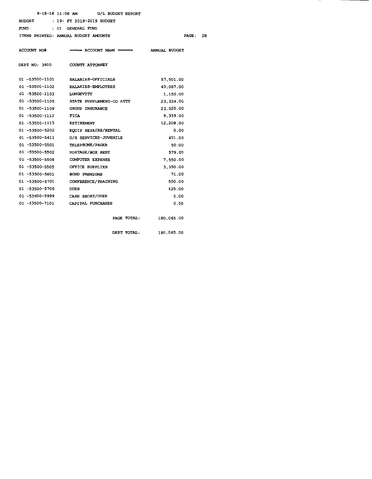BUDGET 19- FY 2018-2019 BUDGET

01 GENERAL FUND

FUND

#### ITEMS PRINTED: ANNUAL BUDGET AMOUNTS

PAGE: 28

| ACCOUNT NO#    | $\frac{1}{1}$ ===== ACCOUNT NAME ====== | ANNUAL BUDGET |
|----------------|-----------------------------------------|---------------|
| DEPT NO: 3500  | COUNTY ATTORNEY                         |               |
| 01 -53500-1101 | SALARIES-OFFICIALS                      | 57,501.00     |
| 01 -53500-1102 | SALARIES-EMPLOYEES                      | 40,087.00     |
| 01 -53500-1103 | <b>LONGEVITY</b>                        | 1,150.00      |
| 01 -53500-1105 | STATE SUPPLEMENT-CO ATTY                | 23,334.00     |
| 01 -53500-1109 | GROUP INSURANCE                         | 23,520.00     |
| 01 -53500-1112 | FICA                                    | 9,339.00      |
| 01 -53500-1113 | RETIREMENT                              | 12,208.00     |
| 01 -53500-5202 | EQUIP REPAIRS/RENTAL                    | 0.00          |
| 01 -53500-5411 | O/S SERVICES-JUVENILE                   | 401.00        |
| 01 -53500-5501 | TELEPHONE/PAGER                         | 50.00         |
| 01 -53500-5502 | POSTAGE/BOX RENT                        | 579.00        |
| 01 -53500-5504 | COMPUTER EXPENSE                        | 7,550.00      |
| 01 -53500-5505 | OFFICE SUPPLIES                         | 3,350.00      |
| 01 -53500-5601 | BOND PREMIUMS                           | 71.00         |
| 01 -53500-5701 | CONFERENCE/TRAINING                     | 500.00        |
| 01 -53500-5706 | <b>DUES</b>                             | 425.00        |
| 01 -53500-5999 | CASH SHORT/OVER                         | 0.00          |
| 01 -53500-7101 | CAPITAL PURCHASES                       | 0.00          |
|                | PAGE TOTAL:                             | 180,065.00    |
|                | DEPT TOTAL:                             | 180,065.00    |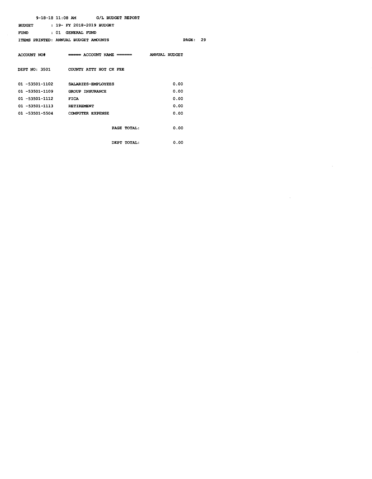|                                             | $9-18-18$ 11:08 AM G/L BUDGET REPORT                |       |
|---------------------------------------------|-----------------------------------------------------|-------|
|                                             | BUDGET : 19- FY 2018-2019 BUDGET                    |       |
| FUND TO THE TABLE TO THE TABLE TO THE TABLE | : 01 GENERAL FUND                                   |       |
|                                             | ITEMS PRINTED: ANNUAL BUDGET AMOUNTS                | PAGE: |
|                                             | ACCOUNT NO# ===== ACCOUNT NAME ====== ANNUAL BUDGET |       |
|                                             | DEPT NO: 3501 COUNTY ATTY HOT CK FEE                |       |
|                                             | 01 -53501-1102 SALARIES-EMPLOYEES                   | 0.00  |
|                                             | 01 -53501-1109 GROUP INSURANCE                      | 0.00  |
| 01 -53501-1112                              | <b>FICA</b>                                         | 0.00  |
|                                             | 01 -53501-1113 RETIREMENT                           | 0.00  |
|                                             | 01 -53501-5504 COMPUTER EXPENSE                     | 0.00  |
|                                             | PAGE TOTAL:                                         | 0.00  |
|                                             | DEPT TOTAL:                                         | 0.00  |

 $\sim$   $\sim$ 

 $\mathcal{L}^{\text{max}}_{\text{max}}$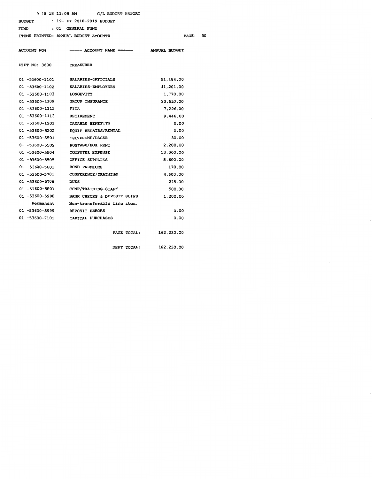|                | $9-18-18$ 11:08 AM G/L BUDGET REPORT                |              |    |
|----------------|-----------------------------------------------------|--------------|----|
| <b>BUDGET</b>  | : 19- FY 2018-2019 BUDGET                           |              |    |
| FUND           | : 01 GENERAL FUND                                   |              |    |
|                | ITEMS PRINTED: ANNUAL BUDGET AMOUNTS                | <b>PAGE:</b> | 30 |
|                | ACCOUNT NO# ===== ACCOUNT NAME ====== ANNUAL BUDGET |              |    |
| DEPT NO: 3600  | <b>TREASURER</b>                                    |              |    |
|                | 01 -53600-1101 SALARIES-OFFICIALS                   | 51,484.00    |    |
|                | 01 -53600-1102 SALARIES-EMPLOYEES                   | 41,201.00    |    |
| 01 -53600-1103 | <b>LONGEVITY</b>                                    | 1,770.00     |    |
| 01 -53600-1109 | GROUP INSURANCE                                     | 23,520.00    |    |
| 01 -53600-1112 | <b>FICA</b>                                         | 7,226.00     |    |
| 01 -53600-1113 | <b>RETIREMENT</b>                                   | 9,446.00     |    |
| 01 -53600-1201 | TAXABLE BENEFITS                                    | 0.00         |    |
| 01 -53600-5202 | EQUIP REPAIRS/RENTAL                                | 0.00         |    |
| 01 -53600-5501 | <b>TELEPHONE/PAGER</b>                              | 30.00        |    |
| 01 -53600-5502 | POSTAGE/BOX RENT                                    | 2,200.00     |    |
| 01 -53600-5504 | COMPUTER EXPENSE                                    | 13,000.00    |    |
| 01 -53600-5505 | OFFICE SUPPLIES                                     | 5,600.00     |    |

BOND PREMIUMS CONFERENCE/TRAINING

DEPOSIT ERRORS CAPITAL PURCHASES

CONF/TRAINING-STAFF

BANK CHECKS & DEPOSIT SLIPS Non-transferable line item.

DUES

01 -53600-5601 01 -53600-5701 01 -53600-5706 01 -53600-5801 01 -53600-5998 Permanent 01 -53600-5999 01 -53600-7101

> PAGE TOTAL: DEPT TOTAL: 162,230.00 162,230.00

178.00 4,600.00 275.00 500.00 1,200.00

> 0.00 0.00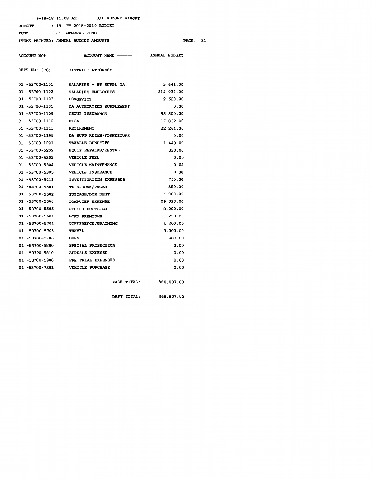BUDGET 19- FY 2018-2019 BUDGET

FUND 01 GENERAL FUND

ITEMS PRINTED: ANNUAL BUDGET AMOUNTS PAGE: 31

 $\sim$ 

| <b>ACCOUNT NO#</b> | $\equiv$ ==== ACCOUNT NAME ====== | <b>ANNUAL BUDGET</b> |
|--------------------|-----------------------------------|----------------------|
| DEPT NO: 3700      | DISTRICT ATTORNEY                 |                      |
| 01 -53700-1101     | SALARIES - ST SUPPL DA            | 3,641.00             |
| 01 -53700-1102     | <b>SALARIES-EMPLOYEES</b>         | 214,932.00           |
| 01 -53700-1103     | <b>LONGEVITY</b>                  | 2,620.00             |
| 01 -53700-1105     | DA AUTHORIZED SUPPLEMENT          | 0.00                 |
| 01 -53700-1109     | <b>GROUP INSURANCE</b>            | 58,800.00            |
| 01 -53700-1112     | <b>FICA</b>                       | 17,032.00            |
| 01 -53700-1113     | RETIREMENT                        | 22,264.00            |
| 01 -53700-1199     | DA SUPP REIMB/FORFEITURE          | 0.00                 |
| 01 -53700-1201     | TAXABLE BENEFITS                  | 1,440.00             |
| 01 -53700-5202     | EQUIP REPAIRS/RENTAL              | 330.00               |
| 01 -53700-5302     | VEHICLE FUEL                      | 0.00                 |
| 01 -53700-5304     | VEHICLE MAINTENANCE               | 0.00                 |
| 01 -53700-5305     | VEHICLE INSURANCE                 | 0.00                 |
| 01 -53700-5411     | INVESTIGATION EXPENSES            | 750.00               |
| 01 -53700-5501     | TELEPHONE/PAGER                   | 350.00               |
| 01 -53700-5502     | POSTAGE/BOX RENT                  | 1,000.00             |
| 01 -53700-5504     | COMPUTER EXPENSE                  | 29,398.00            |
| 01 -53700-5505     | OFFICE SUPPLIES                   | 8,000.00             |
| 01 -53700-5601     | <b>BOND PREMIUMS</b>              | 250.00               |
| 01 -53700-5701     | CONFERENCE/TRAINING               | 4,200.00             |
| 01 -53700-5703     | <b>TRAVEL</b>                     | 3,000.00             |
| 01 -53700-5706     | <b>DUES</b>                       | 800.00               |
| 01 -53700-5800     | SPECIAL PROSECUTOR                | 0.00                 |
| 01 -53700-5810     | <b>APPEALS EXPENSE</b>            | 0.00                 |
| 01 -53700-5900     | <b>PRE-TRIAL EXPENSES</b>         | 0.00                 |
| 01 -53700-7301     | VEHICLE PURCHASE                  | 0.00                 |
|                    | PAGE TOTAL:                       | 368,807.00           |
|                    | DEPT TOTAL:                       | 368,807.00           |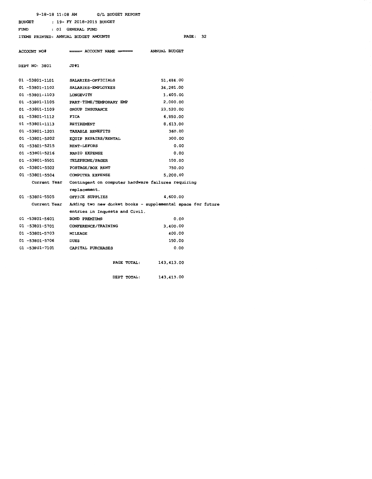| 9-18-18 11:08 AM                                                   | G/L BUDGET REPORT                                           |                      |    |  |
|--------------------------------------------------------------------|-------------------------------------------------------------|----------------------|----|--|
| <b>BUDGET</b>                                                      | : 19- FY 2018-2019 BUDGET                                   |                      |    |  |
| : 01<br>FUND                                                       | GENERAL FUND                                                |                      |    |  |
| ITEMS PRINTED: ANNUAL BUDGET AMOUNTS                               |                                                             | $\mathtt{PAGE}$ :    | 32 |  |
|                                                                    |                                                             |                      |    |  |
| ACCOUNT NO#                                                        | ===== ACCOUNT NAME ======                                   | <b>ANNUAL BUDGET</b> |    |  |
|                                                                    |                                                             |                      |    |  |
| DEPT NO: 3801                                                      | JPR1                                                        |                      |    |  |
|                                                                    |                                                             |                      |    |  |
| 01 -53801-1101                                                     | SALARIES-OFFICIALS                                          | 51,484.00            |    |  |
| 01 -53801-1102                                                     | <b>SALARIES-EMPLOYEES</b>                                   | 34,281.00            |    |  |
| 01 -53801-1103                                                     | LONGEVITY                                                   | 1,405.00             |    |  |
| 01 -53801-1105                                                     | PART-TIME/TEMPORARY EMP                                     | 2,000.00             |    |  |
| 01 -53801-1109                                                     | <b>GROUP INSURANCE</b>                                      | 23,520.00            |    |  |
| 01 -53801-1112                                                     | <b>FICA</b>                                                 | 6,850.00             |    |  |
| 01 -53801-1113                                                     | <b>RETIREMENT</b>                                           | 8,613.00             |    |  |
| 01 -53801-1201                                                     | <b>TAXABLE BENEFITS</b>                                     | 360.00               |    |  |
| 01 -53801-5202                                                     | EQUIP REPAIRS/RENTAL                                        | 300.00               |    |  |
| 01 -53801-5215                                                     | <b>RENT-LEFORS</b>                                          | 0.00                 |    |  |
| 01 -53801-5216                                                     | <b>RADIO EXPENSE</b>                                        | 0.00                 |    |  |
| 01 -53801-5501                                                     | <b>TELEPHONE/PAGER</b>                                      | 100.00               |    |  |
| 01 -53801-5502                                                     | POSTAGE/BOX RENT                                            | 750.00               |    |  |
| 01 -53801-5504                                                     | <b>COMPUTER EXPENSE</b>                                     | 5,200.00             |    |  |
| Current Year<br>Contingent on computer hardware failures requiring |                                                             |                      |    |  |
|                                                                    | replacement.                                                |                      |    |  |
| 01 -53801-5505                                                     | OFFICE SUPPLIES                                             | 4,600.00             |    |  |
| Current Year                                                       | Adding two new docket books - supplemental space for future |                      |    |  |
|                                                                    | entries in Inquests and Civil.                              |                      |    |  |
| 01 -53801-5601                                                     | <b>BOND PREMIUMS</b>                                        | 0.00                 |    |  |
| 01 -53801-5701                                                     | CONFERENCE/TRAINING                                         | 3,400.00             |    |  |
| 01 -53801-5703                                                     | <b>MILEAGE</b>                                              | 400.00               |    |  |
| 01 -53801-5706                                                     | <b>DUES</b>                                                 | 150.00               |    |  |
| 01 -53801-7101 CAPITAL PURCHASES                                   |                                                             | 0.00                 |    |  |
|                                                                    |                                                             |                      |    |  |
|                                                                    | PAGE TOTAL:                                                 | 143,413.00           |    |  |
|                                                                    |                                                             |                      |    |  |
|                                                                    | DEPT TOTAL:                                                 | 143,413.00           |    |  |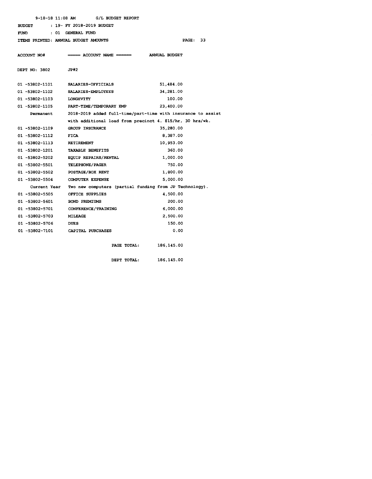BUDGET 19- FY 2018-2019 BUDGET

FUND 01 GENERAL FUND

## ITEMS PRINTED: ANNUAL BUDGET AMOUNTS PAGE: 33

| <b>ACCOUNT NO#</b>  | $\!\!\!=\!\!=\!=\!=\!=$ ACCOUNT NAME $\!=\!=\!=\!=\!=$       | ANNUAL BUDGET              |      |
|---------------------|--------------------------------------------------------------|----------------------------|------|
| DEPT NO: 3802       | JP#2                                                         |                            |      |
| 01 -53802-1101      | <b>SALARIES-OFFICIALS</b>                                    | 51,484.00                  |      |
| 01 -53802-1102      | SALARIES-EMPLOYEES                                           | 34,281.00                  |      |
| 01 -53802-1103      | <b>LONGEVITY</b>                                             | 100.00                     |      |
| 01 -53802-1105      | PART-TIME/TEMPORARY EMP                                      | 23,400.00                  |      |
| Permanent           | 2018-2019 added full-time/part-time with insurance to assist |                            |      |
|                     | with additional load from precinct 4. \$15/hr, 30 hrs/wk.    |                            |      |
| 01 -53802-1109      | GROUP INSURANCE                                              | 35,280.00                  |      |
| 01 -53802-1112      | FICA                                                         | 8,387,00                   |      |
| 01 -53802-1113      | <b>RETIREMENT</b>                                            | 10,953.00                  |      |
| 01 -53802-1201      | <b>TAXABLE BENEFITS</b>                                      | 360.00                     |      |
| 01 -53802-5202      | <b>EQUIP REPAIRS/RENTAL</b>                                  | 1,000.00                   |      |
| 01 -53802-5501      | <b>TELEPHONE/PAGER</b>                                       | 750.00                     |      |
| 01 -53802-5502      | POSTAGE/BOX RENT                                             | 1,800.00                   |      |
| 01 -53802-5504      | COMPUTER EXPENSE                                             | 5,000.00                   |      |
| <b>Current Year</b> | Two new computers (partial funding from JP Technology).      |                            |      |
| 01 -53802-5505      | OFFICE SUPPLIES                                              | 4,500.00                   |      |
| 01 -53802-5601      | <b>BOND PREMIUMS</b>                                         | 200.00                     |      |
| 01 -53802-5701      | CONFERENCE/TRAINING                                          | 6,000.00                   |      |
| 01 -53802-5703      | MILEAGE                                                      | 2,500.00                   |      |
| 01 -53802-5706      | <b>DUES</b>                                                  | 150.00                     |      |
| 01 -53802-7101      | <b>CAPITAL PURCHASES</b>                                     |                            | 0.00 |
|                     |                                                              | PAGE TOTAL:<br>186,145.00  |      |
|                     |                                                              | 186, 145.00<br>DEPT TOTAL: |      |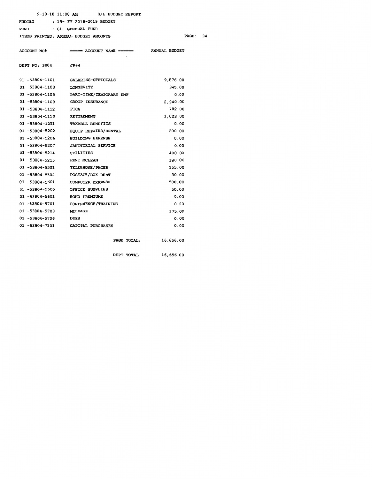|                                      | $9-18-18$ 11:08 AM G/L BUDGET REPORT |                      |
|--------------------------------------|--------------------------------------|----------------------|
| <b>BUDGET</b>                        | : 19- FY 2018-2019 BUDGET            |                      |
| FUND                                 | : 01 GENERAL FUND                    |                      |
| ITEMS PRINTED: ANNUAL BUDGET AMOUNTS |                                      | PAGE:                |
|                                      |                                      |                      |
| <b>ACCOUNT NO#</b>                   |                                      | <b>ANNUAL BUDGET</b> |
|                                      |                                      |                      |
| DEPT NO: 3804                        | $J$ P#4                              |                      |
| 01 -53804-1101                       | <b>SALARIES-OFFICIALS</b>            | 9,876.00             |
| 01 -53804-1103                       | <b>LONGEVITY</b>                     | 345.00               |
| 01 -53804-1105                       | PART-TIME/TEMPORARY EMP              | 0.00                 |
| 01 -53804-1109                       | <b>GROUP INSURANCE</b>               | 2,940.00             |
| 01 -53804-1112                       | <b>FICA</b>                          | 782.00               |
| $01 - 53804 - 1113$                  | <b>RETIREMENT</b>                    | 1,023.00             |
| $01 - 53804 - 1201$                  | <b>TAXABLE BENEFITS</b>              | 0.00                 |
| 01 -53804-5202                       | <b>EOUIP REPAIRS/RENTAL</b>          | 200.00               |
| 01 -53804-5206                       | <b>BUILDING EXPENSE</b>              | 0.00                 |
| 01 -53804-5207                       | <b>JANITORIAL SERVICE</b>            | 0.00                 |
| 01 -53804-5214                       | UTILITIES                            | 400.00               |
| 01 -53804-5215                       | <b>RENT-MCLEAN</b>                   | 180.00               |
| 01 -53804-5501                       | <b>TELEPHONE/PAGER</b>               | 155.00               |
| 01 -53804-5502                       | <b>POSTAGE/BOX RENT</b>              | 30.00                |
| 01 -53804-5504                       | <b>COMPUTER EXPENSE</b>              | 500.00               |
| 01 -53804-5505                       | OFFICE SUPPLIES                      | 50.00                |
| 01 -53804-5601                       | <b>BOND PREMIUMS</b>                 | 0.00                 |
| 01 -53804-5701                       | <b>CONFERENCE/TRAINING</b>           | 0.00                 |
| 01 -53804-5703                       | MILEAGE                              | 175.00               |
| 01 -53804-5706                       | <b>DUES</b>                          | 0.00                 |
| 01 -53804-7101 CAPITAL PURCHASES     |                                      | 0.00                 |
|                                      |                                      |                      |
|                                      | PAGE TOTAL:                          | 16,656.00            |
|                                      | DEPT TOTAL:                          | 16,656.00            |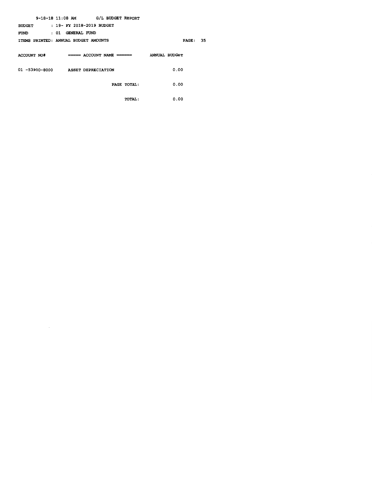|               | $9-18-18$ 11:08 AM G/L BUDGET REPORT |               |
|---------------|--------------------------------------|---------------|
| <b>BUDGET</b> | : 19- FY 2018-2019 BUDGET            |               |
| FUND          | : 01 GENERAL FUND                    |               |
|               | ITEMS PRINTED: ANNUAL BUDGET AMOUNTS | PAGE:         |
|               |                                      |               |
| ACCOUNT NO#   | $=== = ACCOUNT NAME =$               | ANNUAL BUDGET |
|               |                                      |               |
|               | 01 -53900-8000 ASSET DEPRECIATION    | 0.00          |
|               |                                      |               |
|               | PAGE TOTAL:                          | 0.00          |
|               |                                      |               |
|               | TOTAL:                               | 0.00          |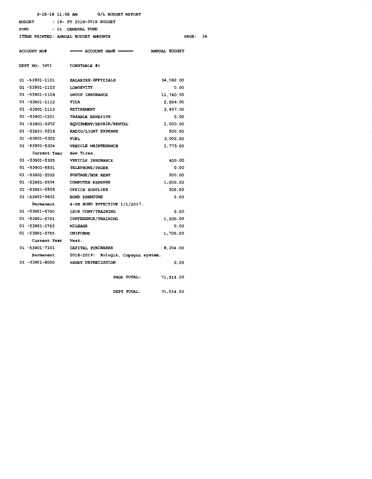BUDGET 19- FY 2018-2019 BUDGET

FUND 01 GENERAL FUND

## ITEMS PRINTED: ANNUAL BUDGET AMOUNTS

| <b>ACCOUNT NO#</b>   | $===$ ACCOUNT NAME $===$            | ANNUAL BUDGET |
|----------------------|-------------------------------------|---------------|
| <b>DEPT NO: 3901</b> | <b>CONSTABLE #1</b>                 |               |
| 01 -53901-1101       | SALARIES-OFFICIALS                  | 34,062.00     |
| 01 -53901-1103       | <b>LONGEVITY</b>                    | 0.00          |
| 01 -53901-1109       | <b>GROUP INSURANCE</b>              | 11,760.00     |
| 01 -53901-1112       | <b>FICA</b>                         | 2,606.00      |
| 01 -53901-1113       | <b>RETIREMENT</b>                   | 3,407.00      |
| 01 -53901-1201       | <b>TAXABLE BENEFITS</b>             | 0.00          |
| 01 -53901-5202       | <b>EQUIPMENT/REPAIR/RENTAL</b>      | 1,000.00      |
| 01 -53901-5216       | RADIO/LIGHT EXPENSE                 | 500.00        |
| 01 -53901-5302       | FUEL                                | 3,000.00      |
| 01 -53901-5304       | VEHICLE MAINTENANCE                 | 1,775.00      |
| Current Year         | New Tires.                          |               |
| 01 -53901-5305       | VEHICLE INSURANCE                   | 400.00        |
| 01 -53901-5501       | TELEPHONE/PAGER                     | 0.00          |
| 01 -53901-5502       | POSTAGE/BOX RENT                    | 200.00        |
| 01 -53901-5504       | <b>COMPUTER EXPENSE</b>             | 1,200.00      |
| 01 -53901-5505       | OFFICE SUPPLIES                     | 500.00        |
| 01 -53901-5601       | BOND PREMIUMS                       | 0.00          |
| Permanent            | 4-YR BOND EFFECTIVE 1/1/2017.       |               |
| 01 -53901-5700       | LEOS CONF/TRAINING                  | 0.00          |
| 01 -53901-5701       | CONFERENCE/TRAINING                 | 1,200.00      |
| 01 -53901-5703       | MILEAGE                             | 0.00          |
| 01 -53901-5705       | <b>UNIFORMS</b>                     | 1,700.00      |
| Current Year         | Vest.                               |               |
| 01 -53901-7101       | CAPITAL PURCHASES                   | 8,204.00      |
| Permanent            | 2018-2019: Kologik, Copsync system. |               |
| 01 -53901-8000       | ASSET DEPRECIATION                  | 0.00          |
|                      | PAGE TOTAL:                         | 71,514.00     |
|                      | DEPT TOTAL:                         | 71,514.00     |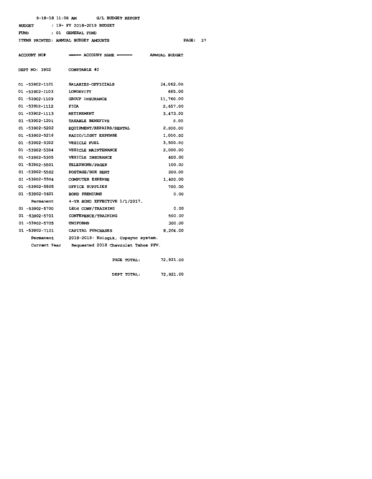BUDGET 19- FY 2018-2019 BUDGET

FUND 01 GENERAL FUND

ITEMS PRINTED: ANNUAL BUDGET AMOUNTS PAGE: 37

| <b>ACCOUNT NO#</b> | $=$ ===== ACCOUNT NAME ======       | <b>ANNUAL BUDGET</b> |
|--------------------|-------------------------------------|----------------------|
| DEPT NO: 3902      | <b>CONSTABLE #2</b>                 |                      |
| 01 -53902-1101     | SALARIES-OFFICIALS                  | 34,062.00            |
| 01 -53902-1103     | <b>LONGEVITY</b>                    | 665.00               |
| 01 -53902-1109     | <b>GROUP INSURANCE</b>              | 11,760.00            |
| 01 -53902-1112     | <b>FICA</b>                         | 2,657.00             |
| 01 -53902-1113     | RETIREMENT                          | 3,473.00             |
| 01 -53902-1201     | <b>TAXABLE BENEFITS</b>             | 0.00                 |
| 01 -53902-5202     | EQUIPMENT/REPAIRS/RENTAL            | 2,000.00             |
| 01 -53902-5216     | RADIO/LIGHT EXPENSE                 | 1,000.00             |
| 01 -53902-5302     | VEHICLE FUEL                        | 3,500.00             |
| 01 -53902-5304     | VEHICLE MAINTENANCE                 | 2,000.00             |
| 01 -53902-5305     | VEHICLE INSURANCE                   | 400.00               |
| 01 -53902-5501     | <b>TELEPHONE/PAGER</b>              | 100.00               |
| 01 -53902-5502     | POSTAGE/BOX RENT                    | 200.00               |
| 01 -53902-5504     | <b>COMPUTER EXPENSE</b>             | 1,400.00             |
| 01 -53902-5505     | OFFICE SUPPLIES                     | 700.00               |
| 01 -53902-5601     | <b>BOND PREMIUMS</b>                | 0.00                 |
| Permanent          | 4-YR BOND EFFECTIVE 1/1/2017.       |                      |
| 01 -53902-5700     | LEOS CONF/TRAINING                  | 0.00                 |
| 01 -53902-5701     | CONFERENCE/TRAINING                 | 500.00               |
| 01 -53902-5705     | <b>UNIFORMS</b>                     | 300.00               |
| 01 -53902-7101     | CAPITAL PURCHASES                   | 8,204.00             |
| Permanent          | 2018-2019: Kologik, Copsync system. |                      |
| Current Year       | Requested 2018 Chevrolet Tahoe PPV. |                      |
|                    |                                     |                      |

|  | PAGE TOTAL: | 72,921.00 |
|--|-------------|-----------|
|  | DEPT TOTAL: | 72,921.00 |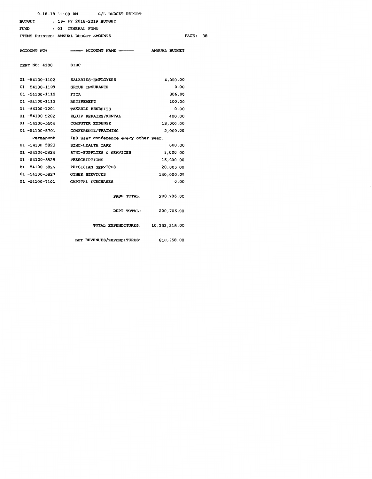|                | $9-18-18$ 11:08 AM G/L BUDGET REPORT  |                      |
|----------------|---------------------------------------|----------------------|
|                | BUDGET : 19- FY 2018-2019 BUDGET      |                      |
| FUND           | : 01 GENERAL FUND                     |                      |
|                | ITEMS PRINTED: ANNUAL BUDGET AMOUNTS  | PAGE:                |
|                |                                       |                      |
| ACCOUNT NO#    | ====== ACCOUNT NAME ======            | <b>ANNUAL BUDGET</b> |
|                |                                       |                      |
| DEPT NO: 4100  | <b>SIHC</b>                           |                      |
|                |                                       |                      |
| 01 -54100-1102 | <b>SALARIES-EMPLOYEES</b>             | 4,000.00             |
| 01 -54100-1109 | <b>GROUP INSURANCE</b>                | 0.00                 |
| 01 -54100-1112 | <b>FICA</b>                           | 306.00               |
| 01 -54100-1113 | RETIREMENT                            | 400.00               |
|                | 01 -54100-1201 TAXABLE BENEFITS       | 0.00                 |
| 01 -54100-5202 | <b>EQUIP REPAIRS/RENTAL</b>           | 400.00               |
| 01 -54100-5504 | <b>COMPUTER EXPENSE</b>               | 13,000.00            |
| 01 -54100-5701 | CONFERENCE/TRAINING                   | 2,000.00             |
| Permanent      | IHS user conference every other year. |                      |
| 01 -54100-5823 | <b>SIHC-HEALTH CARE</b>               | 600.00               |
| 01 -54100-5824 | SIRC-SUPPLIES & SERVICES              | 5,000.00             |
| 01 -54100-5825 | <b>PRESCRIPTIONS</b>                  | 15,000.00            |
|                | 01 -54100-5826 PHYSICIAN SERVICES     | 20,000.00            |
| 01 -54100-5827 | <b>OTHER SERVICES</b>                 | 140,000.00           |
|                | 01 -54100-7101 CAPITAL PURCHASES      | 0.00                 |
|                |                                       |                      |
|                | PAGE TOTAL:                           | 200,706.00           |
|                |                                       |                      |
|                | DEPT TOTAL:                           | 200,706.00           |
|                |                                       |                      |
|                | <b>TOTAL EXPENDITURES:</b>            | 10,233,318.00        |

NET REVENUES/EXPENDITURES: 810,958.00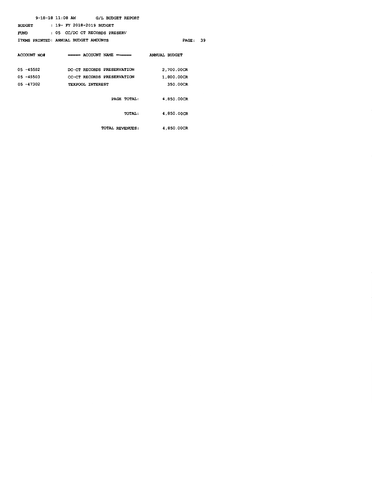|               | $9-18-18$ 11:08 AM G/L BUDGET REPORT                         |                   |      |
|---------------|--------------------------------------------------------------|-------------------|------|
| <b>BUDGET</b> | : 19- FY 2018-2019 BUDGET                                    |                   |      |
| <b>FUND</b>   | : 05 CC/DC CT RECORDS PRESERV                                |                   |      |
|               | ITEMS PRINTED: ANNUAL BUDGET AMOUNTS                         | $\mathbf{PAGE}$ : | - 39 |
|               |                                                              |                   |      |
|               | ACCOUNT NO# $\qquad$ ===== ACCOUNT NAME ====== ANNUAL BUDGET |                   |      |
|               |                                                              |                   |      |
| 05 -45502     | DC-CT RECORDS PRESERVATION                                   | 2,700.00CR        |      |
| 05 -45503     | <b>CC-CT RECORDS PRESERVATION</b>                            | 1,800.00CR        |      |
| 05 -47302     | TEXPOOL INTEREST                                             | 350.00CR          |      |
|               |                                                              |                   |      |
|               | PAGE TOTAL:                                                  | 4,850.00CR        |      |
|               |                                                              |                   |      |
|               | <b>TOTAL:</b>                                                | 4,850.00CR        |      |
|               |                                                              |                   |      |
|               | <b>TOTAL REVENUES:</b>                                       | 4,850.00CR        |      |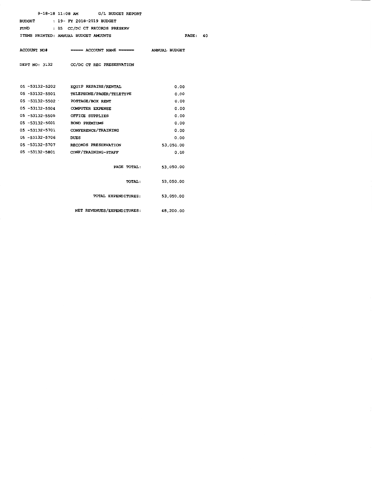|                     | $9-18-18$ 11:08 AM G/L BUDGET REPORT                |           |  |
|---------------------|-----------------------------------------------------|-----------|--|
|                     | BUDGET : 19- FY 2018-2019 BUDGET                    |           |  |
| FUND                | : 05 CC/DC CT RECORDS PRESERV                       |           |  |
|                     | ITEMS PRINTED: ANNUAL BUDGET AMOUNTS                | PAGE: 40  |  |
|                     |                                                     |           |  |
|                     | ACCOUNT NO# ===== ACCOUNT NAME ====== ANNUAL BUDGET |           |  |
|                     |                                                     |           |  |
|                     | DEPT NO: 3132 CC/DC CT REC PRESERVATION             |           |  |
|                     |                                                     |           |  |
|                     |                                                     |           |  |
|                     | 05 -53132-5202 EQUIP REPAIRS/RENTAL                 | 0.00      |  |
|                     | 05 -53132-5501 TELEPHONE/PAGER/TELETYPE             | 0.00      |  |
|                     | 05 -53132-5502 POSTAGE/BOX RENT                     | 0.00      |  |
|                     | 05 -53132-5504 COMPUTER EXPENSE                     | 0.00      |  |
|                     | 05 -53132-5505 OFFICE SUPPLIES                      | 0.00      |  |
|                     | 05 -53132-5601 BOND PREMIUMS                        | 0.00      |  |
|                     | 05 -53132-5701 CONFERENCE/TRAINING                  | 0.00      |  |
| 05 -53132-5706 DUES |                                                     | 0.00      |  |
|                     | 05 -53132-5707 RECORDS PRESERVATION                 | 53,050.00 |  |
|                     | 05 -53132-5801 CONF/TRAINING-STAFF                  | 0.00      |  |
|                     |                                                     |           |  |
|                     | PAGE TOTAL:                                         | 53,050.00 |  |
|                     |                                                     |           |  |
|                     | <b>TOTAL :</b>                                      | 53,050.00 |  |
|                     |                                                     |           |  |
|                     | TOTAL EXPENDITURES:                                 | 53,050.00 |  |
|                     |                                                     |           |  |
|                     | NET REVENUES/EXPENDITURES: 48,200.00                |           |  |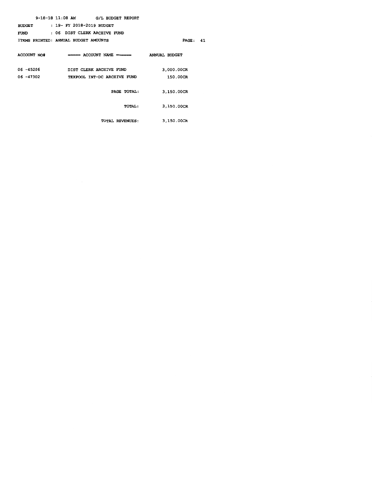|               | $9-18-18$ 11:08 AM G/L BUDGET REPORT                                          |            |  |
|---------------|-------------------------------------------------------------------------------|------------|--|
| <b>BUDGET</b> | : 19- FY 2018-2019 BUDGET                                                     |            |  |
| FUND          | : 06 DIST CLERK ARCHIVE FUND                                                  |            |  |
|               | ITEMS PRINTED: ANNUAL BUDGET AMOUNTS                                          | PAGE: 41   |  |
|               | $\texttt{ACCOUNT}$ NO# $\texttt{RACCOUNT}$ NAME $\texttt{RAME}$ ANNUAL BUDGET |            |  |
| 06 -45206     | DIST CLERK ARCHIVE FUND                                                       | 3,000.00CR |  |
| 06 -47302     | TEXPOOL INT-DC ARCHIVE FUND                                                   | 150.00CR   |  |
|               | PAGE TOTAL:                                                                   | 3,150.00CR |  |
|               | <b>TOTAL :</b>                                                                | 3,150.00CR |  |
|               | TOTAL REVENUES:                                                               | 3,150.00CR |  |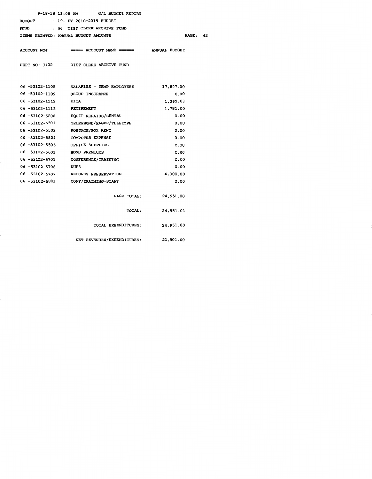|                | $9-18-18$ 11:08 AM G/L BUDGET REPORT                                                               |           |
|----------------|----------------------------------------------------------------------------------------------------|-----------|
| <b>BUDGET</b>  | : 19- FY 2018-2019 BUDGET                                                                          |           |
| FUND           | : 06 DIST CLERK ARCHIVE FUND                                                                       |           |
|                | ITEMS PRINTED: ANNUAL BUDGET AMOUNTS                                                               | PAGE:     |
|                |                                                                                                    |           |
| ACCOUNT NO#    | $\equiv$ $\equiv$ ACCOUNT NAME $\equiv$ $\equiv$ $\equiv$ $\equiv$ $\equiv$ $\equiv$ ANNUAL BUDGET |           |
|                |                                                                                                    |           |
|                | DEPT NO: 3102 DIST CLERK ARCHIVE FUND                                                              |           |
|                |                                                                                                    |           |
|                |                                                                                                    |           |
|                | 06 -53102-1105 SALARIES - TEMP EMPLOYEES                                                           | 17,807.00 |
| 06 -53102-1109 | <b>GROUP INSURANCE</b>                                                                             | 0.00      |
| 06 -53102-1112 | <b>FICA</b>                                                                                        | 1,363.00  |
| 06 -53102-1113 | <b>RETIREMENT</b>                                                                                  | 1,781.00  |
| 06 -53102-5202 | <b>EQUIP REPAIRS/RENTAL</b>                                                                        | 0.00      |
| 06 -53102-5501 | TELEPHONE/PAGER/TELETYPE                                                                           | 0.00      |
| 06 -53102-5502 | <b>POSTAGE/BOX RENT</b>                                                                            | 0.00      |
| 06 -53102-5504 | <b>COMPUTER EXPENSE</b>                                                                            | 0.00      |
| 06 -53102-5505 | OFFICE SUPPLIES                                                                                    | 0.00      |
| 06 -53102-5601 | <b>BOND PREMIUMS</b>                                                                               | 0.00      |
| 06 -53102-5701 | <b>CONFERENCE/TRAINING</b>                                                                         | 0.00      |
| 06 -53102-5706 | <b>DUES</b>                                                                                        | 0.00      |
|                | 06 -53102-5707 RECORDS PRESERVATION                                                                | 4,000.00  |
| 06 -53102-5801 | <b>CONF/TRAINING-STAFF</b>                                                                         | 0.00      |
|                |                                                                                                    |           |
|                | PAGE TOTAL:                                                                                        | 24,951.00 |
|                |                                                                                                    |           |
|                | <b>TOTAL :</b>                                                                                     | 24,951.00 |
|                |                                                                                                    |           |
|                | <b>TOTAL EXPENDITURES:</b>                                                                         | 24,951.00 |
|                |                                                                                                    |           |

42

NET REVENUES/EXPENDITURES: 21, 801. 00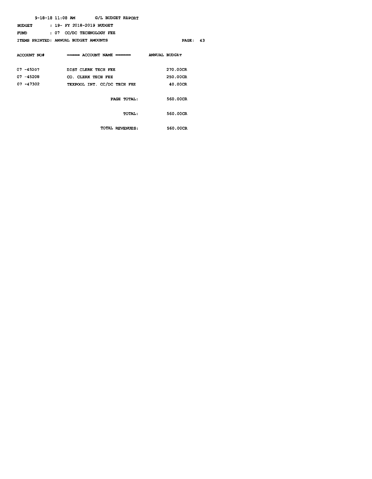|               | $9-18-18$ 11:08 AM G/L BUDGET REPORT                |          |
|---------------|-----------------------------------------------------|----------|
| <b>BUDGET</b> | : 19- FY 2018-2019 BUDGET                           |          |
|               | FUND : 07 CC/DC TECHNOLOGY FEE                      |          |
|               | ITEMS PRINTED: ANNUAL BUDGET AMOUNTS                | PAGE:    |
|               |                                                     |          |
|               | ACCOUNT NO# ===== ACCOUNT NAME ====== ANNUAL BUDGET |          |
|               |                                                     |          |
|               | 07 -45207 DIST CLERK TECH FEE                       | 270.00CR |
| 07 -45208     | CO. CLERK TECH FEE                                  | 250.00CR |
| 07 -47302     | TEXPOOL INT. CC/DC TECH FEE                         | 40.00CR  |
|               |                                                     |          |
|               | PAGE TOTAL:                                         | 560.00CR |
|               |                                                     |          |
|               | <b>TOTAL :</b>                                      | 560.00CR |
|               |                                                     |          |
|               | TOTAL REVENUES:                                     | 560.00CR |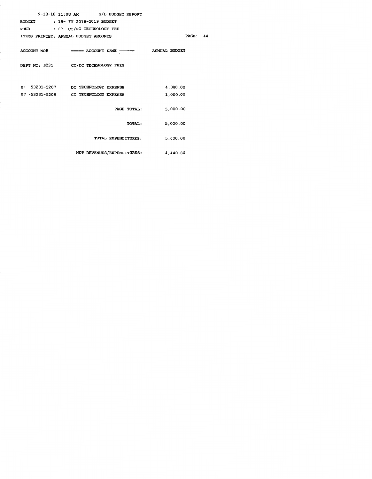|           | $9-18-18$ 11:08 AM G/L BUDGET REPORT                |          |
|-----------|-----------------------------------------------------|----------|
|           | BUDGET : 19- FY 2018-2019 BUDGET                    |          |
| FUND FUND | : 07 CC/DC TECHNOLOGY FEE                           |          |
|           | ITEMS PRINTED: ANNUAL BUDGET AMOUNTS                | PAGE: 44 |
|           | ACCOUNT NO# ===== ACCOUNT NAME ====== ANNUAL BUDGET |          |
|           | DEPT NO: 3231 CC/DC TECHNOLOGY FEES                 |          |
|           |                                                     |          |
|           |                                                     |          |
|           | 07 -53231-5207 DC TECHNOLOGY EXPENSE                | 4,000.00 |
|           | 07 -53231-5208 CC TECHNOLOGY EXPENSE                | 1,000.00 |
|           | PAGE TOTAL:                                         | 5,000.00 |
|           | <b>TOTAL :</b>                                      | 5,000.00 |
|           | TOTAL EXPENDITURES:                                 | 5,000.00 |
|           | NET REVENUES/EXPENDITURES:                          | 4,440.00 |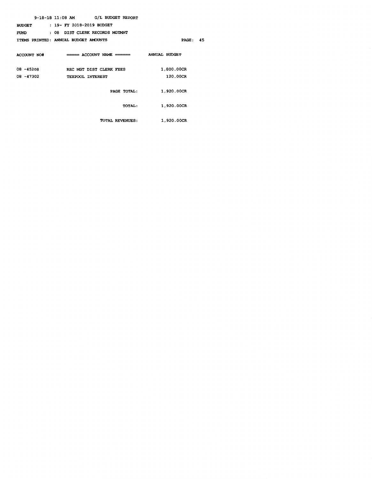|               | $9-18-18$ 11:08 AM G/L BUDGET REPORT                |            |
|---------------|-----------------------------------------------------|------------|
| <b>BUDGET</b> | : 19- FY 2018-2019 BUDGET                           |            |
| FUND          | : 08 DIST CLERK RECORDS MGTMNT                      |            |
|               | ITEMS PRINTED: ANNUAL BUDGET AMOUNTS                | PAGE: 45   |
|               | ACCOUNT NO# ===== ACCOUNT NAME ====== ANNUAL BUDGET |            |
| 08 -45208     | REC MGT DIST CLERK FEES                             | 1,800.00CR |
| 08 -47302     | TEXPOOL INTEREST                                    | 120.00CR   |
|               | PAGE TOTAL:                                         | 1,920,00CR |
|               | <b>TOTAL:</b>                                       | 1,920.00CR |
|               | <b>TOTAL REVENUES:</b>                              | 1,920.00CR |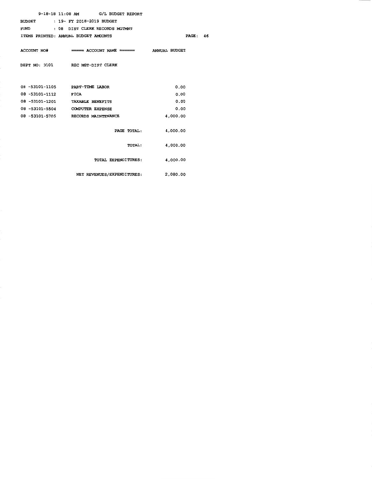|                | $9-18-18$ 11:08 AM G/L BUDGET REPORT       |          |
|----------------|--------------------------------------------|----------|
|                | BUDGET : 19- FY 2018-2019 BUDGET           |          |
|                | FUND : 08 DIST CLERK RECORDS MGTMNT        |          |
|                | ITEMS PRINTED: ANNUAL BUDGET AMOUNTS       | PAGE:    |
|                |                                            |          |
| ACCOUNT NO#    | ===== ACCOUNT NAME ======    ANNUAL BUDGET |          |
|                |                                            |          |
|                | DEPT NO: 3101 REC MGT-DIST CLERK           |          |
|                |                                            |          |
|                |                                            |          |
|                | 08 -53101-1105 PART-TIME LABOR             | 0.00     |
| 08 -53101-1112 | <b>FICA</b>                                | 0.00     |
|                | 08 -53101-1201 TAXABLE BENEFITS            | 0.00     |
|                | 08 -53101-5504 COMPUTER EXPENSE            | 0.00     |
|                | 08 -53101-5705 RECORDS MAINTENANCE         | 4,000.00 |
|                |                                            |          |
|                | PAGE TOTAL:                                | 4,000.00 |
|                |                                            |          |
|                | <b>TOTAL :</b>                             | 4,000.00 |
|                |                                            |          |
|                | TOTAL EXPENDITURES:                        | 4,000.00 |
|                |                                            |          |
|                | NET REVENUES/EXPENDITURES:                 | 2,080.00 |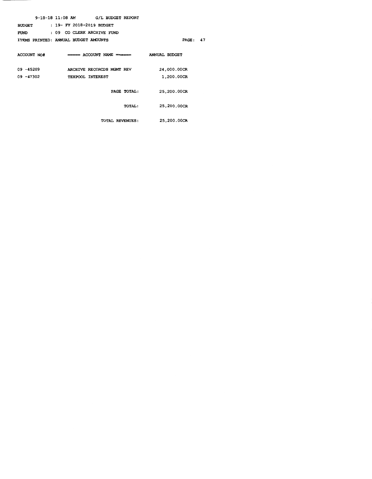|               | $9-18-18$ 11:08 AM G/L BUDGET REPORT                        |                      |    |
|---------------|-------------------------------------------------------------|----------------------|----|
| <b>BUDGET</b> | : 19- FY 2018-2019 BUDGET                                   |                      |    |
| FUND          | : 09 CO CLERK ARCHIVE FUND                                  |                      |    |
|               | ITEMS PRINTED: ANNUAL BUDGET AMOUNTS                        | <b>PAGE :</b>        | 47 |
|               | $\text{ACCOUNT}$ NO# $\text{---}$ ACCOUNT NAME $\text{---}$ | <b>ANNUAL BUDGET</b> |    |
| 09 -45209     | ARCHIVE RECORCDS MGMT REV                                   | 24,000.00CR          |    |
| 09 -47302     | TEXPOOL INTEREST                                            | 1,200.00CR           |    |
|               | PAGE TOTAL:                                                 | 25,200.00CR          |    |
|               | <b>TOTAL:</b>                                               | 25,200.00CR          |    |
|               | TOTAL REVENUES:                                             | 25,200.00CR          |    |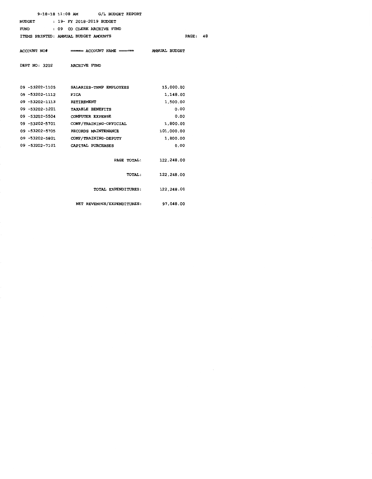|                | 9-18-18 11:08 AM G/L BUDGET REPORT                  |                 |  |
|----------------|-----------------------------------------------------|-----------------|--|
|                | BUDGET : 19- FY 2018-2019 BUDGET                    |                 |  |
|                | FUND : 09 CO CLERK ARCHIVE FUND                     |                 |  |
|                | ITEMS PRINTED: ANNUAL BUDGET AMOUNTS                | <b>PAGE: 48</b> |  |
|                |                                                     |                 |  |
|                | ACCOUNT NO# ===== ACCOUNT NAME ====== ANNUAL BUDGET |                 |  |
|                |                                                     |                 |  |
|                | DEPT NO: 3202 ARCHIVE FUND                          |                 |  |
|                |                                                     |                 |  |
|                |                                                     |                 |  |
|                | 09 -53202-1105 SALARIES-TEMP EMPLOYEES              | 15,000.00       |  |
| 09 -53202-1112 | <b>FICA</b>                                         | 1,148.00        |  |
|                | 09 -53202-1113 RETIREMENT                           | 1,500.00        |  |
| 09 -53202-1201 | <b>TAXABLE BENEFITS</b>                             | 0.00            |  |
|                | 09 -53202-5504 COMPUTER EXPENSE                     | 0.00            |  |
|                | 09 -53202-5701 CONF/TRAINING-OFFICIAL               | 1,800.00        |  |
|                | 09 -53202-5705 RECORDS MAINTENANCE                  | 101,000.00      |  |
|                | 09 -53202-5801 CONF/TRAINING-DEPUTY                 | 1,800.00        |  |
|                | 09 -53202-7101 CAPITAL PURCHASES                    | 0.00            |  |
|                |                                                     |                 |  |
|                | PAGE TOTAL:                                         | 122,248.00      |  |
|                |                                                     |                 |  |
|                | <b>TOTAL :</b>                                      | 122,248.00      |  |
|                |                                                     |                 |  |
|                | <b>TOTAL EXPENDITURES:</b>                          | 122,248.00      |  |
|                |                                                     |                 |  |
|                | NET REVENUES/EXPENDITURES: 97,048.00                |                 |  |

 $\sim$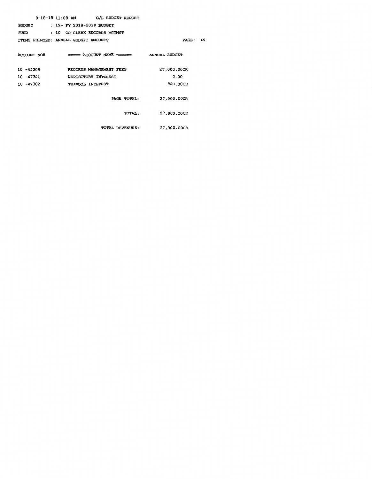|               | $9-18-18$ 11:08 AM G/L BUDGET REPORT |             |
|---------------|--------------------------------------|-------------|
| <b>BUDGET</b> | : 19- FY 2018-2019 BUDGET            |             |
| FUND          | : 10 CO CLERK RECORDS MGTMNT         |             |
|               | ITEMS PRINTED: ANNUAL BUDGET AMOUNTS | PACE: 49    |
| ACCOUNT NO#   |                                      |             |
|               |                                      |             |
| 10 -45209     | RECORDS MANAGEMENT FEES              | 27,000.00CR |
| 10 -47301     | DEPOSITORY INTEREST                  | 0.00        |
| 10 -47302     | TEXPOOL INTEREST                     | 900.00CR    |
|               |                                      |             |
|               | PAGE TOTAL:                          | 27,900.00CR |
|               |                                      |             |
|               | <b>TOTAL :</b>                       | 27,900.00CR |
|               |                                      |             |
|               | <b>TOTAL REVENUES:</b>               | 27,900.00CR |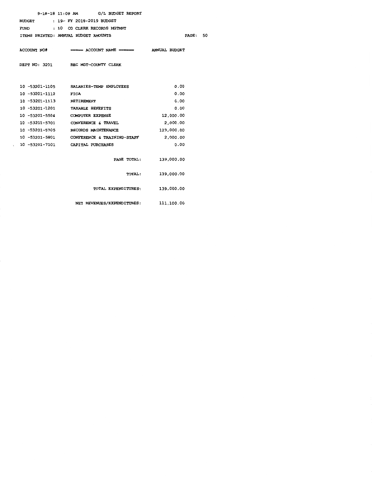|                     | 9-18-18 11:08 AM G/L BUDGET REPORT         |                        |
|---------------------|--------------------------------------------|------------------------|
|                     | BUDGET : 19- FY 2018-2019 BUDGET           |                        |
|                     | FUND : 10 CO CLERK RECORDS MGTMNT          |                        |
|                     | ITEMS PRINTED: ANNUAL BUDGET AMOUNTS       | PAGE:                  |
| ACCOUNT NO#         | ===== ACCOUNT NAME ====== ANNUAL BUDGET    |                        |
|                     | DEPT NO: 3201 REC MGT-COUNTY CLERK         |                        |
|                     |                                            |                        |
|                     | 10 -53201-1105 SALARIES-TEMP EMPLOYEES     | 0.00                   |
| 10 -53201-1112 FICA |                                            | 0.00                   |
|                     | 10 -53201-1113 RETIREMENT                  | 0.00                   |
|                     | 10 -53201-1201 TAXABLE BENEFITS            | 0.00                   |
|                     | 10 -53201-5504 COMPUTER EXPENSE            | 12,000.00              |
|                     | 10 -53201-5701 CONFERENCE & TRAVEL         | 2,000.00               |
|                     | 10 -53201-5705 RECORDS MAINTENANCE         | 123,000.00             |
|                     | 10 -53201-5801 CONFERENCE & TRAINING-STAFF | 2,000.00               |
|                     | 10 -53201-7101 CAPITAL PURCHASES           | 0.00                   |
|                     |                                            | PAGE TOTAL: 139,000.00 |
|                     | <b>TOTAL :</b>                             | 139,000.00             |
|                     | TOTAL EXPENDITURES:                        | 139,000.00             |
|                     | NET REVENUES/EXPENDITURES:                 | 111,100.00             |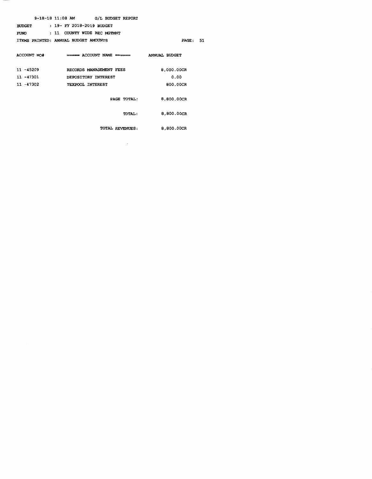|               | $9-18-18$ 11:08 AM G/L BUDGET REPORT                        |                 |
|---------------|-------------------------------------------------------------|-----------------|
| <b>BUDGET</b> | : 19- FY 2018-2019 BUDGET                                   |                 |
| FUND          | : 11 COUNTY WIDE REC MGTMNT                                 |                 |
|               | ITEMS PRINTED: ANNUAL BUDGET AMOUNTS                        | <b>PAGE: 51</b> |
|               |                                                             |                 |
|               | $\text{ACCOUNT NO#}$ $\text{EXAMPLE}$ $\text{ACCOUNT NAME}$ | ANNUAL BUDGET   |
|               |                                                             |                 |
| 11 -45209     | RECORDS MANAGEMENT FEES                                     | 8,000.00CR      |
| 11 -47301     | DEPOSITORY INTEREST                                         | 0.00            |
| 11 -47302     | TEXPOOL INTEREST                                            | 800.00CR        |
|               |                                                             |                 |
|               | PAGE TOTAL:                                                 | 8,800.00CR      |
|               |                                                             |                 |
|               | <b>TOTAL :</b>                                              | 8,800.00CR      |
|               |                                                             |                 |
|               | <b>TOTAL REVENUES:</b>                                      | 8,800.00CR      |

 $\label{eq:2.1} \frac{1}{\sqrt{2}}\int_{\mathbb{R}^3}\frac{1}{\sqrt{2}}\left(\frac{1}{\sqrt{2}}\right)^2\frac{1}{\sqrt{2}}\left(\frac{1}{\sqrt{2}}\right)^2\frac{1}{\sqrt{2}}\left(\frac{1}{\sqrt{2}}\right)^2\frac{1}{\sqrt{2}}\left(\frac{1}{\sqrt{2}}\right)^2.$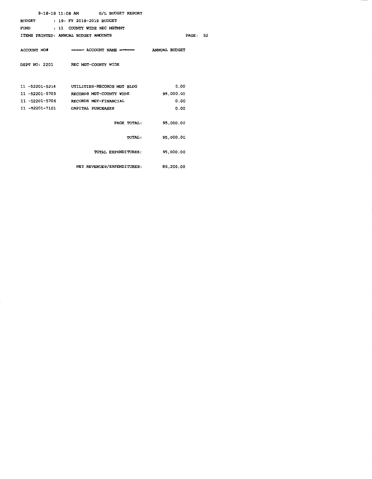| 9-18-18 11:08 AM G/L BUDGET REPORT                  |           |
|-----------------------------------------------------|-----------|
| BUDGET : 19- FY 2018-2019 BUDGET                    |           |
| FUND : 11 COUNTY WIDE REC MGTMNT                    |           |
| ITEMS PRINTED: ANNUAL BUDGET AMOUNTS                | PAGE:     |
|                                                     |           |
| ACCOUNT NO# ===== ACCOUNT NAME ====== ANNUAL BUDGET |           |
|                                                     |           |
| DEPT NO: 2201 REC MGT-COUNTY WIDE                   |           |
|                                                     |           |
| 11 -52201-5214 UTILITIES-RECORDS MGT BLDG           | 0.00      |
|                                                     |           |
| 11 -52201-5705 RECORDS MGT-COUNTY WIDE              | 95,000.00 |
| 11 -52201-5706 RECORDS MGT-FINANCIAL                | 0.00      |
| 11 -52201-7101 CAPITAL PURCHASES                    | 0.00      |
|                                                     |           |
| PAGE TOTAL:                                         | 95,000.00 |
|                                                     |           |
| <b>TOTAL :</b>                                      | 95,000.00 |
|                                                     |           |
| TOTAL EXPENDITURES:                                 | 95,000.00 |
|                                                     |           |
| NET REVENUES/EXPENDITURES: 86,200.00                |           |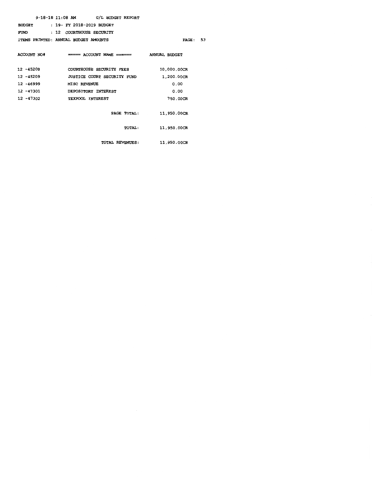|               | $9-18-18$ 11:08 AM G/L BUDGET REPORT                |             |
|---------------|-----------------------------------------------------|-------------|
| <b>BUDGET</b> | : 19- FY 2018-2019 BUDGET                           |             |
| FUND          | : 12 COURTHOUSE SECURITY                            |             |
|               | ITEMS PRINTED: ANNUAL BUDGET AMOUNTS                | PAGE:       |
|               | ACCOUNT NO# ===== ACCOUNT NAME ====== ANNUAL BUDGET |             |
| 12 -45208     | <b>COURTHOUSE SECURITY FEES</b>                     | 10,000.00CR |
| 12 -45209     | JUSTICE COURT SECURITY FUND                         | 1,200.00CR  |
| 12 -46999     | <b>MISC REVENUE</b>                                 | 0.00        |
| 12 -47301     | DEPOSITORY INTEREST                                 | 0.00        |
| 12 -47302     | TEXPOOL INTEREST                                    | 750.00CR    |
|               | PAGE TOTAL:                                         | 11,950.00CR |
|               | <b>TOTAL :</b>                                      | 11,950.00CR |
|               | <b>TOTAL REVENUES:</b>                              | 11,950.00CR |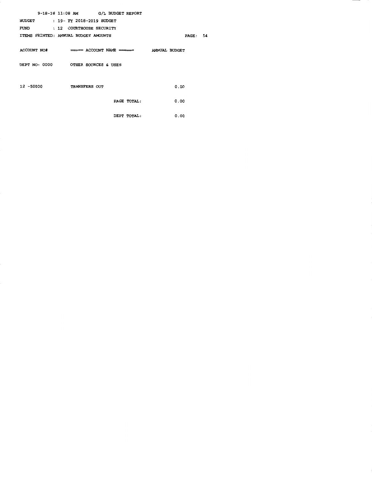|               | 9-18-18 11:08 AM G/L BUDGET REPORT                  |          |
|---------------|-----------------------------------------------------|----------|
| <b>BUDGET</b> | : 19- FY 2018-2019 BUDGET                           |          |
|               | FUND : 12 COURTHOUSE SECURITY                       |          |
|               | ITEMS PRINTED: ANNUAL BUDGET AMOUNTS                | PAGE: 54 |
|               | ACCOUNT NO# ===== ACCOUNT NAME ====== ANNUAL BUDGET |          |
|               | DEPT NO: 0000 OTHER SOURCES & USES                  |          |
|               |                                                     |          |
| 12 -50000     | TRANSFERS OUT                                       | 0.00     |
|               | PAGE TOTAL:                                         | 0.00     |
|               | DEPT TOTAL:                                         | 0.00     |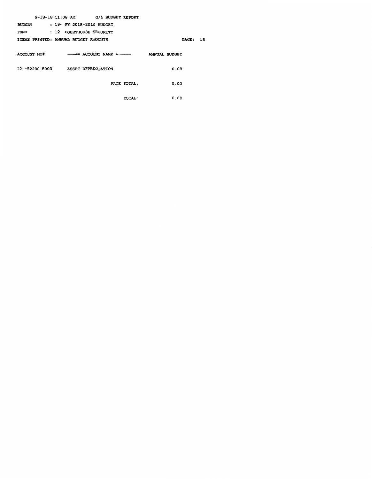|               | $9-18-18$ 11:08 AM $G/L$ BUDGET REPORT |               |                    |
|---------------|----------------------------------------|---------------|--------------------|
| <b>BUDGET</b> | : 19- FY 2018-2019 BUDGET              |               |                    |
| FUND          | : 12 COURTHOUSE SECURITY               |               |                    |
|               | ITEMS PRINTED: ANNUAL BUDGET AMOUNTS   |               | 55<br><b>PAGE:</b> |
|               |                                        |               |                    |
| ACCOUNT NO#   | $\equiv$ -==== ACCOUNT NAME =======    | ANNUAL BUDGET |                    |
|               |                                        |               |                    |
|               | 12 -52200-8000 ASSET DEPRECIATION      |               | 0.00               |
|               |                                        |               |                    |
|               | PAGE TOTAL:                            |               | 0.00               |
|               |                                        |               |                    |
|               |                                        | <b>TOTAL:</b> | 0.00               |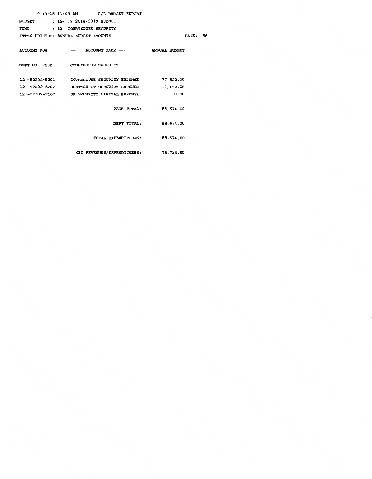| $9-18-18$ 11:08 AM $G/L$ BUDGET REPORT               |                       |  |
|------------------------------------------------------|-----------------------|--|
| BUDGET : 19- FY 2018-2019 BUDGET                     |                       |  |
| FUND : 12 COURTHOUSE SECURITY                        |                       |  |
| ITEMS PRINTED: ANNUAL BUDGET AMOUNTS                 | <b>PAGE: 56</b>       |  |
|                                                      |                       |  |
| ACCOUNT NO# ===== ACCOUNT NAME ====== ANNUAL BUDGET  |                       |  |
|                                                      |                       |  |
| DEPT NO: 2202 COURTHOUSE SECURITY                    |                       |  |
|                                                      |                       |  |
| 12 -52202-5201 COURTHOUSE SECURITY EXPENSE 77,522.00 |                       |  |
| 12 -52202-5202 JUSTICE CT SECURITY EXPENSE           | 11,152.00             |  |
| 12 -52202-7102 JP SECURITY CAPITAL EXPENSE           | 0.00                  |  |
|                                                      |                       |  |
|                                                      | PAGE TOTAL: 88,674.00 |  |
|                                                      |                       |  |
|                                                      | DEPT TOTAL: 88,674.00 |  |
|                                                      |                       |  |
| TOTAL EXPENDITURES: 88,674.00                        |                       |  |
|                                                      |                       |  |
| NET REVENUES/EXPENDITURES: 76,724.00                 |                       |  |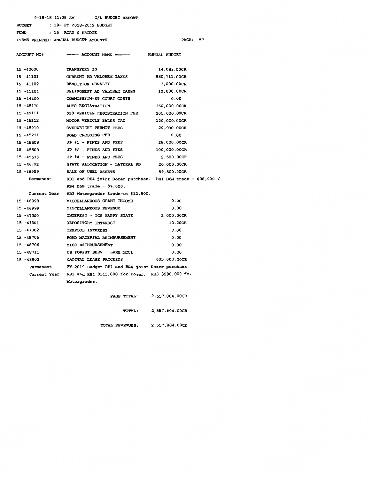9-18-18 11:08 AM G/L BUDGET REPORT BUDGET 19- FY 2018-2019 BUDGET 15 ROAD & BRIDGE

ITEMS PRINTED: ANNUAL BUDGET AMOUNTS PAGE: 57

FUND

| <b>ACCOUNT NO#</b> | ====== ACCOUNT NAME =======                                     | ANNUAL BUDGET       |  |
|--------------------|-----------------------------------------------------------------|---------------------|--|
| 15 -40000          | TRANSFERS IN                                                    | 14,083.00CR         |  |
| 15 -41101          | CURRENT AD VALOREM TAXES 980, 711.00CR                          |                     |  |
| 15 -41102          | RENDITION PENALTY                                               | 1,000.00CR          |  |
| 15 -41104          | DELINQUENT AD VALOREM TAXES                                     | 10,000.00CR         |  |
| 15 -44400          | COMMISSION-ST COURT COSTS                                       | 0.00                |  |
| 15 -45110          | AUTO REGISTRATION                                               | 360,000.00CR        |  |
| 15 -45111          | \$10 VEHICLE REGISTRATION FEE 205,000.00CR                      |                     |  |
| 15 -45112          | MOTOR VEHICLE SALES TAX                                         | <b>150,000.00CR</b> |  |
| 15 -45210          | <b>OVERWEIGHT PERMIT FEES</b>                                   | 20,000.00CR         |  |
| 15 -45211          | <b>ROAD CROSSING FEE</b>                                        | 0.00                |  |
| 15 -45508          | JP #1 - FINES AND FEES 28,000.00CR                              |                     |  |
| 15 -45509          | $JP$ $#2$ - FINES AND FEES                                      | 100,000.00CR        |  |
| 15 -45510          | JP #4 - FINES AND FEES                                          | 2,500.00CR          |  |
| 15 -46702          | STATE ALLOCATION - LATERAL RD 20,000.00CR                       |                     |  |
| 15 -46909          | <b>SALE OF USED ASSETS</b>                                      | 59,500.00CR         |  |
| Permanent          | RB1 and RB4 joint Dozer purchase. RB1 D6M trade - \$38,000 /    |                     |  |
|                    | RB4 D5B trade - $$9,000$ .                                      |                     |  |
|                    | Current Year RB3 Motorgrader trade-in \$12,500.                 |                     |  |
| 15 -46998          | MISCELLANEOUS GRANT INCOME                                      | 0.00                |  |
| 15 -46999          | MISCELLANEOUS REVENUE                                           | 0.00                |  |
| 15 -47300          | <b>INTEREST - ICS HAPPY STATE</b>                               | 2,000.00CR          |  |
| 15 -47301          | DEPOSITORY INTEREST                                             | 10.00CR             |  |
| 15 -47302          | <b>TEXPOOL INTEREST</b>                                         | 0.00                |  |
| 15 -48705          | ROAD MATERIAL REIMBURSEMENT                                     | 0.00                |  |
| 15 -48706          | <b>MISC REIMBURSEMENT</b>                                       | 0.00                |  |
| 15 -48711          | US FOREST SERV - LAKE MCCL                                      | 0.00                |  |
| 15 -48902          | CAPITAL LEASE PROCEEDS                                          | 605,000.00CR        |  |
|                    | Permanent FY 2019 Budget RB1 and RB4 joint Dozer purchase.      |                     |  |
|                    | Current Year RB1 and RB4 \$315,000 for Dozer. RB3 \$290,000 for |                     |  |
|                    | Motorgrader.                                                    |                     |  |
|                    | PAGE TOTAL:                                                     | 2,557,804.00CR      |  |

|                 | _ , _ _ . , _  |
|-----------------|----------------|
| <b>TOTAL:</b>   | 2,557,804.00CR |
| TOTAL REVENUES: | 2,557,804.00CR |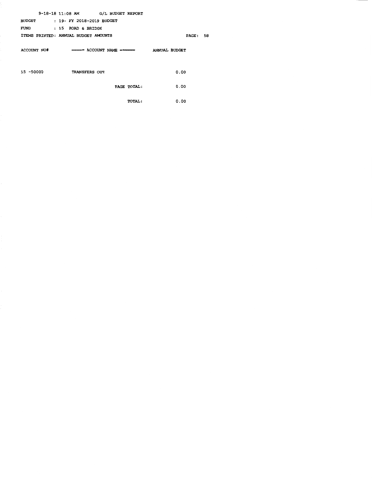|               | $9-18-18$ 11:08 AM G/L BUDGET REPORT   |                      |  |
|---------------|----------------------------------------|----------------------|--|
| <b>BUDGET</b> | : 19- FY 2018-2019 BUDGET              |                      |  |
| FUND          | $: 15$ ROAD & BRIDGE                   |                      |  |
|               | ITEMS PRINTED: ANNUAL BUDGET AMOUNTS   | PAGE:<br>58          |  |
| ACCOUNT NO#   | ====== ACCOUNT NAME = <del>=====</del> | <b>ANNUAL BUDGET</b> |  |
|               |                                        |                      |  |
|               |                                        |                      |  |
| 15 -50000     | TRANSFERS OUT                          | 0.00                 |  |
|               |                                        |                      |  |
|               | PAGE TOTAL:                            | 0.00                 |  |
|               |                                        |                      |  |
|               | TOTAL:                                 | 0.00                 |  |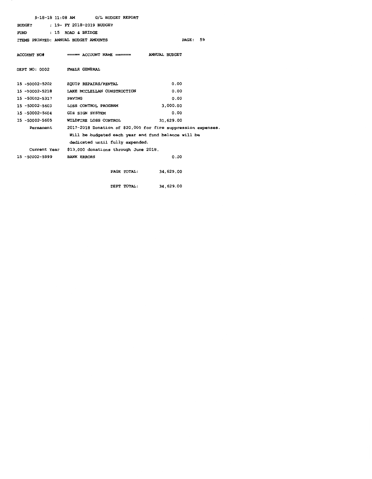|                       | $9-18-18$ 11:08 AM $G/L$ BUDGET REPORT              |                                                               |  |
|-----------------------|-----------------------------------------------------|---------------------------------------------------------------|--|
| <b>BUDGET</b>         | : 19- FY 2018-2019 BUDGET                           |                                                               |  |
| FUND                  | : 15 ROAD & BRIDGE                                  |                                                               |  |
|                       | ITEMS PRINTED: ANNUAL BUDGET AMOUNTS                | 59<br>$\texttt{PAGE}$ :                                       |  |
|                       | ACCOUNT NO# ===== ACCOUNT NAME ====== ANNUAL BUDGET |                                                               |  |
|                       | DEPT NO: 0002 FM&LR GENERAL                         |                                                               |  |
|                       | 15 -50002-5202 EQUIP REPAIRS/RENTAL                 | 0.00                                                          |  |
|                       | 15 -50002-5218 LAKE MCCLELLAN CONSTRUCTION          | 0.00                                                          |  |
| 15 -50002-5317 PAVING |                                                     | 0.00                                                          |  |
|                       | 15 -50002-5603 LOSS CONTROL PROGRAM                 | 3,000.00                                                      |  |
|                       | 15 -50002-5604 GIS SIGN SYSTEM                      | 0.00                                                          |  |
| 15 -50002-5605        | WILDFIRE LOSS CONTROL                               | 31,629.00                                                     |  |
| Permanent             |                                                     | 2017-2018 Donation of \$20,000 for fire suppression expenses. |  |
|                       |                                                     | Will be budgeted each year and fund balance will be           |  |
|                       | dedicated until fully expended.                     |                                                               |  |
| Current Year          | \$13,000 donations through June 2018.               |                                                               |  |
| 15 -50002-5999        | <b>BANK ERRORS</b>                                  | 0.00                                                          |  |
|                       |                                                     | PAGE TOTAL:<br>34,629.00                                      |  |
|                       |                                                     | DEPT TOTAL:<br>34,629.00                                      |  |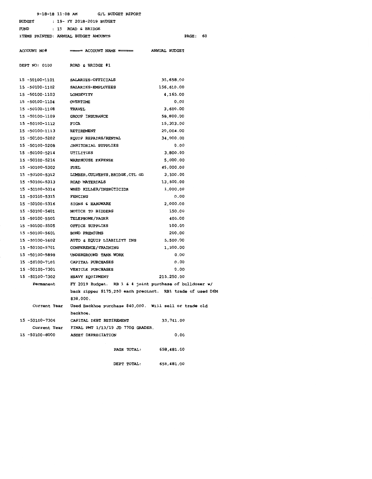|                | G/L BUDGET REPORT<br>9-18-18 11:08 AM                   |                                                            |
|----------------|---------------------------------------------------------|------------------------------------------------------------|
| <b>BUDGET</b>  | : 19- FY 2018-2019 BUDGET                               |                                                            |
| FUND           | $: 15$ ROAD & BRIDGE                                    |                                                            |
|                | ITEMS PRINTED: ANNUAL BUDGET AMOUNTS                    | 60<br><b>PAGE :</b>                                        |
|                |                                                         |                                                            |
| ACCOUNT NO#    | $=\!=\!=\!=$ ACCOUNT NAME $=\!=\!=\!=\!=$               | ANNUAL BUDGET                                              |
| DEPT NO: 0100  | ROAD & BRIDGE #1                                        |                                                            |
| 15 -50100-1101 | SALARIES-OFFICIALS                                      | 35,658.00                                                  |
| 15 -50100-1102 | SALARIES-EMPLOYEES                                      | 156,610.00                                                 |
| 15 -50100-1103 | <b>LONGEVITY</b>                                        | 4,165.00                                                   |
| 15 -50100-1104 | OVERTIME                                                | 0.00                                                       |
| 15 -50100-1108 | <b>TRAVEL</b>                                           | 3,600.00                                                   |
| 15 -50100-1109 | GROUP INSURANCE                                         | 58,800.00                                                  |
| 15 -50100-1112 | FICA                                                    | 15,303.00                                                  |
| 15 -50100-1113 | RETIREMENT                                              | 20,004.00                                                  |
| 15 -50100-5202 | <b>EQUIP REPAIRS/RENTAL</b>                             | 34,000.00                                                  |
| 15 -50100-5208 | <b>JANITORIAL SUPPLIES</b>                              | 0.00                                                       |
| 15 -50100-5214 | UTILITIES                                               | 3,800.00                                                   |
| 15 -50100-5216 | WAREHOUSE EXPENSE                                       | 5,000.00                                                   |
| 15 -50100-5302 | FUEL                                                    | 45,000.00                                                  |
| 15 -50100-5312 | LUMBER, CULVERTS, BRIDGE, CTL GD                        | 3,500.00                                                   |
| 15 -50100-5313 | <b>ROAD MATERIALS</b>                                   | 13,500.00                                                  |
| 15 -50100-5314 | WEED KILLER/INSECTICIDE                                 | 1,000.00                                                   |
| 15 -50100-5315 | <b>FENCING</b>                                          | 0.00                                                       |
| 15 -50100-5316 | SIGNS & HARDWARE                                        | 2,000.00                                                   |
| 15 -50100-5401 | NOTICE TO BIDDERS                                       | 150.00                                                     |
| 15 -50100-5501 | <b>TELEPHONE/PAGER</b>                                  | 400.00                                                     |
| 15 -50100-5505 | OFFICE SUPPLIES                                         | 100.00                                                     |
| 15 -50100-5601 | <b>BOND PREMIUMS</b>                                    | 200.00                                                     |
| 15 -50100-5602 | AUTO & EQUIP LIABILITY INS                              | 5,500.00                                                   |
| 15 -50100-5701 | CONFERENCE/TRAINING                                     | 1,200.00                                                   |
| 15 -50100-5898 | UNDERGROUND TANK WORK                                   | 0.00                                                       |
| 15 ~50100-7101 | <b>CAPITAL PURCHASES</b>                                | 0.00                                                       |
| 15 -50100-7301 | <b>VEHICLE PURCHASES</b>                                | 0.00                                                       |
| 15 -50100-7302 | HEAVY EQUIPMENT                                         | 215,250.00                                                 |
| Permanent      | FY 2019 Budget. RB 1 & 4 joint purchase of bulldozer w/ |                                                            |
|                |                                                         | back ripper \$175,250 each precinct. RB1 trade of used D6M |
|                | \$38,000.                                               |                                                            |
| Current Year   | Used Backhoe purchase \$40,000. Will sell or trade old  |                                                            |
|                | backhoe.                                                |                                                            |
| 15 -50100-7306 | CAPITAL DEBT RETIREMENT                                 | 33,741.00                                                  |
|                | Current Year FINAL PMT 1/13/19 JD 770G GRADER.          |                                                            |
| 15 -50100-8000 | <b>ASSET DEPRECIATION</b>                               | 0.00                                                       |
|                | PAGE TOTAL:                                             | 658,481.00                                                 |
|                |                                                         |                                                            |
|                | DEPT TOTAL:                                             | 658,481.00                                                 |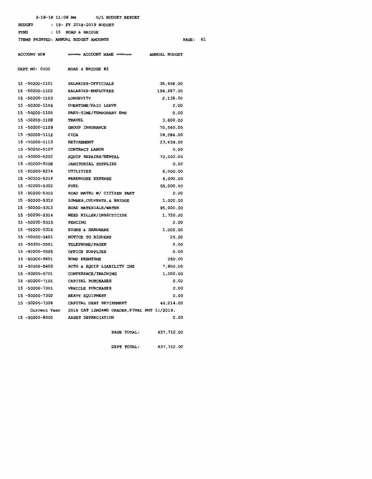9-18-18 11:08 AM G/L BUDGET REPORT BUDGET 19- FY 2018-2019 BUDGET FUND 15 ROAD & BRIDGE

ITEMS PRINTED: ANNUAL BUDGET AMOUNTS

PAGE: 61

| <b>ACCOUNT NO#</b> | ===== ACCOUNT NAME ======                   | <b>ANNUAL BUDGET</b> |
|--------------------|---------------------------------------------|----------------------|
|                    |                                             |                      |
| DEPT NO: 0200      | ROAD & BRIDGE #2                            |                      |
| 15 -50200-1101     | SALARIES-OFFICIALS                          | 35,658.00            |
| 15 -50200-1102     | SALARIES-EMPLOYEES                          | 194,997.00           |
| 15 -50200-1103     | <b>LONGEVITY</b>                            | 2,135.00             |
| 15 -50200-1104     | <b>OVERTIME/PAID LEAVE</b>                  | 0.00                 |
| 15 -50200-1105     | PART-TIME/TEMPORARY EMP                     | 0.00                 |
| 15 -50200-1108     | <b>TRAVEL</b>                               | 3,600.00             |
| 15 -50200-1109     | <b>GROUP INSURANCE</b>                      | 70,560.00            |
| 15 -50200-1112     | <b>FICA</b>                                 | 18,084.00            |
| 15 -50200-1113     | <b>RETIREMENT</b>                           | 23,639.00            |
| 15 -50200-5107     | CONTRACT LABOR                              | 0.00                 |
| 15 -50200-5202     | EOUIP REPAIRS/RENTAL                        | 70,000.00            |
| 15 -50200-5208     | <b>JANITORIAL SUPPLIES</b>                  | 0.00                 |
| 15 -50200-5214     | <b>UTILITIES</b>                            | 6,000.00             |
| 15 -50200-5216     | <b>WAREHOUSE EXPENSE</b>                    | 6,000.00             |
| 15 -50200-5302     | <b>FUEL</b>                                 | 55,000.00            |
| 15 -50200-5310     | ROAD MATRL W/ CITIZEN PART                  | 0.00                 |
| 15 -50200-5312     | LUMBER, CULVERTS, & BRIDGE                  | 1,000.00             |
| 15 -50200-5313     | ROAD MATERIALS/WATER                        | 95,000.00            |
| 15 -50200-5314     | WEED KILLER/INSECTICIDE                     | 1,750.00             |
| 15 -50200-5315     | <b>FENCING</b>                              | 0.00                 |
| 15 -50200-5316     | SIGNS & HARDWARE                            | 1,000.00             |
| 15 -50200-5401     | NOTICE TO BIDDERS                           | 25.00                |
| 15 -50200-5501     | TELEPHONE/PAGER                             | 0.00                 |
| 15 -50200-5505     | OFFICE SUPPLIES                             | 0.00                 |
| 15 -50200-5601     | BOND PREMIUMS                               | 250.00               |
| 15 -50200-5602     | AUTO & EQUIP LIABILITY INS                  | 7,800.00             |
| 15 -50200-5701     | CONFERENCE/TRAINING                         | 1,000.00             |
| 15 -50200-7101     | CAPITAL PURCHASES                           | 0.00                 |
| 15 -50200-7301     | VEHICLE PURCHASES                           | 0.00                 |
| 15 -50200-7302     | HEAVY EQUIPMENT                             | 0.00                 |
| 15 -50200-7306     | CAPITAL DEBT RETIREMENT                     | 44,214.00            |
| Current Year       | 2014 CAT 12M2AWD GRADER, FINAL PMT 11/2019. |                      |
| 15 -50200-8000     | ASSET DEPRECIATION                          | 0.00                 |
|                    |                                             |                      |
|                    | PAGE TOTAL:                                 | 637,712.00           |
|                    |                                             |                      |

DEPT TOTAL: 637,712.00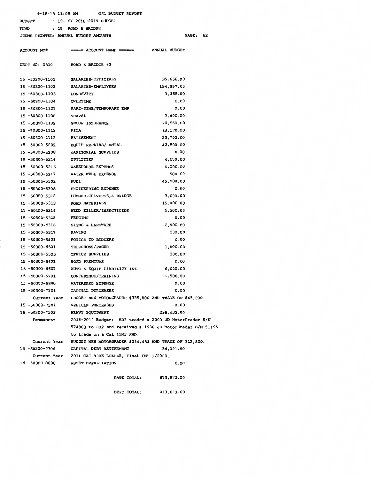|                                            | $9-18-18$ 11:08 AM G/L BUDGET REPORT                                 |                                                             |  |  |
|--------------------------------------------|----------------------------------------------------------------------|-------------------------------------------------------------|--|--|
| : 19- FY 2018-2019 BUDGET<br><b>BUDGET</b> |                                                                      |                                                             |  |  |
| FUND                                       | : 15 ROAD & BRIDGE                                                   |                                                             |  |  |
|                                            | ITEMS PRINTED: ANNUAL BUDGET AMOUNTS                                 | <b>PAGE :</b><br>62                                         |  |  |
| <b>ACCOUNT NO#</b>                         | $\equiv$ - $\equiv$ ACCOUNT NAME $\equiv$                            | ANNUAL BUDGET                                               |  |  |
| DEPT NO: 0300                              | ROAD & BRIDGE #3                                                     |                                                             |  |  |
| 15 -50300-1101                             | <b>SALARIES-OFFICIALS</b>                                            | 35,658.00                                                   |  |  |
| 15 -50300-1102                             | <b>SALARIES-EMPLOYEES</b>                                            | 194,997.00                                                  |  |  |
| 15 -50300-1103                             | <b>LONGEVITY</b>                                                     | 3,365.00                                                    |  |  |
| 15 -50300-1104                             | <b>OVERTIME</b>                                                      | 0.00                                                        |  |  |
| 15 -50300-1105                             | <b>PART-TIME/TEMPORARY EMP</b>                                       | 0.00                                                        |  |  |
| 15 -50300-1108                             | <b>TRAVEL</b>                                                        | 3,600.00                                                    |  |  |
| 15 -50300-1109                             | <b>GROUP INSURANCE</b>                                               | 70,560.00                                                   |  |  |
| 15 -50300-1112                             | <b>FICA</b>                                                          | 18,178.00                                                   |  |  |
| 15 -50300-1113                             | <b>RETIREMENT</b>                                                    | 23,762.00                                                   |  |  |
| 15 -50300-5202                             | <b>EQUIP REPAIRS/RENTAL</b>                                          | 42,500.00                                                   |  |  |
| 15 -50300-5208                             | <b>JANITORIAL SUPPLIES</b>                                           | 0.00                                                        |  |  |
| 15 -50300-5214                             | UTILITIES                                                            | 4,000.00                                                    |  |  |
| 15 -50300-5216                             | WAREHOUSE EXPENSE                                                    | 4,000.00                                                    |  |  |
| 15 -50300-5217                             | WATER WELL EXPENSE                                                   | 500.00                                                      |  |  |
| 15 -50300-5302                             | FUEL                                                                 | 45,000.00                                                   |  |  |
| 15 -50300-5308                             | <b>ENGINEERING EXPENSE</b>                                           | 0.00                                                        |  |  |
| 15 -50300-5312                             | LUMBER, CULVERTS, & BRIDGE                                           | 3,000.00                                                    |  |  |
| 15 -50300-5313                             | <b>ROAD MATERIALS</b>                                                | 15,000.00                                                   |  |  |
| 15 -50300-5314                             | WEED KILLER/INSECTICIDE                                              | 5,500.00                                                    |  |  |
| 15 -50300-5315                             | <b>FENCING</b>                                                       | 0.00                                                        |  |  |
| 15 -50300-5316                             | <b>SIGNS &amp; HARDWARE</b>                                          | 2,500.00                                                    |  |  |
| 15 -50300-5317                             | <b>PAVING</b>                                                        | 500.00                                                      |  |  |
| 15 -50300-5401                             | NOTICE TO BIDDERS                                                    | 0.00                                                        |  |  |
| 15 -50300-5501                             | <b>TELEPHONE/PAGER</b>                                               | 1,000.00                                                    |  |  |
| 15 -50300-5505                             | OFFICE SUPPLIES                                                      | 300.00                                                      |  |  |
| 15 -50300-5601                             | <b>BOND PREMIUMS</b>                                                 | 0.00                                                        |  |  |
| 15 -50300-5602                             | AUTO & EQUIP LIABILITY INS                                           | 6,000.00                                                    |  |  |
| 15 -50300-5701                             | CONFERENCE/TRAINING                                                  | 1,500.00                                                    |  |  |
| 15 -50300-5800                             | <b>WATERSHED EXPENSE</b>                                             | 0.00                                                        |  |  |
| 15 -50300-7101                             | <b>CAPITAL PURCHASES</b>                                             | 0.00                                                        |  |  |
|                                            | Current Year BUDGET NEW MOTORGRADER \$335,000 AND TRADE OF \$45,000. |                                                             |  |  |
| 15 -50300-7301                             | <b>VEHICLE PURCHASES</b>                                             | 0.00                                                        |  |  |
| 15 -50300-7302                             | <b>HEAVY EQUIPMENT</b>                                               | 298,432.00                                                  |  |  |
| Permanent                                  | 2018-2019 Budget: RB3 traded a 2000 JD MotorGrader S/N               |                                                             |  |  |
|                                            |                                                                      | 574983 to RB2 and received a 1986 JD MotorGrader S/N 511951 |  |  |
|                                            | to trade on a Cat 12M3 AWD.                                          |                                                             |  |  |
| Current Year                               | BUDGET NEW MOTORGRADER \$294,432 AND TRADE OF \$12,500.              |                                                             |  |  |
| 15 -50300-7306                             | CAPITAL DEBT RETIREMENT                                              | 34,021.00                                                   |  |  |
|                                            | Current Year 2014 CAT 938K LOADER, FINAL PMT 1/2020.                 |                                                             |  |  |
|                                            | 15 -50300-8000 ASSET DEPRECIATION                                    | 0.00                                                        |  |  |
|                                            |                                                                      |                                                             |  |  |
|                                            | PAGE TOTAL:                                                          | 813,873.00                                                  |  |  |
|                                            | DEPT TOTAL:                                                          | 813,873.00                                                  |  |  |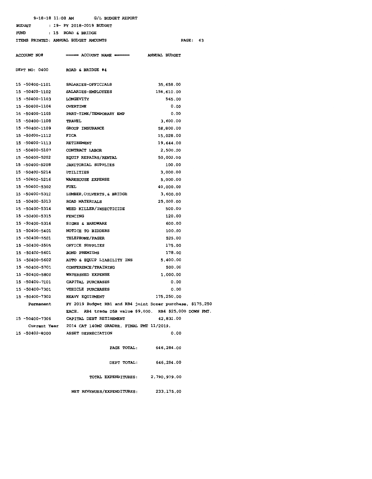9-18-18 11:08 AM G/L BUDGET REPORT BUDGET FUND 19- FY 2018-2019 BUDGET 15 ROAD & BRIDGE ITEMS PRINTED: ANNUAL BUDGET AMOUNTS PAGE: 63

| <b>ACCOUNT NO#</b> | $=$ $=$ $=$ $+$ $ACCOUNT$ NAME $=$ $=$ $=$ $=$ | ANNUAL BUDGET                                              |
|--------------------|------------------------------------------------|------------------------------------------------------------|
| DEPT NO: 0400      | ROAD & BRIDGE #4                               |                                                            |
| 15 -50400-1101     | SALARIES-OFFICIALS                             | 35,658.00                                                  |
| 15 -50400-1102     | SALARIES-EMPLOYEES                             | 156,610.00                                                 |
| 15 -50400-1103     | <b>LONGEVITY</b>                               | 565.00                                                     |
| 15 -50400-1104     | <b>OVERTIME</b>                                | 0.00                                                       |
| 15 -50400-1105     | PART-TIME/TEMPORARY EMP                        | 0.00                                                       |
| 15 -50400-1108     | <b>TRAVEL</b>                                  | 3,600.00                                                   |
| 15 -50400-1109     | <b>GROUP INSURANCE</b>                         | 58,800.00                                                  |
| 15 -50400-1112     | FICA                                           | 15,028.00                                                  |
| 15 -50400-1113     | RETIREMENT                                     | 19,644.00                                                  |
| 15 -50400-5107     | CONTRACT LABOR                                 | 2,500.00                                                   |
| 15 -50400-5202     | EQUIP REPAIRS/RENTAL                           | 50,000.00                                                  |
| 15 -50400-5208     | <b>JANITORIAL SUPPLIES</b>                     | 100.00                                                     |
| 15 -50400-5214     | UTILITIES                                      | 3,000.00                                                   |
| 15 -50400-5216     | WAREHOUSE EXPENSE                              | 5,000.00                                                   |
| 15 -50400-5302     | FUEL                                           | 40,000.00                                                  |
| 15 -50400-5312     | LUMBER, CULVERTS, & BRIDGE                     | 3,600.00                                                   |
| 15 -50400-5313     | <b>ROAD MATERIALS</b>                          | 25,000.00                                                  |
| 15 -50400-5314     | WEED KILLER/INSECTICIDE                        | 500.00                                                     |
| 15 -50400-5315     | <b>FENCING</b>                                 | 120.00                                                     |
| 15 -50400-5316     | <b>SIGNS &amp; HARDWARE</b>                    | 600.00                                                     |
| 15 -50400-5401     | NOTICE TO BIDDERS                              | 100.00                                                     |
| 15 -50400-5501     | <b>TELEPHONE/PAGER</b>                         | 525.00                                                     |
| 15 -50400-5505     | OFFICE SUPPLIES                                | 175.00                                                     |
| 15 -50400-5601     | <b>BOND PREMIUMS</b>                           | 178.00                                                     |
| 15 -50400-5602     | AUTO & EQUIP LIABILITY INS                     | 5,400.00                                                   |
| 15 -50400-5701     | CONFERENCE/TRAINING                            | 500.00                                                     |
| 15 -50400-5800     | WATERSHED EXPENSE                              | 1,000.00                                                   |
| 15 -50400-7101     | CAPITAL PURCHASES                              | 0.00                                                       |
| 15 -50400-7301     | VEHICLE PURCHASES                              | 0.00                                                       |
| 15 -50400-7302     | HEAVY EQUIPMENT                                | 175,250.00                                                 |
| Permanent          |                                                | FY 2019 Budget RB1 and RB4 joint Dozer purchase, \$175,250 |
|                    | EACH.                                          | RB4 trade D5B value \$9,000. RB4 \$25,000 DOWN PMT.        |
| 15 -50400-7306     | CAPITAL DEBT RETIREMENT                        | 42,831.00                                                  |
| Current Year       | 2014 CAT 140M2 GRADER. FINAL PMT 11/2019.      |                                                            |
| 15 -50400-8000     | <b>ASSET DEPRECIATION</b>                      | 0.00                                                       |
|                    |                                                |                                                            |
|                    | PAGE TOTAL:                                    | 646,284.00                                                 |
|                    | DEPT TOTAL:                                    | 646,284.00                                                 |
|                    | TOTAL EXPENDITURES: 2,790,979.00               |                                                            |
|                    | NET REVENUES/EXPENDITURES:                     | 233,175.00                                                 |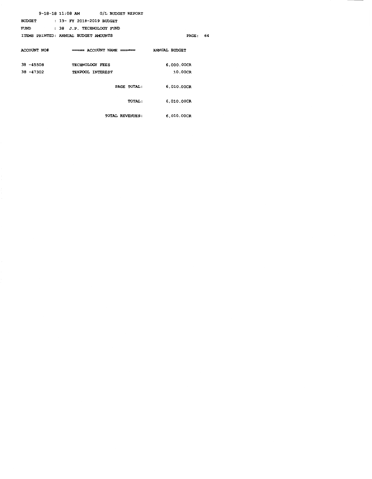|               | $9-18-18$ 11:08 AM G/L BUDGET REPORT                        |                 |  |
|---------------|-------------------------------------------------------------|-----------------|--|
| <b>BUDGET</b> | : 19- FY 2018-2019 BUDGET                                   |                 |  |
| FUND          | : 38 J.P. TECHNOLOGY FUND                                   |                 |  |
|               | ITEMS PRINTED: ANNUAL BUDGET AMOUNTS                        | <b>PAGE: 64</b> |  |
|               | $\text{ACCOUNT}$ NO# $\text{---}$ account NAME $\text{---}$ | ANNUAL BUDGET   |  |
| 38 -45508     | TECHNOLOGY FEES                                             | 6,000.00CR      |  |
| 38 -47302     | TEXPOOL INTEREST                                            | 10.00CR         |  |
|               | PAGE TOTAL:                                                 | 6,010.00CR      |  |
|               | <b>TOTAL :</b>                                              | 6,010.00CR      |  |
|               | TOTAL REVENUES:                                             | 6,010.00CR      |  |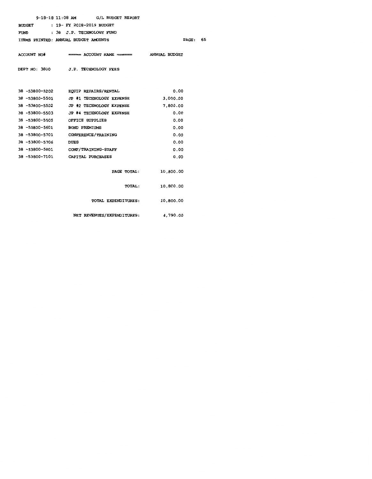|                | $9-18-18$ 11:08 AM G/L BUDGET REPORT                |                 |  |
|----------------|-----------------------------------------------------|-----------------|--|
|                | BUDGET : 19- FY 2018-2019 BUDGET                    |                 |  |
|                | FUND : 38 J.P. TECHNOLOGY FUND                      |                 |  |
|                | ITEMS PRINTED: ANNUAL BUDGET AMOUNTS                | <b>PAGE: 65</b> |  |
|                |                                                     |                 |  |
|                | ACCOUNT NO# ===== ACCOUNT NAME ====== ANNUAL BUDGET |                 |  |
|                |                                                     |                 |  |
|                | DEPT NO: 3800 J.P. TECHNOLOGY FEES                  |                 |  |
|                |                                                     |                 |  |
|                |                                                     |                 |  |
|                | 38 -53800-5202 EQUIP REPAIRS/RENTAL                 | 0.00            |  |
|                | 38 -53800-5501 JP #1 TECHNOLOGY EXPENSE             | 3,000.00        |  |
|                | 38 -53800-5502 JP #2 TECHNOLOGY EXPENSE             | 7,800.00        |  |
| 38 -53800-5503 | <b>JP #4 TECHNOLOGY EXPENSE</b>                     | 0.00            |  |
|                | 38 -53800-5505 OFFICE SUPPLIES                      | 0.00            |  |
| 38 -53800-5601 | <b>BOND PREMIUMS</b>                                | 0.00            |  |
|                | 38 -53800-5701 CONFERENCE/TRAINING                  | 0.00            |  |
| 38 -53800-5706 | <b>DUES</b>                                         | 0.00            |  |
|                | 38 -53800-5801 CONF/TRAINING-STAFF                  | 0.00            |  |
|                | 38 -53800-7101 CAPITAL PURCHASES                    | 0.00            |  |
|                |                                                     |                 |  |
|                | PAGE TOTAL:                                         | 10,800.00       |  |
|                |                                                     |                 |  |
|                | <b>TOTAL :</b>                                      | 10,800.00       |  |
|                |                                                     |                 |  |
|                | TOTAL EXPENDITURES:                                 | 10,800.00       |  |
|                |                                                     |                 |  |
|                | NET REVENUES/EXPENDITURES:                          | 4,790.00        |  |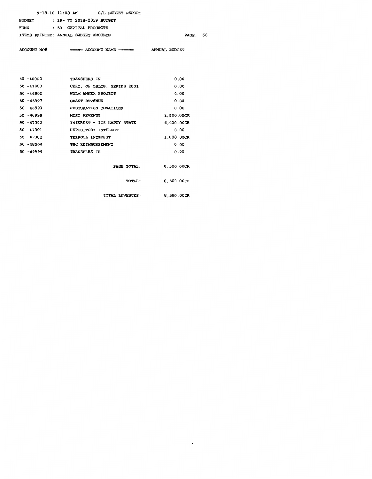## 9-18-18 11:08 AM G/L BUDGET REPORT

BUDGET 19- FY 2018-2019 BUDGET

FUND 50 CAPITAL PROJECTS

ITEMS PRINTED: ANNUAL BUDGET AMOUNTS

PAGE: 66

 $\bar{\mathcal{C}}$ 

ACCOUNT NO# ====== ACCOUNT NAME ====== ANNUAL BUDGET

| $50 - 40000$ | TRANSFERS IN                | 0.00       |
|--------------|-----------------------------|------------|
| 50 -41000    | CERT. OF OBLIG. SERIES 2001 | 0.00       |
| 50 -46900    | WDIM ANNEX PROJECT          | 0.00       |
| $50 - 46997$ | <b>GRANT REVENUE</b>        | 0.00       |
| 50 -46998    | RESTORATION DONATIONS       | 0.00       |
| $50 - 46999$ | <b>MISC REVENUE</b>         | 1,500.00CR |
| $50 - 47300$ | INTEREST - ICS HAPPY STATE  | 6,000.00CR |
| $50 - 47301$ | DEPOSITORY INTEREST         | 0.00       |
| $50 - 47302$ | TEXPOOL INTEREST            | 1,000.00CR |
| $50 - 48000$ | THC REIMBURSEMENT           | 0.00       |
| $50 - 49999$ | TRANSFERS IN                | 0.00       |
|              |                             |            |
|              | PAGE TOTAL:                 | 8,500.00CR |
|              |                             |            |
|              | <b>TOTAL:</b>               | 8,500.00CR |

TOTAL REVENUES: 8,500.00CR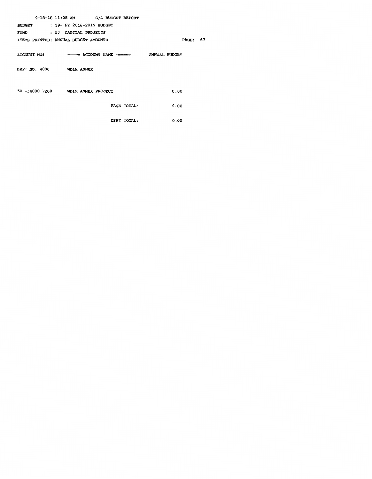|             | $9-18-18$ 11:08 AM G/L BUDGET REPORT                                       |                 |  |
|-------------|----------------------------------------------------------------------------|-----------------|--|
|             | BUDGET : 19- FY 2018-2019 BUDGET                                           |                 |  |
| <b>FUND</b> | : 50 CAPITAL PROJECTS                                                      |                 |  |
|             | ITEMS PRINTED: ANNUAL BUDGET AMOUNTS                                       | <b>PAGE: 67</b> |  |
|             | ACCOUNT NO# $\longrightarrow$ ACCOUNT NAME $\longrightarrow$ ANNUAL BUDGET |                 |  |
|             | DEPT NO: 4000 WDLM ANNEX                                                   |                 |  |
|             | 50 -54000-7200 WDIM ANNEX PROJECT                                          | 0.00            |  |
|             | PAGE TOTAL:                                                                | 0.00            |  |
|             | DEPT TOTAL:                                                                | 0.00            |  |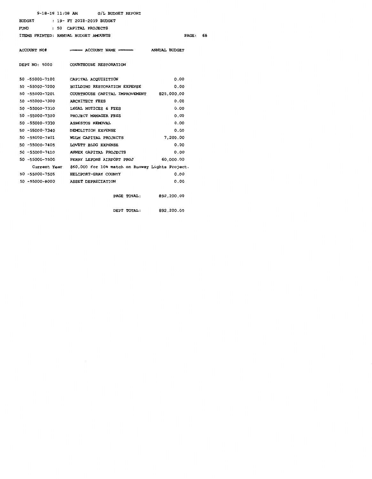| $9-18-18$ 11:08 AM G/L BUDGET REPORT |                                                               |                        |    |
|--------------------------------------|---------------------------------------------------------------|------------------------|----|
| BUDGET : 19- FY 2018-2019 BUDGET     |                                                               |                        |    |
| FUND : 50 CAPITAL PROJECTS           |                                                               |                        |    |
|                                      | ITEMS PRINTED: ANNUAL BUDGET AMOUNTS                          | $\mathtt{PAGE}$ :      | 68 |
|                                      |                                                               |                        |    |
|                                      | ACCOUNT NO# ===== ACCOUNT NAME ====== ANNUAL BUDGET           |                        |    |
|                                      |                                                               |                        |    |
|                                      | DEPT NO: 5000 COURTHOUSE RESTORATION                          |                        |    |
|                                      |                                                               |                        |    |
|                                      | 50 -55000-7100 CAPITAL ACQUISITION                            | 0.00                   |    |
|                                      | 50 -55000-7200 BUILDING RESTORATION EXPENSE                   | 0.00                   |    |
|                                      | 50 -55000-7201 COURTHOUSE CAPITAL IMPROVEMENT 825,000.00      |                        |    |
| 50 -55000-7300 ARCHITECT FEES        |                                                               | 0.00                   |    |
|                                      | 50 -55000-7310 LEGAL NOTICES & FEES                           | 0.00                   |    |
|                                      | 50 -55000-7320 PROJECT MANAGER FEES                           | 0.00                   |    |
|                                      | 50 - 55000-7330 ASBESTOS REMOVAL                              | 0.00                   |    |
|                                      | 50 -55000-7340 DEMOLITION EXPENSE                             | 0.00                   |    |
|                                      | 50 -55000-7401 WDLM CAPITAL PROJECTS                          | 7,200,00               |    |
|                                      | 50 -55000-7405 LOVETT BLDG EXPENSE                            | 0.00                   |    |
|                                      | 50 - 55000-7410 ANNEX CAPITAL PROJECTS                        | 0.00                   |    |
|                                      | 50 -55000-7500 PERRY LEFORS AIRPORT PROJ 60,000.00            |                        |    |
|                                      | Current Year \$60,000 for 10% match on Runway Lights Project. |                        |    |
|                                      | 50 -55000-7505 HELIPORT-GRAY COUNTY                           | 0.00                   |    |
|                                      | 50 -55000-8000 ASSET DEPRECIATION                             | 0.00                   |    |
|                                      |                                                               |                        |    |
|                                      |                                                               | PAGE TOTAL: 892,200.00 |    |

DEPT TOTAL: 892,200.00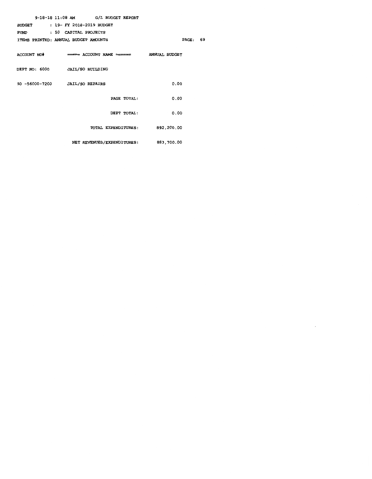| $9-18-18$ 11:08 AM G/L BUDGET REPORT                |          |
|-----------------------------------------------------|----------|
| BUDGET : 19- FY 2018-2019 BUDGET                    |          |
| FUND : 50 CAPITAL PROJECTS                          |          |
| ITEMS PRINTED: ANNUAL BUDGET AMOUNTS                | PAGE: 69 |
| ACCOUNT NO# ===== ACCOUNT NAME ====== ANNUAL BUDGET |          |
| DEPT NO: 6000 JAIL/SO BUILDING                      |          |
| 50 -56000-7200 JAIL/SO REPAIRS                      | 0.00     |
| PAGE TOTAL:                                         | 0.00     |
| DEPT TOTAL:                                         | 0.00     |
| TOTAL EXPENDITURES: 892,200.00                      |          |
| NET REVENUES/EXPENDITURES: 883,700.00               |          |

 $\sim 10^7$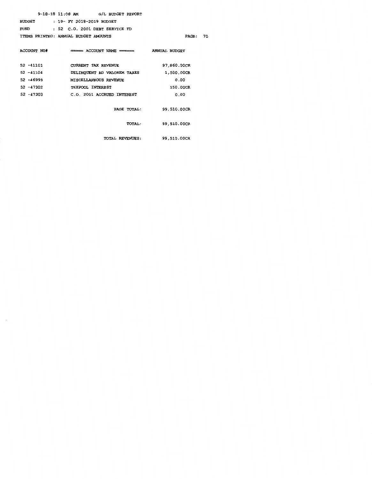|              | $9-18-18$ 11:08 AM G/L BUDGET REPORT                |             |
|--------------|-----------------------------------------------------|-------------|
|              | BUDGET : 19- FY 2018-2019 BUDGET                    |             |
|              | FUND : 52 C.O. 2001 DEBT SERVICE FD                 |             |
|              | ITEMS PRINTED: ANNUAL BUDGET AMOUNTS                | PAGE:       |
|              | ACCOUNT NO# ===== ACCOUNT NAME ====== ANNUAL BUDGET |             |
| 52 -41101    | CURRENT TAX REVENUE                                 | 97,860.00CR |
| 52 -41104    | DELINQUENT AD VALOREM TAXES                         | 1,500.00CR  |
| 52 -46999    | MISCELLANEOUS REVENUE                               | 0.00        |
| 52 -47302    | <b>TEXPOOL INTEREST</b>                             | 150.00CR    |
| $52 - 47303$ | C.O. 2001 ACCRUED INTEREST                          | 0.00        |
|              | PAGE TOTAL:                                         | 99,510.00CR |
|              | <b>TOTAL:</b>                                       | 99,510.00CR |
|              | TOTAL REVENUES:                                     | 99,510.00CR |

PAGE: 70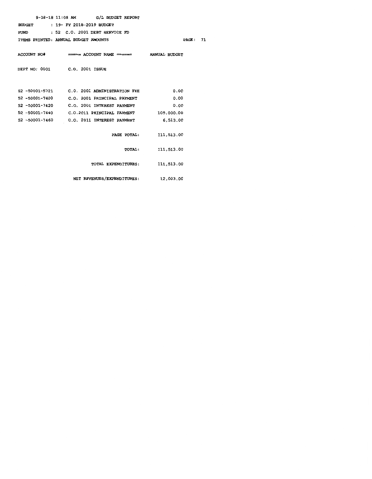| $9-18-18$ 11:08 AM G/L BUDGET REPORT |                   |                                                                                                                                                                                                                                                                                                                                               |
|--------------------------------------|-------------------|-----------------------------------------------------------------------------------------------------------------------------------------------------------------------------------------------------------------------------------------------------------------------------------------------------------------------------------------------|
| BUDGET : 19- FY 2018-2019 BUDGET     |                   |                                                                                                                                                                                                                                                                                                                                               |
| FUND : 52 C.O. 2001 DEBT SERVICE FD  |                   |                                                                                                                                                                                                                                                                                                                                               |
| ITEMS PRINTED: ANNUAL BUDGET AMOUNTS | $\mathbf{PAGE}$ : | 71                                                                                                                                                                                                                                                                                                                                            |
|                                      |                   |                                                                                                                                                                                                                                                                                                                                               |
|                                      |                   |                                                                                                                                                                                                                                                                                                                                               |
|                                      |                   |                                                                                                                                                                                                                                                                                                                                               |
| DEPT NO: 0001 C.O. 2001 ISSUE        |                   |                                                                                                                                                                                                                                                                                                                                               |
|                                      |                   |                                                                                                                                                                                                                                                                                                                                               |
|                                      |                   |                                                                                                                                                                                                                                                                                                                                               |
|                                      |                   |                                                                                                                                                                                                                                                                                                                                               |
|                                      | 0.00              |                                                                                                                                                                                                                                                                                                                                               |
|                                      | 0.00              |                                                                                                                                                                                                                                                                                                                                               |
|                                      |                   |                                                                                                                                                                                                                                                                                                                                               |
|                                      | 6,513.00          |                                                                                                                                                                                                                                                                                                                                               |
|                                      |                   |                                                                                                                                                                                                                                                                                                                                               |
|                                      | 111,513.00        |                                                                                                                                                                                                                                                                                                                                               |
|                                      |                   |                                                                                                                                                                                                                                                                                                                                               |
|                                      | 111,513.00        |                                                                                                                                                                                                                                                                                                                                               |
|                                      |                   |                                                                                                                                                                                                                                                                                                                                               |
|                                      | 111,513.00        |                                                                                                                                                                                                                                                                                                                                               |
|                                      |                   |                                                                                                                                                                                                                                                                                                                                               |
|                                      |                   |                                                                                                                                                                                                                                                                                                                                               |
|                                      |                   | ACCOUNT NO# $\qquad \qquad \qquad$ ANNUAL BUDGET<br>0.00<br>52 -50001-5721 C.O. 2001 ADMINISTRATION FEE<br>52 -50001-7400    C.O. 2001 PRINCIPAL PAYMENT<br>52 -50001-7420 C.O. 2001 INTEREST PAYMENT<br>52 -50001-7460    C.O. 2011 INTEREST PAYMENT<br>PAGE TOTAL:<br>TOTAL:<br>TOTAL EXPENDITURES:<br>NET REVENUES/EXPENDITURES: 12,003.00 |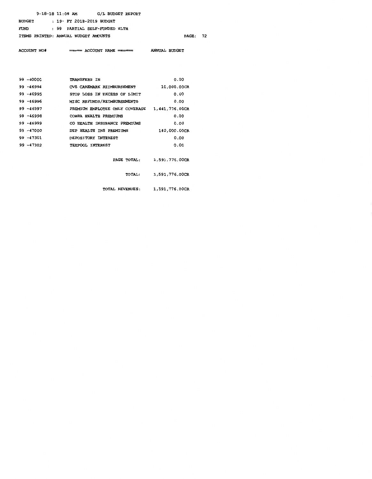9-18-18 11:08 AM G/L BUDGET REPORT

BUDGET 19- FY 2018-2019 BUDGET

FUND 99 PARTIAL SELF-FUNDED HLTH ITEMS PRINTED: ANNUAL BUDGET AMOUNTS

PAGE: 72

ACCOUNT NO# ===== ACCOUNT NAME ====== ANNUAL BUDGET

| 99 -40000    | <b>TRANSFERS IN</b>            | 0.00           |
|--------------|--------------------------------|----------------|
| $99 - 46994$ | CVS CAREMARK REIMBURSEMENT     | 10,000.00CR    |
| $99 - 46995$ | STOP LOSS IN EXCESS OF LIMIT   | 0.00           |
| $99 - 46996$ | MISC REFUNDS/REIMBURSEMENTS    | 0.00           |
| 99 -46997    | PREMIUM EMPLOYEE ONLY COVERAGE | 1,441,776.00CR |
| 99 -46998    | COBRA HEALTH PREMIUMS          | 0.00           |
| 99 - 46999   | CO HEALTH INSURANCE PREMIUMS   | 0.00           |
| 99 -47000    | DEP HEALTH INS PREMIUMS        | 140,000.00CR   |
| $99 - 47301$ | DEPOSITORY INTEREST            | 0.00           |
| 99 -47302    | TEXPOOL INTEREST               | 0.00           |
|              |                                |                |
|              | PAGE TOTAL:                    | 1,591,776.00CR |
|              |                                |                |

TOTAL: 1,591,776.00CR

TOTAL REVENUES: 1,591,776.00CR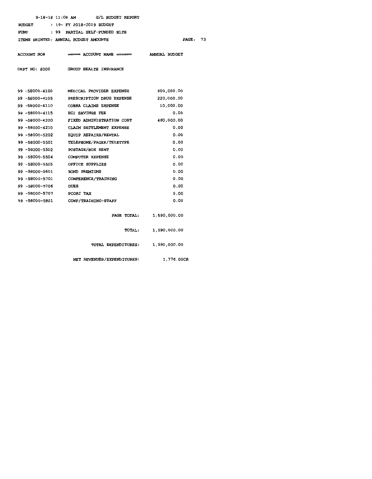|                | $9-18-18$ 11:08 AM G/L BUDGET REPORT                |                     |
|----------------|-----------------------------------------------------|---------------------|
| <b>BUDGET</b>  | : 19- FY 2018-2019 BUDGET                           |                     |
| FUND           | : 99 PARTIAL SELF-FUNDED HLTH                       |                     |
|                | ITEMS PRINTED: ANNUAL BUDGET AMOUNTS                | <b>PACE :</b><br>73 |
|                |                                                     |                     |
|                | ACCOUNT NO# ===== ACCOUNT NAME ====== ANNUAL BUDGET |                     |
|                |                                                     |                     |
| DEPT NO: 8000  | <b>GROUP HEALTH INSURANCE</b>                       |                     |
|                |                                                     |                     |
|                |                                                     |                     |
| 99 -58000-4100 | MEDICAL PROVIDER EXPENSE                            | 900,000.00          |
| 99 -58000-4105 | <b>PRESCRIPTION DRUG EXPENSE</b>                    | 220,000.00          |
| 99 -58000-4110 | <b>COBRA CLAIMS EXPENSE</b>                         | 10,000.00           |
| 99 -58000-4115 | <b>HCI SAVINGS FEE</b>                              | 0.00                |
|                | 99 -58000-4200 FIXED ADMINISTRATION COST 460,000.00 |                     |
| 99 -58000-4210 | <b>CLAIM SETTLEMENT EXPENSE</b>                     | 0.00                |
| 99 -58000-5202 | <b>EOUIP REPAIRS/RENTAL</b>                         | 0.00                |
| 99 -58000-5501 | <b>TELEPHONE/PAGER/TELETYPE</b>                     | 0.00                |
| 99 -58000-5502 | POSTAGE/BOX RENT                                    | 0.00                |
| 99 -58000-5504 | <b>COMPUTER EXPENSE</b>                             | 0.00                |
| 99 -58000-5505 | OFFICE SUPPLIES                                     | 0.00                |
| 99 -58000-5601 | <b>BOND PREMIUMS</b>                                | 0.00                |
| 99 -58000-5701 | CONFERENCE/TRAINING                                 | 0.00                |
| 99 -58000-5706 | <b>DUES</b>                                         | 0.00                |
| 99 -58000-5707 | PCORI TAX                                           | 0.00                |
| 99 -58000-5801 | <b>CONF/TRAINING-STAFF</b>                          | 0.00                |
|                |                                                     |                     |
|                | PAGE TOTAL:                                         | 1,590,000.00        |
|                |                                                     |                     |
|                | <b>TOTAL :</b>                                      | 1,590,000.00        |
|                |                                                     |                     |
|                | <b>TOTAL EXPENDITURES:</b>                          | 1,590,000.00        |
|                |                                                     |                     |

NET REVENUES/EXPENDITURES: 1,776.00CR